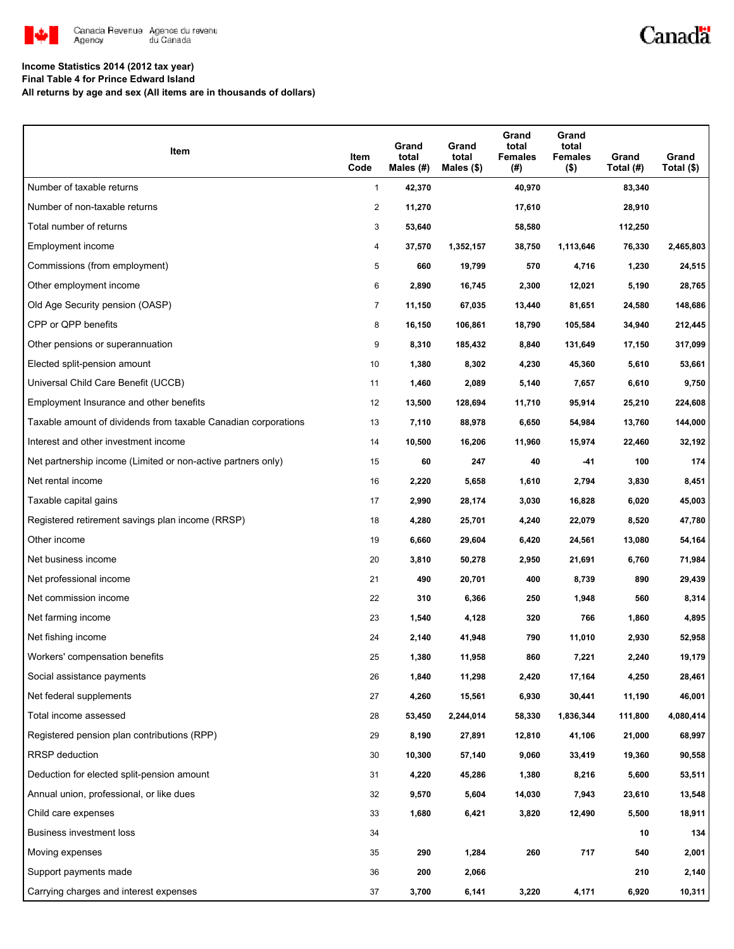

# Canadä

### **Income Statistics 2014 (2012 tax year)**

**Final Table 4 for Prince Edward Island**

**All returns by age and sex (All items are in thousands of dollars)**

| Item                                                           | Item<br>Code   | Grand<br>total<br>Males (#) | Grand<br>total<br>Males (\$) | Grand<br>total<br><b>Females</b><br>(#) | Grand<br>total<br><b>Females</b><br>$($ \$) | Grand<br>Total (#) | Grand<br>Total $($)$ |
|----------------------------------------------------------------|----------------|-----------------------------|------------------------------|-----------------------------------------|---------------------------------------------|--------------------|----------------------|
| Number of taxable returns                                      | $\mathbf{1}$   | 42,370                      |                              | 40,970                                  |                                             | 83,340             |                      |
| Number of non-taxable returns                                  | 2              | 11,270                      |                              | 17,610                                  |                                             | 28,910             |                      |
| Total number of returns                                        | 3              | 53,640                      |                              | 58,580                                  |                                             | 112,250            |                      |
| Employment income                                              | 4              | 37,570                      | 1,352,157                    | 38,750                                  | 1,113,646                                   | 76,330             | 2,465,803            |
| Commissions (from employment)                                  | 5              | 660                         | 19,799                       | 570                                     | 4,716                                       | 1,230              | 24,515               |
| Other employment income                                        | 6              | 2,890                       | 16,745                       | 2,300                                   | 12,021                                      | 5,190              | 28,765               |
| Old Age Security pension (OASP)                                | $\overline{7}$ | 11,150                      | 67,035                       | 13,440                                  | 81,651                                      | 24,580             | 148,686              |
| CPP or QPP benefits                                            | 8              | 16,150                      | 106,861                      | 18,790                                  | 105,584                                     | 34,940             | 212,445              |
| Other pensions or superannuation                               | 9              | 8,310                       | 185,432                      | 8,840                                   | 131,649                                     | 17,150             | 317,099              |
| Elected split-pension amount                                   | 10             | 1,380                       | 8,302                        | 4,230                                   | 45,360                                      | 5,610              | 53,661               |
| Universal Child Care Benefit (UCCB)                            | 11             | 1,460                       | 2,089                        | 5,140                                   | 7,657                                       | 6,610              | 9,750                |
| Employment Insurance and other benefits                        | 12             | 13,500                      | 128,694                      | 11,710                                  | 95,914                                      | 25,210             | 224,608              |
| Taxable amount of dividends from taxable Canadian corporations | 13             | 7,110                       | 88,978                       | 6,650                                   | 54,984                                      | 13,760             | 144,000              |
| Interest and other investment income                           | 14             | 10,500                      | 16,206                       | 11,960                                  | 15,974                                      | 22,460             | 32,192               |
| Net partnership income (Limited or non-active partners only)   | 15             | 60                          | 247                          | 40                                      | -41                                         | 100                | 174                  |
| Net rental income                                              | 16             | 2,220                       | 5,658                        | 1,610                                   | 2,794                                       | 3,830              | 8,451                |
| Taxable capital gains                                          | 17             | 2,990                       | 28,174                       | 3,030                                   | 16,828                                      | 6,020              | 45,003               |
| Registered retirement savings plan income (RRSP)               | 18             | 4,280                       | 25,701                       | 4,240                                   | 22,079                                      | 8,520              | 47,780               |
| Other income                                                   | 19             | 6,660                       | 29,604                       | 6,420                                   | 24,561                                      | 13,080             | 54,164               |
| Net business income                                            | 20             | 3,810                       | 50,278                       | 2,950                                   | 21,691                                      | 6,760              | 71,984               |
| Net professional income                                        | 21             | 490                         | 20,701                       | 400                                     | 8,739                                       | 890                | 29,439               |
| Net commission income                                          | 22             | 310                         | 6,366                        | 250                                     | 1,948                                       | 560                | 8,314                |
| Net farming income                                             | 23             | 1,540                       | 4,128                        | 320                                     | 766                                         | 1,860              | 4,895                |
| Net fishing income                                             | 24             | 2,140                       | 41,948                       | 790                                     | 11,010                                      | 2,930              | 52,958               |
| Workers' compensation benefits                                 | 25             | 1,380                       | 11,958                       | 860                                     | 7,221                                       | 2,240              | 19,179               |
| Social assistance payments                                     | 26             | 1,840                       | 11,298                       | 2,420                                   | 17,164                                      | 4,250              | 28,461               |
| Net federal supplements                                        | 27             | 4,260                       | 15,561                       | 6,930                                   | 30,441                                      | 11,190             | 46,001               |
| Total income assessed                                          | 28             | 53,450                      | 2,244,014                    | 58,330                                  | 1,836,344                                   | 111,800            | 4,080,414            |
| Registered pension plan contributions (RPP)                    | 29             | 8,190                       | 27,891                       | 12,810                                  | 41,106                                      | 21,000             | 68,997               |
| RRSP deduction                                                 | 30             | 10,300                      | 57,140                       | 9,060                                   | 33,419                                      | 19,360             | 90,558               |
| Deduction for elected split-pension amount                     | 31             | 4,220                       | 45,286                       | 1,380                                   | 8,216                                       | 5,600              | 53,511               |
| Annual union, professional, or like dues                       | 32             | 9,570                       | 5,604                        | 14,030                                  | 7,943                                       | 23,610             | 13,548               |
| Child care expenses                                            | 33             | 1,680                       | 6,421                        | 3,820                                   | 12,490                                      | 5,500              | 18,911               |
| Business investment loss                                       | 34             |                             |                              |                                         |                                             | 10                 | 134                  |
| Moving expenses                                                | 35             | 290                         | 1,284                        | 260                                     | 717                                         | 540                | 2,001                |
| Support payments made                                          | 36             | 200                         | 2,066                        |                                         |                                             | 210                | 2,140                |
| Carrying charges and interest expenses                         | 37             | 3,700                       | 6,141                        | 3,220                                   | 4,171                                       | 6,920              | 10,311               |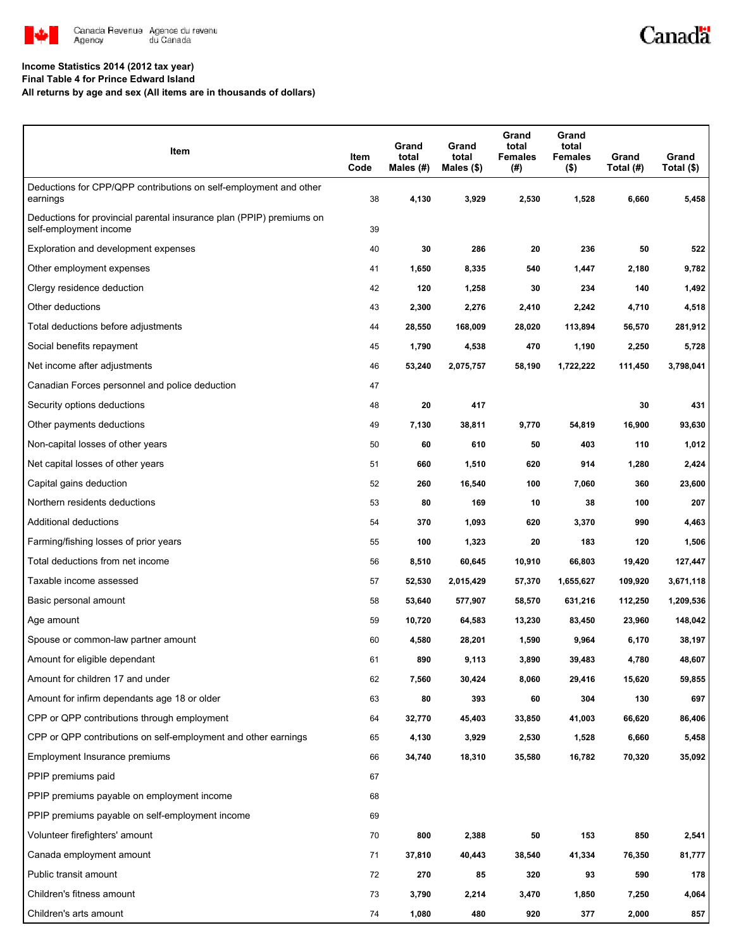

# Canadä

### **Income Statistics 2014 (2012 tax year)**

**Final Table 4 for Prince Edward Island**

**All returns by age and sex (All items are in thousands of dollars)**

| Item                                                                                           | Item<br>Code | Grand<br>total<br>Males (#) | Grand<br>total<br>Males $(\$)$ | Grand<br>total<br><b>Females</b><br>(#) | Grand<br>total<br><b>Females</b><br>$($ \$) | Grand<br>Total (#) | Grand<br>Total (\$) |
|------------------------------------------------------------------------------------------------|--------------|-----------------------------|--------------------------------|-----------------------------------------|---------------------------------------------|--------------------|---------------------|
| Deductions for CPP/QPP contributions on self-employment and other<br>earnings                  | 38           | 4,130                       | 3,929                          | 2,530                                   | 1,528                                       | 6,660              | 5,458               |
| Deductions for provincial parental insurance plan (PPIP) premiums on<br>self-employment income | 39           |                             |                                |                                         |                                             |                    |                     |
| Exploration and development expenses                                                           | 40           | 30                          | 286                            | 20                                      | 236                                         | 50                 | 522                 |
| Other employment expenses                                                                      | 41           | 1,650                       | 8,335                          | 540                                     | 1,447                                       | 2,180              | 9,782               |
| Clergy residence deduction                                                                     | 42           | 120                         | 1,258                          | 30                                      | 234                                         | 140                | 1,492               |
| Other deductions                                                                               | 43           | 2,300                       | 2,276                          | 2,410                                   | 2,242                                       | 4,710              | 4,518               |
| Total deductions before adjustments                                                            | 44           | 28,550                      | 168,009                        | 28,020                                  | 113,894                                     | 56,570             | 281,912             |
| Social benefits repayment                                                                      | 45           | 1,790                       | 4,538                          | 470                                     | 1,190                                       | 2,250              | 5,728               |
| Net income after adjustments                                                                   | 46           | 53,240                      | 2,075,757                      | 58,190                                  | 1,722,222                                   | 111,450            | 3,798,041           |
| Canadian Forces personnel and police deduction                                                 | 47           |                             |                                |                                         |                                             |                    |                     |
| Security options deductions                                                                    | 48           | 20                          | 417                            |                                         |                                             | 30                 | 431                 |
| Other payments deductions                                                                      | 49           | 7,130                       | 38,811                         | 9,770                                   | 54,819                                      | 16,900             | 93,630              |
| Non-capital losses of other years                                                              | 50           | 60                          | 610                            | 50                                      | 403                                         | 110                | 1,012               |
| Net capital losses of other years                                                              | 51           | 660                         | 1,510                          | 620                                     | 914                                         | 1,280              | 2,424               |
| Capital gains deduction                                                                        | 52           | 260                         | 16,540                         | 100                                     | 7,060                                       | 360                | 23,600              |
| Northern residents deductions                                                                  | 53           | 80                          | 169                            | 10                                      | 38                                          | 100                | 207                 |
| Additional deductions                                                                          | 54           | 370                         | 1,093                          | 620                                     | 3,370                                       | 990                | 4,463               |
| Farming/fishing losses of prior years                                                          | 55           | 100                         | 1,323                          | 20                                      | 183                                         | 120                | 1,506               |
| Total deductions from net income                                                               | 56           | 8,510                       | 60,645                         | 10,910                                  | 66,803                                      | 19,420             | 127,447             |
| Taxable income assessed                                                                        | 57           | 52,530                      | 2,015,429                      | 57,370                                  | 1,655,627                                   | 109,920            | 3,671,118           |
| Basic personal amount                                                                          | 58           | 53,640                      | 577,907                        | 58,570                                  | 631,216                                     | 112,250            | 1,209,536           |
| Age amount                                                                                     | 59           | 10,720                      | 64,583                         | 13,230                                  | 83,450                                      | 23,960             | 148,042             |
| Spouse or common-law partner amount                                                            | 60           | 4,580                       | 28,201                         | 1,590                                   | 9,964                                       | 6,170              | 38,197              |
| Amount for eligible dependant                                                                  | 61           | 890                         | 9,113                          | 3,890                                   | 39,483                                      | 4,780              | 48,607              |
| Amount for children 17 and under                                                               | 62           | 7,560                       | 30,424                         | 8,060                                   | 29,416                                      | 15,620             | 59,855              |
| Amount for infirm dependants age 18 or older                                                   | 63           | 80                          | 393                            | 60                                      | 304                                         | 130                | 697                 |
| CPP or QPP contributions through employment                                                    | 64           | 32,770                      | 45,403                         | 33,850                                  | 41,003                                      | 66,620             | 86,406              |
| CPP or QPP contributions on self-employment and other earnings                                 | 65           | 4,130                       | 3,929                          | 2,530                                   | 1,528                                       | 6,660              | 5,458               |
| Employment Insurance premiums                                                                  | 66           | 34,740                      | 18,310                         | 35,580                                  | 16,782                                      | 70,320             | 35,092              |
| PPIP premiums paid                                                                             | 67           |                             |                                |                                         |                                             |                    |                     |
| PPIP premiums payable on employment income                                                     | 68           |                             |                                |                                         |                                             |                    |                     |
| PPIP premiums payable on self-employment income                                                | 69           |                             |                                |                                         |                                             |                    |                     |
| Volunteer firefighters' amount                                                                 | 70           | 800                         | 2,388                          | 50                                      | 153                                         | 850                | 2,541               |
| Canada employment amount                                                                       | 71           | 37,810                      | 40,443                         | 38,540                                  | 41,334                                      | 76,350             | 81,777              |
| Public transit amount                                                                          | 72           | 270                         | 85                             | 320                                     | 93                                          | 590                | 178                 |
| Children's fitness amount                                                                      | 73           | 3,790                       | 2,214                          | 3,470                                   | 1,850                                       | 7,250              | 4,064               |
| Children's arts amount                                                                         | 74           | 1,080                       | 480                            | 920                                     | 377                                         | 2,000              | 857                 |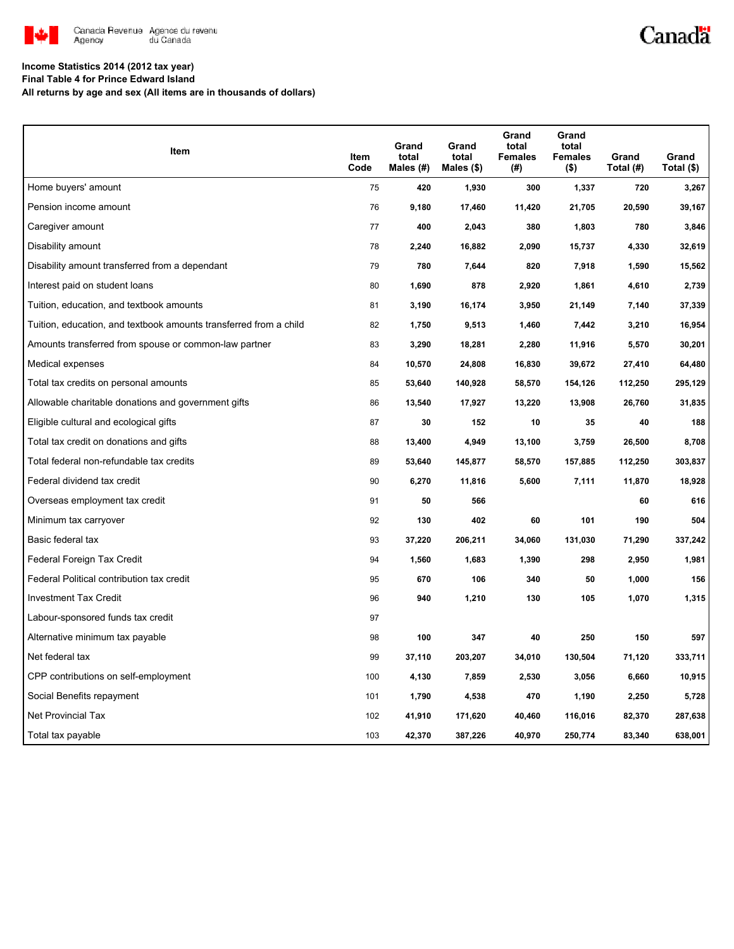

## Canadä

#### **Income Statistics 2014 (2012 tax year)**

**Final Table 4 for Prince Edward Island**

**All returns by age and sex (All items are in thousands of dollars)**

| <b>Item</b>                                                       | Item<br>Code | Grand<br>total<br>Males $(H)$ | Grand<br>total<br>Males (\$) | Grand<br>total<br><b>Females</b><br>(#) | Grand<br>total<br><b>Females</b><br>$($ \$) | Grand<br>Total (#) | Grand<br>Total (\$) |
|-------------------------------------------------------------------|--------------|-------------------------------|------------------------------|-----------------------------------------|---------------------------------------------|--------------------|---------------------|
| Home buyers' amount                                               | 75           | 420                           | 1,930                        | 300                                     | 1,337                                       | 720                | 3,267               |
| Pension income amount                                             | 76           | 9,180                         | 17,460                       | 11,420                                  | 21,705                                      | 20,590             | 39,167              |
| Caregiver amount                                                  | 77           | 400                           | 2,043                        | 380                                     | 1,803                                       | 780                | 3,846               |
| Disability amount                                                 | 78           | 2,240                         | 16,882                       | 2,090                                   | 15,737                                      | 4,330              | 32,619              |
| Disability amount transferred from a dependant                    | 79           | 780                           | 7,644                        | 820                                     | 7,918                                       | 1,590              | 15,562              |
| Interest paid on student loans                                    | 80           | 1,690                         | 878                          | 2,920                                   | 1,861                                       | 4,610              | 2,739               |
| Tuition, education, and textbook amounts                          | 81           | 3,190                         | 16,174                       | 3,950                                   | 21,149                                      | 7,140              | 37,339              |
| Tuition, education, and textbook amounts transferred from a child | 82           | 1,750                         | 9,513                        | 1,460                                   | 7,442                                       | 3,210              | 16,954              |
| Amounts transferred from spouse or common-law partner             | 83           | 3,290                         | 18,281                       | 2,280                                   | 11,916                                      | 5,570              | 30,201              |
| Medical expenses                                                  | 84           | 10,570                        | 24,808                       | 16,830                                  | 39,672                                      | 27,410             | 64,480              |
| Total tax credits on personal amounts                             | 85           | 53,640                        | 140,928                      | 58,570                                  | 154,126                                     | 112,250            | 295,129             |
| Allowable charitable donations and government gifts               | 86           | 13,540                        | 17,927                       | 13,220                                  | 13,908                                      | 26,760             | 31,835              |
| Eligible cultural and ecological gifts                            | 87           | 30                            | 152                          | 10                                      | 35                                          | 40                 | 188                 |
| Total tax credit on donations and gifts                           | 88           | 13,400                        | 4,949                        | 13,100                                  | 3,759                                       | 26,500             | 8,708               |
| Total federal non-refundable tax credits                          | 89           | 53,640                        | 145,877                      | 58,570                                  | 157,885                                     | 112,250            | 303,837             |
| Federal dividend tax credit                                       | 90           | 6,270                         | 11,816                       | 5,600                                   | 7,111                                       | 11,870             | 18,928              |
| Overseas employment tax credit                                    | 91           | 50                            | 566                          |                                         |                                             | 60                 | 616                 |
| Minimum tax carryover                                             | 92           | 130                           | 402                          | 60                                      | 101                                         | 190                | 504                 |
| Basic federal tax                                                 | 93           | 37,220                        | 206,211                      | 34,060                                  | 131,030                                     | 71,290             | 337,242             |
| Federal Foreign Tax Credit                                        | 94           | 1,560                         | 1,683                        | 1,390                                   | 298                                         | 2,950              | 1,981               |
| Federal Political contribution tax credit                         | 95           | 670                           | 106                          | 340                                     | 50                                          | 1,000              | 156                 |
| <b>Investment Tax Credit</b>                                      | 96           | 940                           | 1,210                        | 130                                     | 105                                         | 1,070              | 1,315               |
| Labour-sponsored funds tax credit                                 | 97           |                               |                              |                                         |                                             |                    |                     |
| Alternative minimum tax payable                                   | 98           | 100                           | 347                          | 40                                      | 250                                         | 150                | 597                 |
| Net federal tax                                                   | 99           | 37,110                        | 203,207                      | 34,010                                  | 130,504                                     | 71,120             | 333,711             |
| CPP contributions on self-employment                              | 100          | 4,130                         | 7,859                        | 2,530                                   | 3,056                                       | 6,660              | 10,915              |
| Social Benefits repayment                                         | 101          | 1,790                         | 4,538                        | 470                                     | 1,190                                       | 2,250              | 5,728               |
| Net Provincial Tax                                                | 102          | 41,910                        | 171,620                      | 40,460                                  | 116,016                                     | 82,370             | 287,638             |
| Total tax payable                                                 | 103          | 42,370                        | 387,226                      | 40,970                                  | 250,774                                     | 83,340             | 638,001             |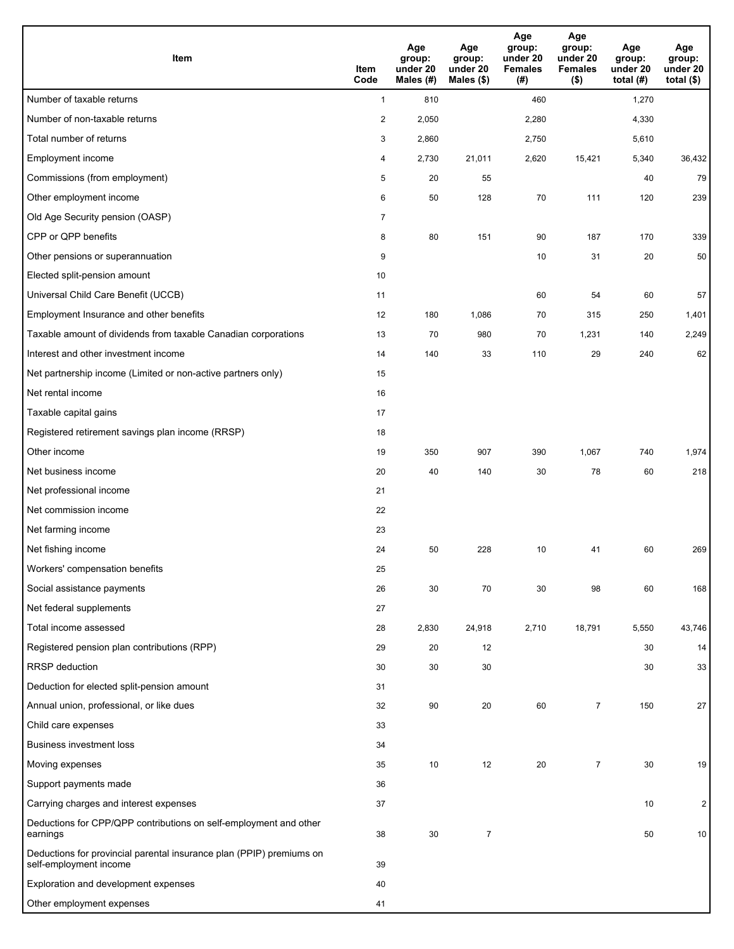| <b>Item</b>                                                                                    | Item<br>Code   | Age<br>group:<br>under 20<br>Males (#) | Age<br>group:<br>under 20<br>Males (\$) | Age<br>group:<br>under 20<br><b>Females</b><br>(#) | Age<br>group:<br>under 20<br><b>Females</b><br>$($ \$) | Age<br>group:<br>under 20<br>total $(H)$ | Age<br>group:<br>under 20<br>total $($ |
|------------------------------------------------------------------------------------------------|----------------|----------------------------------------|-----------------------------------------|----------------------------------------------------|--------------------------------------------------------|------------------------------------------|----------------------------------------|
| Number of taxable returns                                                                      | $\mathbf{1}$   | 810                                    |                                         | 460                                                |                                                        | 1,270                                    |                                        |
| Number of non-taxable returns                                                                  | $\overline{c}$ | 2,050                                  |                                         | 2,280                                              |                                                        | 4,330                                    |                                        |
| Total number of returns                                                                        | 3              | 2,860                                  |                                         | 2,750                                              |                                                        | 5,610                                    |                                        |
| Employment income                                                                              | 4              | 2,730                                  | 21,011                                  | 2,620                                              | 15,421                                                 | 5,340                                    | 36,432                                 |
| Commissions (from employment)                                                                  | 5              | 20                                     | 55                                      |                                                    |                                                        | 40                                       | 79                                     |
| Other employment income                                                                        | 6              | 50                                     | 128                                     | 70                                                 | 111                                                    | 120                                      | 239                                    |
| Old Age Security pension (OASP)                                                                | $\overline{7}$ |                                        |                                         |                                                    |                                                        |                                          |                                        |
| CPP or QPP benefits                                                                            | 8              | 80                                     | 151                                     | 90                                                 | 187                                                    | 170                                      | 339                                    |
| Other pensions or superannuation                                                               | 9              |                                        |                                         | 10                                                 | 31                                                     | 20                                       | 50                                     |
| Elected split-pension amount                                                                   | 10             |                                        |                                         |                                                    |                                                        |                                          |                                        |
| Universal Child Care Benefit (UCCB)                                                            | 11             |                                        |                                         | 60                                                 | 54                                                     | 60                                       | 57                                     |
| Employment Insurance and other benefits                                                        | 12             | 180                                    | 1,086                                   | 70                                                 | 315                                                    | 250                                      | 1,401                                  |
| Taxable amount of dividends from taxable Canadian corporations                                 | 13             | 70                                     | 980                                     | 70                                                 | 1,231                                                  | 140                                      | 2,249                                  |
| Interest and other investment income                                                           | 14             | 140                                    | 33                                      | 110                                                | 29                                                     | 240                                      | 62                                     |
| Net partnership income (Limited or non-active partners only)                                   | 15             |                                        |                                         |                                                    |                                                        |                                          |                                        |
| Net rental income                                                                              | 16             |                                        |                                         |                                                    |                                                        |                                          |                                        |
| Taxable capital gains                                                                          | 17             |                                        |                                         |                                                    |                                                        |                                          |                                        |
| Registered retirement savings plan income (RRSP)                                               | 18             |                                        |                                         |                                                    |                                                        |                                          |                                        |
| Other income                                                                                   | 19             | 350                                    | 907                                     | 390                                                | 1,067                                                  | 740                                      | 1,974                                  |
| Net business income                                                                            | 20             | 40                                     | 140                                     | 30                                                 | 78                                                     | 60                                       | 218                                    |
| Net professional income                                                                        | 21             |                                        |                                         |                                                    |                                                        |                                          |                                        |
| Net commission income                                                                          | 22             |                                        |                                         |                                                    |                                                        |                                          |                                        |
| Net farming income                                                                             | 23             |                                        |                                         |                                                    |                                                        |                                          |                                        |
| Net fishing income                                                                             | 24             | 50                                     | 228                                     | 10                                                 | 41                                                     | 60                                       | 269                                    |
| Workers' compensation benefits                                                                 | 25             |                                        |                                         |                                                    |                                                        |                                          |                                        |
| Social assistance payments                                                                     | 26             | 30                                     | 70                                      | 30                                                 | 98                                                     | 60                                       | 168                                    |
| Net federal supplements                                                                        | 27             |                                        |                                         |                                                    |                                                        |                                          |                                        |
| Total income assessed                                                                          | 28             | 2,830                                  | 24,918                                  | 2,710                                              | 18,791                                                 | 5,550                                    | 43,746                                 |
| Registered pension plan contributions (RPP)                                                    | 29             | 20                                     | 12                                      |                                                    |                                                        | 30                                       | 14                                     |
| <b>RRSP</b> deduction                                                                          | 30             | 30                                     | 30                                      |                                                    |                                                        | 30                                       | 33                                     |
| Deduction for elected split-pension amount                                                     | 31             |                                        |                                         |                                                    |                                                        |                                          |                                        |
| Annual union, professional, or like dues                                                       | 32             | 90                                     | 20                                      | 60                                                 | $\overline{7}$                                         | 150                                      | 27                                     |
| Child care expenses                                                                            | 33             |                                        |                                         |                                                    |                                                        |                                          |                                        |
| <b>Business investment loss</b>                                                                | 34             |                                        |                                         |                                                    |                                                        |                                          |                                        |
| Moving expenses                                                                                | 35             | 10                                     | 12                                      | 20                                                 | $\overline{7}$                                         | 30                                       | 19                                     |
| Support payments made                                                                          | 36             |                                        |                                         |                                                    |                                                        |                                          |                                        |
| Carrying charges and interest expenses                                                         | 37             |                                        |                                         |                                                    |                                                        | 10                                       | $\overline{\mathbf{c}}$                |
| Deductions for CPP/QPP contributions on self-employment and other<br>earnings                  | 38             | 30                                     | $\overline{7}$                          |                                                    |                                                        | 50                                       | 10                                     |
| Deductions for provincial parental insurance plan (PPIP) premiums on<br>self-employment income | 39             |                                        |                                         |                                                    |                                                        |                                          |                                        |
| Exploration and development expenses                                                           | 40             |                                        |                                         |                                                    |                                                        |                                          |                                        |
| Other employment expenses                                                                      | 41             |                                        |                                         |                                                    |                                                        |                                          |                                        |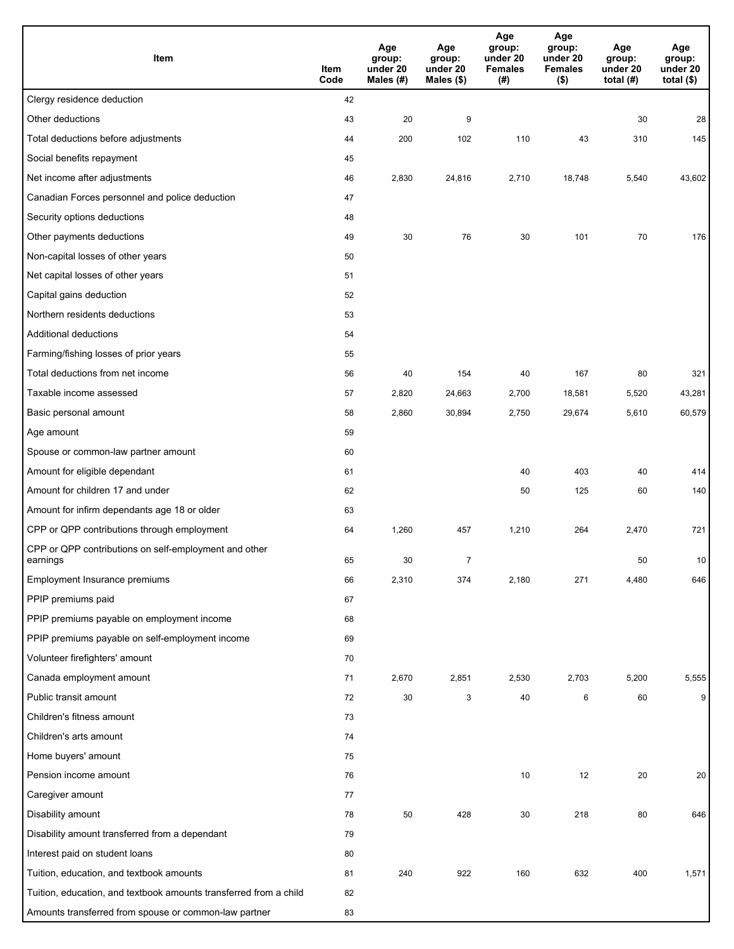| Item                                                              | Item<br>Code | Age<br>group:<br>under 20<br>Males (#) | Age<br>group:<br>under 20<br>Males (\$) | Age<br>group:<br>under 20<br><b>Females</b><br>(#) | Age<br>group:<br>under 20<br><b>Females</b><br>$($ \$) | Age<br>group:<br>under 20<br>total $(H)$ | Age<br>group:<br>under 20<br>total $($)$ |
|-------------------------------------------------------------------|--------------|----------------------------------------|-----------------------------------------|----------------------------------------------------|--------------------------------------------------------|------------------------------------------|------------------------------------------|
| Clergy residence deduction                                        | 42           |                                        |                                         |                                                    |                                                        |                                          |                                          |
| Other deductions                                                  | 43           | 20                                     | 9                                       |                                                    |                                                        | 30                                       | 28                                       |
| Total deductions before adjustments                               | 44           | 200                                    | 102                                     | 110                                                | 43                                                     | 310                                      | 145                                      |
| Social benefits repayment                                         | 45           |                                        |                                         |                                                    |                                                        |                                          |                                          |
| Net income after adjustments                                      | 46           | 2,830                                  | 24,816                                  | 2,710                                              | 18,748                                                 | 5,540                                    | 43,602                                   |
| Canadian Forces personnel and police deduction                    | 47           |                                        |                                         |                                                    |                                                        |                                          |                                          |
| Security options deductions                                       | 48           |                                        |                                         |                                                    |                                                        |                                          |                                          |
| Other payments deductions                                         | 49           | 30                                     | 76                                      | 30                                                 | 101                                                    | 70                                       | 176                                      |
| Non-capital losses of other years                                 | 50           |                                        |                                         |                                                    |                                                        |                                          |                                          |
| Net capital losses of other years                                 | 51           |                                        |                                         |                                                    |                                                        |                                          |                                          |
| Capital gains deduction                                           | 52           |                                        |                                         |                                                    |                                                        |                                          |                                          |
| Northern residents deductions                                     | 53           |                                        |                                         |                                                    |                                                        |                                          |                                          |
| Additional deductions                                             | 54           |                                        |                                         |                                                    |                                                        |                                          |                                          |
| Farming/fishing losses of prior years                             | 55           |                                        |                                         |                                                    |                                                        |                                          |                                          |
| Total deductions from net income                                  | 56           | 40                                     | 154                                     | 40                                                 | 167                                                    | 80                                       | 321                                      |
| Taxable income assessed                                           | 57           | 2,820                                  | 24,663                                  | 2,700                                              | 18,581                                                 | 5,520                                    | 43,281                                   |
| Basic personal amount                                             | 58           | 2,860                                  | 30,894                                  | 2,750                                              | 29,674                                                 | 5,610                                    | 60,579                                   |
| Age amount                                                        | 59           |                                        |                                         |                                                    |                                                        |                                          |                                          |
| Spouse or common-law partner amount                               | 60           |                                        |                                         |                                                    |                                                        |                                          |                                          |
| Amount for eligible dependant                                     | 61           |                                        |                                         | 40                                                 | 403                                                    | 40                                       | 414                                      |
| Amount for children 17 and under                                  | 62           |                                        |                                         | 50                                                 | 125                                                    | 60                                       | 140                                      |
| Amount for infirm dependants age 18 or older                      | 63           |                                        |                                         |                                                    |                                                        |                                          |                                          |
| CPP or QPP contributions through employment                       | 64           | 1,260                                  | 457                                     | 1,210                                              | 264                                                    | 2,470                                    | 721                                      |
| CPP or QPP contributions on self-employment and other<br>earnings | 65           | 30                                     | 7                                       |                                                    |                                                        | 50                                       | 10                                       |
| Employment Insurance premiums                                     | 66           | 2,310                                  | 374                                     | 2,180                                              | 271                                                    | 4,480                                    | 646                                      |
| PPIP premiums paid                                                | 67           |                                        |                                         |                                                    |                                                        |                                          |                                          |
| PPIP premiums payable on employment income                        | 68           |                                        |                                         |                                                    |                                                        |                                          |                                          |
| PPIP premiums payable on self-employment income                   | 69           |                                        |                                         |                                                    |                                                        |                                          |                                          |
| Volunteer firefighters' amount                                    | 70           |                                        |                                         |                                                    |                                                        |                                          |                                          |
| Canada employment amount                                          | 71           | 2,670                                  | 2,851                                   | 2,530                                              | 2,703                                                  | 5,200                                    | 5,555                                    |
| Public transit amount                                             | 72           | 30                                     | 3                                       | 40                                                 | 6                                                      | 60                                       | 9                                        |
| Children's fitness amount                                         | 73           |                                        |                                         |                                                    |                                                        |                                          |                                          |
| Children's arts amount                                            | 74           |                                        |                                         |                                                    |                                                        |                                          |                                          |
| Home buyers' amount                                               | 75           |                                        |                                         |                                                    |                                                        |                                          |                                          |
| Pension income amount                                             | 76           |                                        |                                         | 10                                                 | 12                                                     | 20                                       | 20                                       |
| Caregiver amount                                                  | 77           |                                        |                                         |                                                    |                                                        |                                          |                                          |
| Disability amount                                                 | 78           | 50                                     | 428                                     | 30                                                 | 218                                                    | 80                                       | 646                                      |
| Disability amount transferred from a dependant                    | 79           |                                        |                                         |                                                    |                                                        |                                          |                                          |
| Interest paid on student loans                                    | 80           |                                        |                                         |                                                    |                                                        |                                          |                                          |
| Tuition, education, and textbook amounts                          | 81           | 240                                    | 922                                     | 160                                                | 632                                                    | 400                                      | 1,571                                    |
| Tuition, education, and textbook amounts transferred from a child | 82           |                                        |                                         |                                                    |                                                        |                                          |                                          |
| Amounts transferred from spouse or common-law partner             | 83           |                                        |                                         |                                                    |                                                        |                                          |                                          |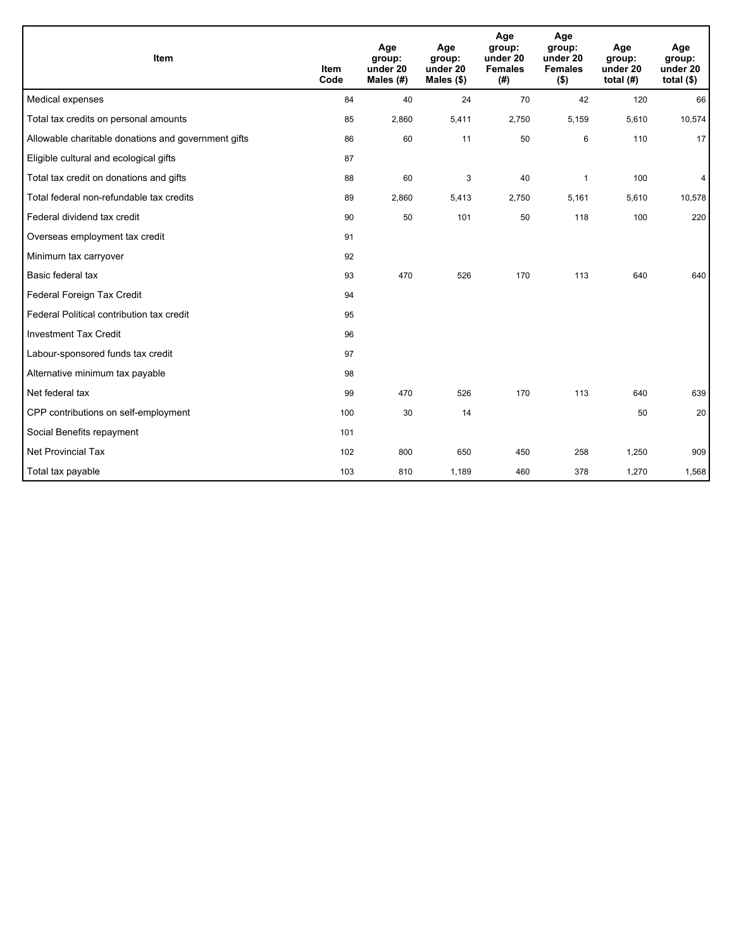| <b>Item</b>                                         | <b>Item</b><br>Code | Age<br>group:<br>under 20<br>Males $(H)$ | Age<br>group:<br>under 20<br>Males $(\$)$ | Age<br>group:<br>under 20<br><b>Females</b><br>(# ) | Age<br>group:<br>under 20<br><b>Females</b><br>$($ \$) | Age<br>group:<br>under 20<br>total $(H)$ | Age<br>group:<br>under 20<br>total $(§)$ |
|-----------------------------------------------------|---------------------|------------------------------------------|-------------------------------------------|-----------------------------------------------------|--------------------------------------------------------|------------------------------------------|------------------------------------------|
| Medical expenses                                    | 84                  | 40                                       | 24                                        | 70                                                  | 42                                                     | 120                                      | 66                                       |
| Total tax credits on personal amounts               | 85                  | 2,860                                    | 5,411                                     | 2,750                                               | 5,159                                                  | 5,610                                    | 10,574                                   |
| Allowable charitable donations and government gifts | 86                  | 60                                       | 11                                        | 50                                                  | 6                                                      | 110                                      | 17                                       |
| Eligible cultural and ecological gifts              | 87                  |                                          |                                           |                                                     |                                                        |                                          |                                          |
| Total tax credit on donations and gifts             | 88                  | 60                                       | 3                                         | 40                                                  | 1                                                      | 100                                      | 4                                        |
| Total federal non-refundable tax credits            | 89                  | 2,860                                    | 5,413                                     | 2,750                                               | 5,161                                                  | 5,610                                    | 10,578                                   |
| Federal dividend tax credit                         | 90                  | 50                                       | 101                                       | 50                                                  | 118                                                    | 100                                      | 220                                      |
| Overseas employment tax credit                      | 91                  |                                          |                                           |                                                     |                                                        |                                          |                                          |
| Minimum tax carryover                               | 92                  |                                          |                                           |                                                     |                                                        |                                          |                                          |
| Basic federal tax                                   | 93                  | 470                                      | 526                                       | 170                                                 | 113                                                    | 640                                      | 640                                      |
| Federal Foreign Tax Credit                          | 94                  |                                          |                                           |                                                     |                                                        |                                          |                                          |
| Federal Political contribution tax credit           | 95                  |                                          |                                           |                                                     |                                                        |                                          |                                          |
| <b>Investment Tax Credit</b>                        | 96                  |                                          |                                           |                                                     |                                                        |                                          |                                          |
| Labour-sponsored funds tax credit                   | 97                  |                                          |                                           |                                                     |                                                        |                                          |                                          |
| Alternative minimum tax payable                     | 98                  |                                          |                                           |                                                     |                                                        |                                          |                                          |
| Net federal tax                                     | 99                  | 470                                      | 526                                       | 170                                                 | 113                                                    | 640                                      | 639                                      |
| CPP contributions on self-employment                | 100                 | 30                                       | 14                                        |                                                     |                                                        | 50                                       | 20                                       |
| Social Benefits repayment                           | 101                 |                                          |                                           |                                                     |                                                        |                                          |                                          |
| <b>Net Provincial Tax</b>                           | 102                 | 800                                      | 650                                       | 450                                                 | 258                                                    | 1,250                                    | 909                                      |
| Total tax payable                                   | 103                 | 810                                      | 1,189                                     | 460                                                 | 378                                                    | 1,270                                    | 1,568                                    |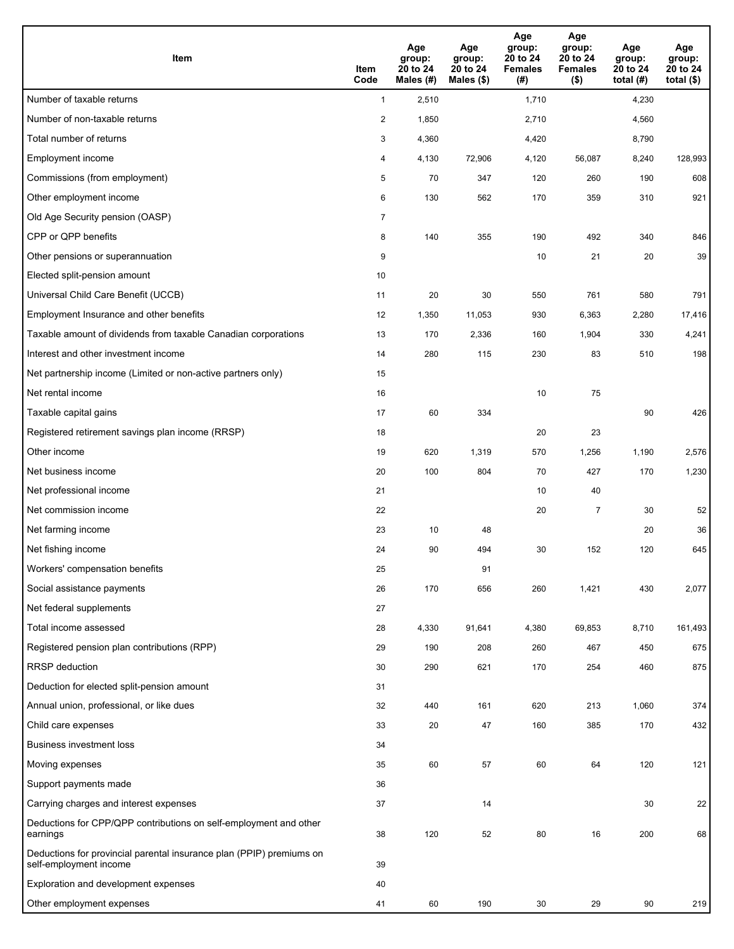| Item                                                                                           | Item<br>Code   | Age<br>group:<br>20 to 24<br>Males (#) | Age<br>group:<br>20 to 24<br>Males (\$) | Age<br>group:<br>20 to 24<br><b>Females</b><br>(#) | Age<br>group:<br>20 to 24<br><b>Females</b><br>$($ \$) | Age<br>group:<br>20 to 24<br>total $(#)$ | Age<br>group:<br>20 to 24<br>total $($ |
|------------------------------------------------------------------------------------------------|----------------|----------------------------------------|-----------------------------------------|----------------------------------------------------|--------------------------------------------------------|------------------------------------------|----------------------------------------|
| Number of taxable returns                                                                      | $\mathbf{1}$   | 2,510                                  |                                         | 1,710                                              |                                                        | 4,230                                    |                                        |
| Number of non-taxable returns                                                                  | $\overline{2}$ | 1,850                                  |                                         | 2,710                                              |                                                        | 4,560                                    |                                        |
| Total number of returns                                                                        | 3              | 4,360                                  |                                         | 4,420                                              |                                                        | 8,790                                    |                                        |
| Employment income                                                                              | 4              | 4,130                                  | 72,906                                  | 4,120                                              | 56,087                                                 | 8,240                                    | 128,993                                |
| Commissions (from employment)                                                                  | 5              | 70                                     | 347                                     | 120                                                | 260                                                    | 190                                      | 608                                    |
| Other employment income                                                                        | 6              | 130                                    | 562                                     | 170                                                | 359                                                    | 310                                      | 921                                    |
| Old Age Security pension (OASP)                                                                | $\overline{7}$ |                                        |                                         |                                                    |                                                        |                                          |                                        |
| CPP or QPP benefits                                                                            | 8              | 140                                    | 355                                     | 190                                                | 492                                                    | 340                                      | 846                                    |
| Other pensions or superannuation                                                               | 9              |                                        |                                         | 10                                                 | 21                                                     | 20                                       | 39                                     |
| Elected split-pension amount                                                                   | 10             |                                        |                                         |                                                    |                                                        |                                          |                                        |
| Universal Child Care Benefit (UCCB)                                                            | 11             | 20                                     | 30                                      | 550                                                | 761                                                    | 580                                      | 791                                    |
| Employment Insurance and other benefits                                                        | 12             | 1,350                                  | 11,053                                  | 930                                                | 6,363                                                  | 2,280                                    | 17,416                                 |
| Taxable amount of dividends from taxable Canadian corporations                                 | 13             | 170                                    | 2,336                                   | 160                                                | 1,904                                                  | 330                                      | 4,241                                  |
| Interest and other investment income                                                           | 14             | 280                                    | 115                                     | 230                                                | 83                                                     | 510                                      | 198                                    |
| Net partnership income (Limited or non-active partners only)                                   | 15             |                                        |                                         |                                                    |                                                        |                                          |                                        |
| Net rental income                                                                              | 16             |                                        |                                         | 10                                                 | 75                                                     |                                          |                                        |
| Taxable capital gains                                                                          | 17             | 60                                     | 334                                     |                                                    |                                                        | 90                                       | 426                                    |
| Registered retirement savings plan income (RRSP)                                               | 18             |                                        |                                         | 20                                                 | 23                                                     |                                          |                                        |
| Other income                                                                                   | 19             | 620                                    | 1,319                                   | 570                                                | 1,256                                                  | 1,190                                    | 2,576                                  |
| Net business income                                                                            | 20             | 100                                    | 804                                     | 70                                                 | 427                                                    | 170                                      | 1,230                                  |
| Net professional income                                                                        | 21             |                                        |                                         | 10                                                 | 40                                                     |                                          |                                        |
| Net commission income                                                                          | 22             |                                        |                                         | 20                                                 | $\overline{7}$                                         | 30                                       | 52                                     |
| Net farming income                                                                             | 23             | 10                                     | 48                                      |                                                    |                                                        | 20                                       | 36                                     |
| Net fishing income                                                                             | 24             | 90                                     | 494                                     | 30                                                 | 152                                                    | 120                                      | 645                                    |
| Workers' compensation benefits                                                                 | 25             |                                        | 91                                      |                                                    |                                                        |                                          |                                        |
| Social assistance payments                                                                     | 26             | 170                                    | 656                                     | 260                                                | 1,421                                                  | 430                                      | 2,077                                  |
| Net federal supplements                                                                        | 27             |                                        |                                         |                                                    |                                                        |                                          |                                        |
| Total income assessed                                                                          | 28             | 4,330                                  | 91,641                                  | 4,380                                              | 69,853                                                 | 8,710                                    | 161,493                                |
| Registered pension plan contributions (RPP)                                                    | 29             | 190                                    | 208                                     | 260                                                | 467                                                    | 450                                      | 675                                    |
| <b>RRSP</b> deduction                                                                          | 30             | 290                                    | 621                                     | 170                                                | 254                                                    | 460                                      | 875                                    |
| Deduction for elected split-pension amount                                                     | 31             |                                        |                                         |                                                    |                                                        |                                          |                                        |
| Annual union, professional, or like dues                                                       | 32             | 440                                    | 161                                     | 620                                                | 213                                                    | 1,060                                    | 374                                    |
| Child care expenses                                                                            | 33             | 20                                     | 47                                      | 160                                                | 385                                                    | 170                                      | 432                                    |
| <b>Business investment loss</b>                                                                | 34             |                                        |                                         |                                                    |                                                        |                                          |                                        |
| Moving expenses                                                                                | 35             | 60                                     | 57                                      | 60                                                 | 64                                                     | 120                                      | 121                                    |
| Support payments made                                                                          | 36             |                                        |                                         |                                                    |                                                        |                                          |                                        |
| Carrying charges and interest expenses                                                         | 37             |                                        | 14                                      |                                                    |                                                        | 30                                       | 22                                     |
| Deductions for CPP/QPP contributions on self-employment and other<br>earnings                  | 38             | 120                                    | 52                                      | 80                                                 | 16                                                     | 200                                      | 68                                     |
| Deductions for provincial parental insurance plan (PPIP) premiums on<br>self-employment income | 39             |                                        |                                         |                                                    |                                                        |                                          |                                        |
| Exploration and development expenses                                                           | 40             |                                        |                                         |                                                    |                                                        |                                          |                                        |
| Other employment expenses                                                                      | 41             | 60                                     | 190                                     | 30                                                 | 29                                                     | 90                                       | 219                                    |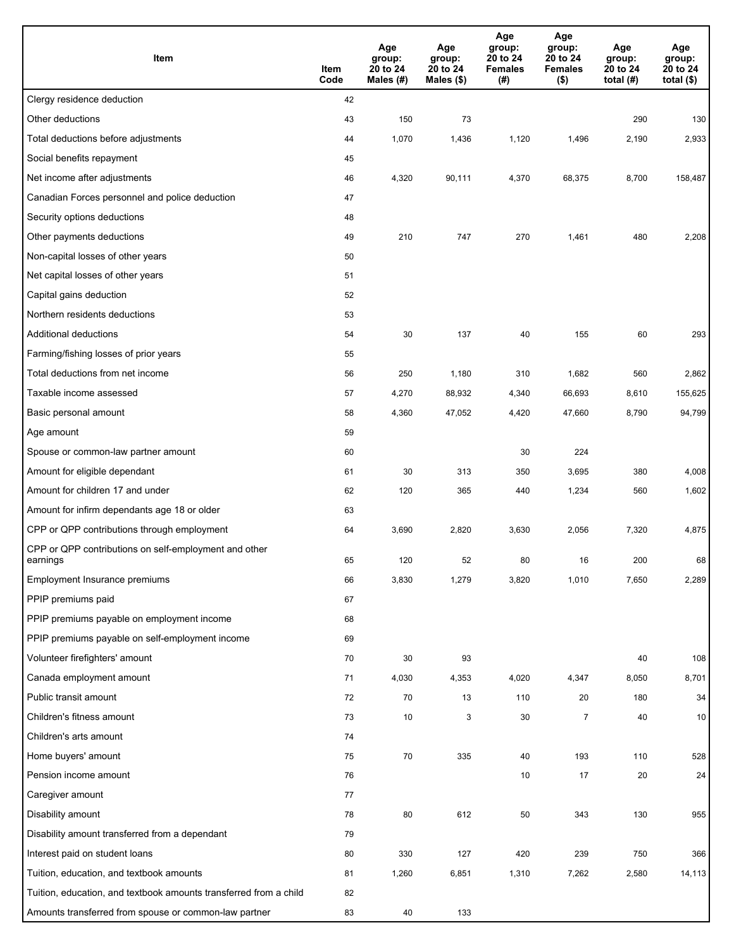| Item                                                              | Item<br>Code | Age<br>group:<br>20 to 24<br>Males (#) | Age<br>group:<br>20 to 24<br>Males (\$) | Age<br>group:<br>20 to 24<br><b>Females</b><br>(#) | Age<br>group:<br>20 to 24<br><b>Females</b><br>$($ \$) | Age<br>group:<br>20 to 24<br>total $(H)$ | Age<br>group:<br>20 to 24<br>total $($)$ |
|-------------------------------------------------------------------|--------------|----------------------------------------|-----------------------------------------|----------------------------------------------------|--------------------------------------------------------|------------------------------------------|------------------------------------------|
| Clergy residence deduction                                        | 42           |                                        |                                         |                                                    |                                                        |                                          |                                          |
| Other deductions                                                  | 43           | 150                                    | 73                                      |                                                    |                                                        | 290                                      | 130                                      |
| Total deductions before adjustments                               | 44           | 1,070                                  | 1,436                                   | 1,120                                              | 1,496                                                  | 2,190                                    | 2,933                                    |
| Social benefits repayment                                         | 45           |                                        |                                         |                                                    |                                                        |                                          |                                          |
| Net income after adjustments                                      | 46           | 4,320                                  | 90,111                                  | 4,370                                              | 68,375                                                 | 8,700                                    | 158,487                                  |
| Canadian Forces personnel and police deduction                    | 47           |                                        |                                         |                                                    |                                                        |                                          |                                          |
| Security options deductions                                       | 48           |                                        |                                         |                                                    |                                                        |                                          |                                          |
| Other payments deductions                                         | 49           | 210                                    | 747                                     | 270                                                | 1,461                                                  | 480                                      | 2,208                                    |
| Non-capital losses of other years                                 | 50           |                                        |                                         |                                                    |                                                        |                                          |                                          |
| Net capital losses of other years                                 | 51           |                                        |                                         |                                                    |                                                        |                                          |                                          |
| Capital gains deduction                                           | 52           |                                        |                                         |                                                    |                                                        |                                          |                                          |
| Northern residents deductions                                     | 53           |                                        |                                         |                                                    |                                                        |                                          |                                          |
| Additional deductions                                             | 54           | 30                                     | 137                                     | 40                                                 | 155                                                    | 60                                       | 293                                      |
| Farming/fishing losses of prior years                             | 55           |                                        |                                         |                                                    |                                                        |                                          |                                          |
| Total deductions from net income                                  | 56           | 250                                    | 1,180                                   | 310                                                | 1,682                                                  | 560                                      | 2,862                                    |
| Taxable income assessed                                           | 57           | 4,270                                  | 88,932                                  | 4,340                                              | 66,693                                                 | 8,610                                    | 155,625                                  |
| Basic personal amount                                             | 58           | 4,360                                  | 47,052                                  | 4,420                                              | 47,660                                                 | 8,790                                    | 94,799                                   |
| Age amount                                                        | 59           |                                        |                                         |                                                    |                                                        |                                          |                                          |
| Spouse or common-law partner amount                               | 60           |                                        |                                         | 30                                                 | 224                                                    |                                          |                                          |
| Amount for eligible dependant                                     | 61           | 30                                     | 313                                     | 350                                                | 3,695                                                  | 380                                      | 4,008                                    |
| Amount for children 17 and under                                  | 62           | 120                                    | 365                                     | 440                                                | 1,234                                                  | 560                                      | 1,602                                    |
| Amount for infirm dependants age 18 or older                      | 63           |                                        |                                         |                                                    |                                                        |                                          |                                          |
| CPP or QPP contributions through employment                       | 64           | 3,690                                  | 2,820                                   | 3,630                                              | 2,056                                                  | 7,320                                    | 4,875                                    |
| CPP or QPP contributions on self-employment and other<br>earnings | 65           | 120                                    | 52                                      | 80                                                 | 16                                                     | 200                                      | 68                                       |
| Employment Insurance premiums                                     | 66           | 3,830                                  | 1,279                                   | 3,820                                              | 1,010                                                  | 7,650                                    | 2,289                                    |
| PPIP premiums paid                                                | 67           |                                        |                                         |                                                    |                                                        |                                          |                                          |
| PPIP premiums payable on employment income                        | 68           |                                        |                                         |                                                    |                                                        |                                          |                                          |
| PPIP premiums payable on self-employment income                   | 69           |                                        |                                         |                                                    |                                                        |                                          |                                          |
| Volunteer firefighters' amount                                    | 70           | 30                                     | 93                                      |                                                    |                                                        | 40                                       | 108                                      |
| Canada employment amount                                          | 71           | 4,030                                  | 4,353                                   | 4,020                                              | 4,347                                                  | 8,050                                    | 8,701                                    |
| Public transit amount                                             | 72           | 70                                     | 13                                      | 110                                                | 20                                                     | 180                                      | 34                                       |
| Children's fitness amount                                         | 73           | 10                                     | 3                                       | 30                                                 | $\overline{7}$                                         | 40                                       | 10                                       |
| Children's arts amount                                            | 74           |                                        |                                         |                                                    |                                                        |                                          |                                          |
| Home buyers' amount                                               | 75           | $70\,$                                 | 335                                     | 40                                                 | 193                                                    | 110                                      | 528                                      |
| Pension income amount                                             | 76           |                                        |                                         | 10                                                 | 17                                                     | 20                                       | 24                                       |
| Caregiver amount                                                  | 77           |                                        |                                         |                                                    |                                                        |                                          |                                          |
| Disability amount                                                 | 78           | 80                                     | 612                                     | 50                                                 | 343                                                    | 130                                      | 955                                      |
| Disability amount transferred from a dependant                    | 79           |                                        |                                         |                                                    |                                                        |                                          |                                          |
| Interest paid on student loans                                    | 80           | 330                                    | 127                                     | 420                                                | 239                                                    | 750                                      | 366                                      |
| Tuition, education, and textbook amounts                          | 81           | 1,260                                  | 6,851                                   | 1,310                                              | 7,262                                                  | 2,580                                    | 14,113                                   |
| Tuition, education, and textbook amounts transferred from a child | 82           |                                        |                                         |                                                    |                                                        |                                          |                                          |
| Amounts transferred from spouse or common-law partner             | 83           | 40                                     | 133                                     |                                                    |                                                        |                                          |                                          |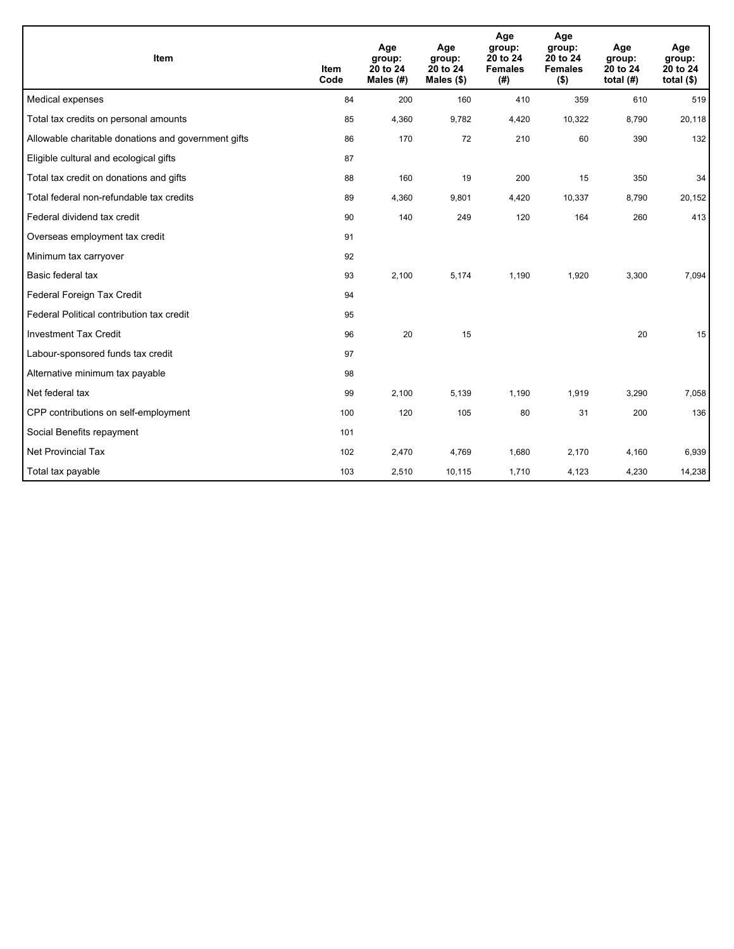| <b>Item</b>                                         | <b>Item</b><br>Code | Age<br>group:<br>20 to 24<br>Males (#) | Age<br>group:<br>20 to 24<br>Males $(\$)$ | Age<br>group:<br>20 to 24<br><b>Females</b><br>(# ) | Age<br>group:<br>20 to 24<br><b>Females</b><br>$($ \$) | Age<br>group:<br>20 to 24<br>total $(H)$ | Age<br>group:<br>20 to 24<br>total $($)$ |
|-----------------------------------------------------|---------------------|----------------------------------------|-------------------------------------------|-----------------------------------------------------|--------------------------------------------------------|------------------------------------------|------------------------------------------|
| Medical expenses                                    | 84                  | 200                                    | 160                                       | 410                                                 | 359                                                    | 610                                      | 519                                      |
| Total tax credits on personal amounts               | 85                  | 4,360                                  | 9,782                                     | 4,420                                               | 10,322                                                 | 8,790                                    | 20,118                                   |
| Allowable charitable donations and government gifts | 86                  | 170                                    | 72                                        | 210                                                 | 60                                                     | 390                                      | 132                                      |
| Eligible cultural and ecological gifts              | 87                  |                                        |                                           |                                                     |                                                        |                                          |                                          |
| Total tax credit on donations and gifts             | 88                  | 160                                    | 19                                        | 200                                                 | 15                                                     | 350                                      | 34                                       |
| Total federal non-refundable tax credits            | 89                  | 4,360                                  | 9,801                                     | 4,420                                               | 10,337                                                 | 8,790                                    | 20,152                                   |
| Federal dividend tax credit                         | 90                  | 140                                    | 249                                       | 120                                                 | 164                                                    | 260                                      | 413                                      |
| Overseas employment tax credit                      | 91                  |                                        |                                           |                                                     |                                                        |                                          |                                          |
| Minimum tax carryover                               | 92                  |                                        |                                           |                                                     |                                                        |                                          |                                          |
| Basic federal tax                                   | 93                  | 2,100                                  | 5,174                                     | 1,190                                               | 1,920                                                  | 3,300                                    | 7,094                                    |
| Federal Foreign Tax Credit                          | 94                  |                                        |                                           |                                                     |                                                        |                                          |                                          |
| Federal Political contribution tax credit           | 95                  |                                        |                                           |                                                     |                                                        |                                          |                                          |
| <b>Investment Tax Credit</b>                        | 96                  | 20                                     | 15                                        |                                                     |                                                        | 20                                       | 15                                       |
| Labour-sponsored funds tax credit                   | 97                  |                                        |                                           |                                                     |                                                        |                                          |                                          |
| Alternative minimum tax payable                     | 98                  |                                        |                                           |                                                     |                                                        |                                          |                                          |
| Net federal tax                                     | 99                  | 2,100                                  | 5,139                                     | 1,190                                               | 1,919                                                  | 3,290                                    | 7,058                                    |
| CPP contributions on self-employment                | 100                 | 120                                    | 105                                       | 80                                                  | 31                                                     | 200                                      | 136                                      |
| Social Benefits repayment                           | 101                 |                                        |                                           |                                                     |                                                        |                                          |                                          |
| Net Provincial Tax                                  | 102                 | 2,470                                  | 4,769                                     | 1,680                                               | 2,170                                                  | 4,160                                    | 6,939                                    |
| Total tax payable                                   | 103                 | 2,510                                  | 10,115                                    | 1,710                                               | 4,123                                                  | 4,230                                    | 14,238                                   |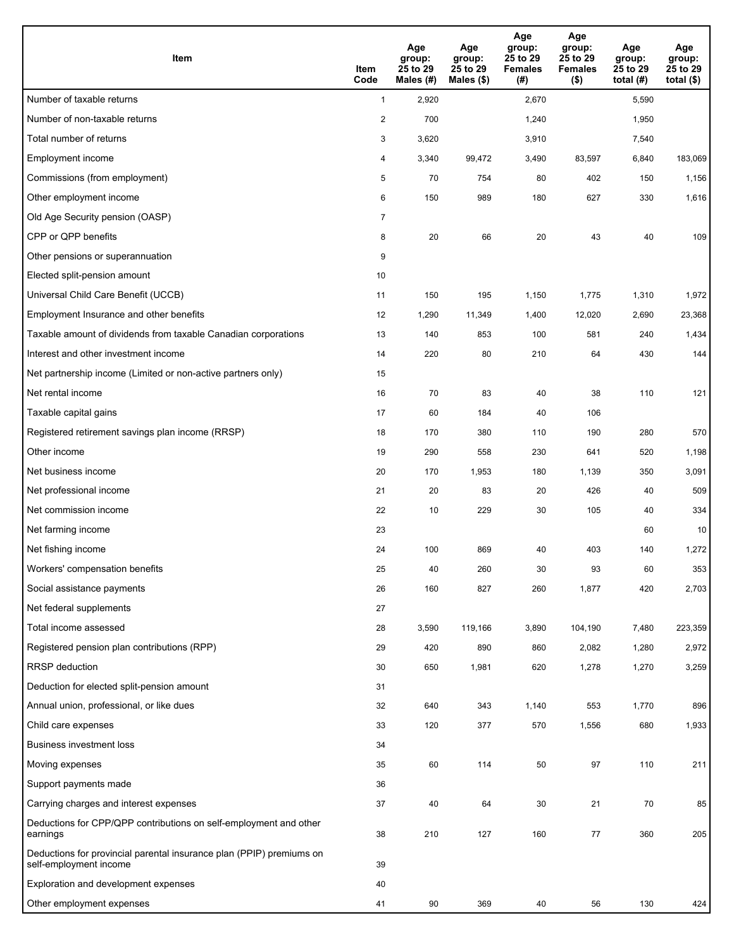| Item                                                                                           | Item<br>Code   | Age<br>group:<br>25 to 29<br>Males (#) | Age<br>group:<br>25 to 29<br>Males (\$) | Age<br>group:<br>25 to 29<br><b>Females</b><br>(#) | Age<br>group:<br>25 to 29<br><b>Females</b><br>$($ \$) | Age<br>group:<br>25 to 29<br>total $(H)$ | Age<br>group:<br>25 to 29<br>total $($)$ |
|------------------------------------------------------------------------------------------------|----------------|----------------------------------------|-----------------------------------------|----------------------------------------------------|--------------------------------------------------------|------------------------------------------|------------------------------------------|
| Number of taxable returns                                                                      | $\mathbf{1}$   | 2,920                                  |                                         | 2,670                                              |                                                        | 5,590                                    |                                          |
| Number of non-taxable returns                                                                  | $\overline{c}$ | 700                                    |                                         | 1,240                                              |                                                        | 1,950                                    |                                          |
| Total number of returns                                                                        | 3              | 3,620                                  |                                         | 3,910                                              |                                                        | 7,540                                    |                                          |
| Employment income                                                                              | 4              | 3,340                                  | 99,472                                  | 3,490                                              | 83,597                                                 | 6,840                                    | 183,069                                  |
| Commissions (from employment)                                                                  | 5              | 70                                     | 754                                     | 80                                                 | 402                                                    | 150                                      | 1,156                                    |
| Other employment income                                                                        | 6              | 150                                    | 989                                     | 180                                                | 627                                                    | 330                                      | 1,616                                    |
| Old Age Security pension (OASP)                                                                | $\overline{7}$ |                                        |                                         |                                                    |                                                        |                                          |                                          |
| CPP or QPP benefits                                                                            | 8              | 20                                     | 66                                      | 20                                                 | 43                                                     | 40                                       | 109                                      |
| Other pensions or superannuation                                                               | 9              |                                        |                                         |                                                    |                                                        |                                          |                                          |
| Elected split-pension amount                                                                   | 10             |                                        |                                         |                                                    |                                                        |                                          |                                          |
| Universal Child Care Benefit (UCCB)                                                            | 11             | 150                                    | 195                                     | 1,150                                              | 1,775                                                  | 1,310                                    | 1,972                                    |
| Employment Insurance and other benefits                                                        | 12             | 1,290                                  | 11,349                                  | 1,400                                              | 12,020                                                 | 2,690                                    | 23,368                                   |
| Taxable amount of dividends from taxable Canadian corporations                                 | 13             | 140                                    | 853                                     | 100                                                | 581                                                    | 240                                      | 1,434                                    |
| Interest and other investment income                                                           | 14             | 220                                    | 80                                      | 210                                                | 64                                                     | 430                                      | 144                                      |
| Net partnership income (Limited or non-active partners only)                                   | 15             |                                        |                                         |                                                    |                                                        |                                          |                                          |
| Net rental income                                                                              | 16             | 70                                     | 83                                      | 40                                                 | 38                                                     | 110                                      | 121                                      |
| Taxable capital gains                                                                          | 17             | 60                                     | 184                                     | 40                                                 | 106                                                    |                                          |                                          |
| Registered retirement savings plan income (RRSP)                                               | 18             | 170                                    | 380                                     | 110                                                | 190                                                    | 280                                      | 570                                      |
| Other income                                                                                   | 19             | 290                                    | 558                                     | 230                                                | 641                                                    | 520                                      | 1,198                                    |
| Net business income                                                                            | 20             | 170                                    | 1,953                                   | 180                                                | 1,139                                                  | 350                                      | 3,091                                    |
| Net professional income                                                                        | 21             | 20                                     | 83                                      | 20                                                 | 426                                                    | 40                                       | 509                                      |
| Net commission income                                                                          | 22             | 10                                     | 229                                     | 30                                                 | 105                                                    | 40                                       | 334                                      |
| Net farming income                                                                             | 23             |                                        |                                         |                                                    |                                                        | 60                                       | 10                                       |
| Net fishing income                                                                             | 24             | 100                                    | 869                                     | 40                                                 | 403                                                    | 140                                      | 1,272                                    |
| Workers' compensation benefits                                                                 | 25             | 40                                     | 260                                     | 30                                                 | 93                                                     | 60                                       | 353                                      |
| Social assistance payments                                                                     | 26             | 160                                    | 827                                     | 260                                                | 1,877                                                  | 420                                      | 2,703                                    |
| Net federal supplements                                                                        | 27             |                                        |                                         |                                                    |                                                        |                                          |                                          |
| Total income assessed                                                                          | 28             | 3,590                                  | 119,166                                 | 3,890                                              | 104,190                                                | 7,480                                    | 223,359                                  |
| Registered pension plan contributions (RPP)                                                    | 29             | 420                                    | 890                                     | 860                                                | 2,082                                                  | 1,280                                    | 2,972                                    |
| <b>RRSP</b> deduction                                                                          | 30             | 650                                    | 1,981                                   | 620                                                | 1,278                                                  | 1,270                                    | 3,259                                    |
| Deduction for elected split-pension amount                                                     | 31             |                                        |                                         |                                                    |                                                        |                                          |                                          |
| Annual union, professional, or like dues                                                       | 32             | 640                                    | 343                                     | 1,140                                              | 553                                                    | 1,770                                    | 896                                      |
| Child care expenses                                                                            | 33             | 120                                    | 377                                     | 570                                                | 1,556                                                  | 680                                      | 1,933                                    |
| <b>Business investment loss</b>                                                                | 34             |                                        |                                         |                                                    |                                                        |                                          |                                          |
| Moving expenses                                                                                | 35             | 60                                     | 114                                     | 50                                                 | 97                                                     | 110                                      | 211                                      |
| Support payments made                                                                          | 36             |                                        |                                         |                                                    |                                                        |                                          |                                          |
| Carrying charges and interest expenses                                                         | 37             | 40                                     | 64                                      | 30                                                 | 21                                                     | 70                                       | 85                                       |
| Deductions for CPP/QPP contributions on self-employment and other<br>earnings                  | 38             | 210                                    | 127                                     | 160                                                | 77                                                     | 360                                      | 205                                      |
| Deductions for provincial parental insurance plan (PPIP) premiums on<br>self-employment income | 39             |                                        |                                         |                                                    |                                                        |                                          |                                          |
| Exploration and development expenses                                                           | 40             |                                        |                                         |                                                    |                                                        |                                          |                                          |
| Other employment expenses                                                                      | 41             | 90                                     | 369                                     | 40                                                 | 56                                                     | 130                                      | 424                                      |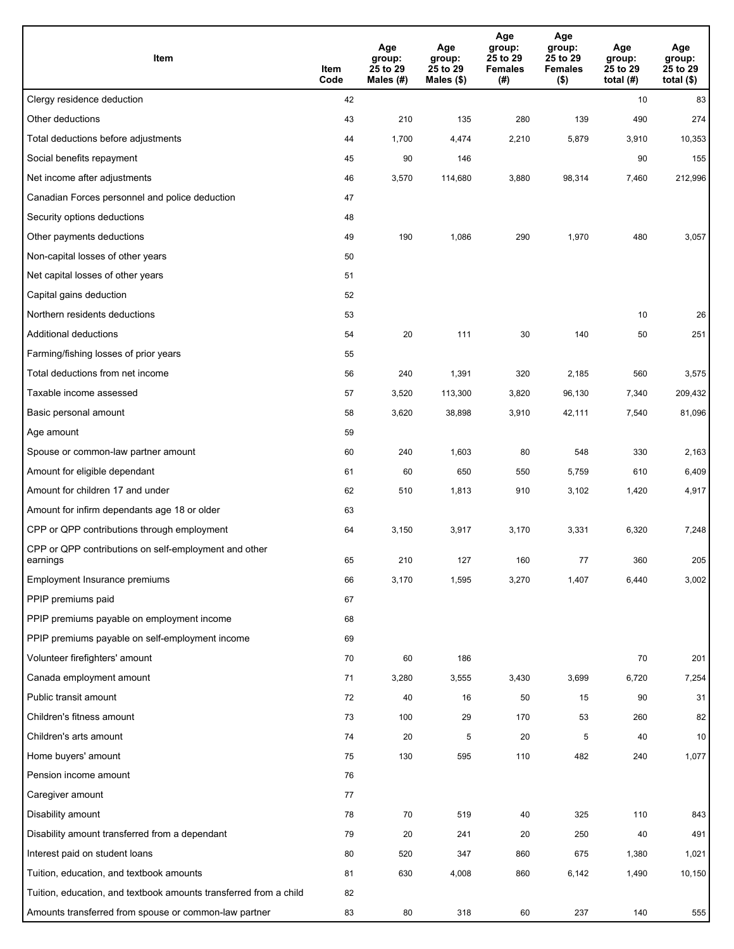| Item                                                              | Item<br>Code | Age<br>group:<br>25 to 29<br>Males (#) | Age<br>group:<br>25 to 29<br>Males $(\$)$ | Age<br>group:<br>25 to 29<br><b>Females</b><br>(# ) | Age<br>group:<br>25 to 29<br><b>Females</b><br>$($ \$) | Age<br>group:<br>25 to 29<br>total $(H)$ | Age<br>group:<br>25 to 29<br>total $($)$ |
|-------------------------------------------------------------------|--------------|----------------------------------------|-------------------------------------------|-----------------------------------------------------|--------------------------------------------------------|------------------------------------------|------------------------------------------|
| Clergy residence deduction                                        | 42           |                                        |                                           |                                                     |                                                        | 10                                       | 83                                       |
| Other deductions                                                  | 43           | 210                                    | 135                                       | 280                                                 | 139                                                    | 490                                      | 274                                      |
| Total deductions before adjustments                               | 44           | 1,700                                  | 4,474                                     | 2,210                                               | 5,879                                                  | 3,910                                    | 10,353                                   |
| Social benefits repayment                                         | 45           | 90                                     | 146                                       |                                                     |                                                        | 90                                       | 155                                      |
| Net income after adjustments                                      | 46           | 3,570                                  | 114,680                                   | 3,880                                               | 98,314                                                 | 7,460                                    | 212,996                                  |
| Canadian Forces personnel and police deduction                    | 47           |                                        |                                           |                                                     |                                                        |                                          |                                          |
| Security options deductions                                       | 48           |                                        |                                           |                                                     |                                                        |                                          |                                          |
| Other payments deductions                                         | 49           | 190                                    | 1,086                                     | 290                                                 | 1,970                                                  | 480                                      | 3,057                                    |
| Non-capital losses of other years                                 | 50           |                                        |                                           |                                                     |                                                        |                                          |                                          |
| Net capital losses of other years                                 | 51           |                                        |                                           |                                                     |                                                        |                                          |                                          |
| Capital gains deduction                                           | 52           |                                        |                                           |                                                     |                                                        |                                          |                                          |
| Northern residents deductions                                     | 53           |                                        |                                           |                                                     |                                                        | 10                                       | 26                                       |
| Additional deductions                                             | 54           | 20                                     | 111                                       | 30                                                  | 140                                                    | 50                                       | 251                                      |
| Farming/fishing losses of prior years                             | 55           |                                        |                                           |                                                     |                                                        |                                          |                                          |
| Total deductions from net income                                  | 56           | 240                                    | 1,391                                     | 320                                                 | 2,185                                                  | 560                                      | 3,575                                    |
| Taxable income assessed                                           | 57           | 3,520                                  | 113,300                                   | 3,820                                               | 96,130                                                 | 7,340                                    | 209,432                                  |
| Basic personal amount                                             | 58           | 3,620                                  | 38,898                                    | 3,910                                               | 42,111                                                 | 7,540                                    | 81,096                                   |
| Age amount                                                        | 59           |                                        |                                           |                                                     |                                                        |                                          |                                          |
| Spouse or common-law partner amount                               | 60           | 240                                    | 1,603                                     | 80                                                  | 548                                                    | 330                                      | 2,163                                    |
| Amount for eligible dependant                                     | 61           | 60                                     | 650                                       | 550                                                 | 5,759                                                  | 610                                      | 6,409                                    |
| Amount for children 17 and under                                  | 62           | 510                                    | 1,813                                     | 910                                                 | 3,102                                                  | 1,420                                    | 4,917                                    |
| Amount for infirm dependants age 18 or older                      | 63           |                                        |                                           |                                                     |                                                        |                                          |                                          |
| CPP or QPP contributions through employment                       | 64           | 3,150                                  | 3,917                                     | 3,170                                               | 3,331                                                  | 6,320                                    | 7,248                                    |
| CPP or QPP contributions on self-employment and other<br>earnings | 65           | 210                                    | 127                                       | 160                                                 | 77                                                     | 360                                      | 205                                      |
| Employment Insurance premiums                                     | 66           | 3,170                                  | 1,595                                     | 3,270                                               | 1,407                                                  | 6,440                                    | 3,002                                    |
| PPIP premiums paid                                                | 67           |                                        |                                           |                                                     |                                                        |                                          |                                          |
| PPIP premiums payable on employment income                        | 68           |                                        |                                           |                                                     |                                                        |                                          |                                          |
| PPIP premiums payable on self-employment income                   | 69           |                                        |                                           |                                                     |                                                        |                                          |                                          |
| Volunteer firefighters' amount                                    | 70           | 60                                     | 186                                       |                                                     |                                                        | 70                                       | 201                                      |
| Canada employment amount                                          | 71           | 3,280                                  | 3,555                                     | 3,430                                               | 3,699                                                  | 6,720                                    | 7,254                                    |
| Public transit amount                                             | 72           | 40                                     | 16                                        | 50                                                  | 15                                                     | 90                                       | 31                                       |
| Children's fitness amount                                         | 73           | 100                                    | 29                                        | 170                                                 | 53                                                     | 260                                      | 82                                       |
| Children's arts amount                                            | 74           | 20                                     | 5                                         | 20                                                  | $\overline{5}$                                         | 40                                       | 10                                       |
| Home buyers' amount                                               | 75           | 130                                    | 595                                       | 110                                                 | 482                                                    | 240                                      | 1,077                                    |
| Pension income amount                                             | 76           |                                        |                                           |                                                     |                                                        |                                          |                                          |
| Caregiver amount                                                  | 77           |                                        |                                           |                                                     |                                                        |                                          |                                          |
| Disability amount                                                 | 78           | 70                                     | 519                                       | 40                                                  | 325                                                    | 110                                      | 843                                      |
| Disability amount transferred from a dependant                    | 79           | 20                                     | 241                                       | 20                                                  | 250                                                    | 40                                       | 491                                      |
| Interest paid on student loans                                    | 80           | 520                                    | 347                                       | 860                                                 | 675                                                    | 1,380                                    | 1,021                                    |
| Tuition, education, and textbook amounts                          | 81           | 630                                    | 4,008                                     | 860                                                 | 6,142                                                  | 1,490                                    | 10, 150                                  |
| Tuition, education, and textbook amounts transferred from a child | 82           |                                        |                                           |                                                     |                                                        |                                          |                                          |
| Amounts transferred from spouse or common-law partner             | 83           | 80                                     | 318                                       | 60                                                  | 237                                                    | 140                                      | 555                                      |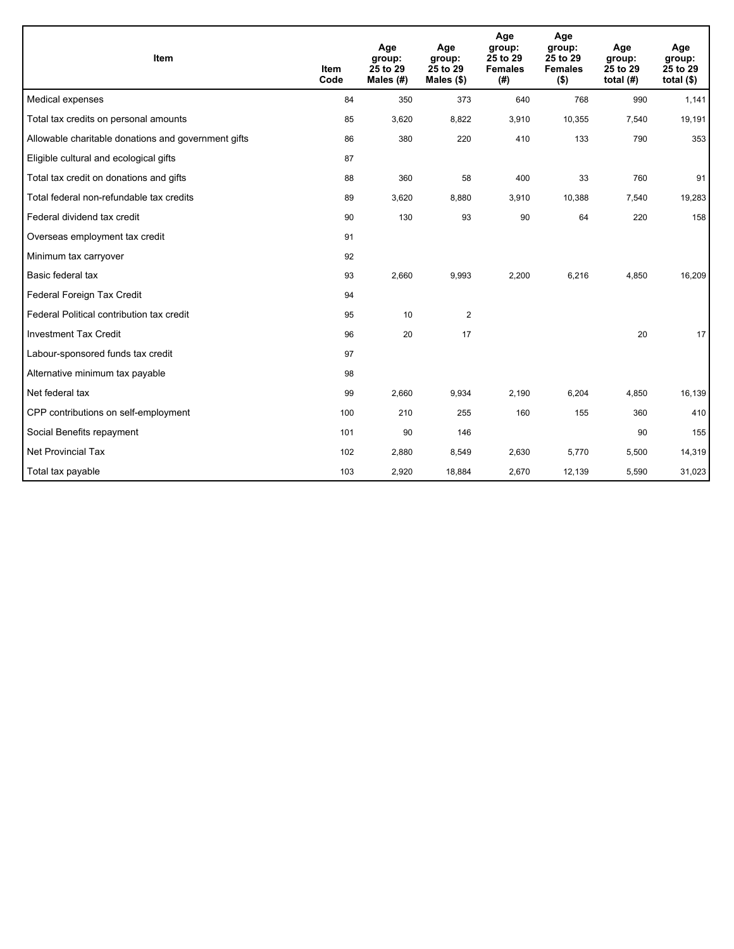| Item                                                | <b>Item</b><br>Code | Age<br>group:<br>25 to 29<br>Males (#) | Age<br>group:<br>25 to 29<br>Males $(\$)$ | Age<br>group:<br>25 to 29<br><b>Females</b><br>(# ) | Age<br>group:<br>25 to 29<br><b>Females</b><br>$($ \$) | Age<br>group:<br>25 to 29<br>total $(H)$ | Age<br>group:<br>25 to 29<br>total $($)$ |
|-----------------------------------------------------|---------------------|----------------------------------------|-------------------------------------------|-----------------------------------------------------|--------------------------------------------------------|------------------------------------------|------------------------------------------|
| Medical expenses                                    | 84                  | 350                                    | 373                                       | 640                                                 | 768                                                    | 990                                      | 1,141                                    |
| Total tax credits on personal amounts               | 85                  | 3,620                                  | 8,822                                     | 3,910                                               | 10,355                                                 | 7,540                                    | 19,191                                   |
| Allowable charitable donations and government gifts | 86                  | 380                                    | 220                                       | 410                                                 | 133                                                    | 790                                      | 353                                      |
| Eligible cultural and ecological gifts              | 87                  |                                        |                                           |                                                     |                                                        |                                          |                                          |
| Total tax credit on donations and gifts             | 88                  | 360                                    | 58                                        | 400                                                 | 33                                                     | 760                                      | 91                                       |
| Total federal non-refundable tax credits            | 89                  | 3,620                                  | 8,880                                     | 3,910                                               | 10,388                                                 | 7,540                                    | 19,283                                   |
| Federal dividend tax credit                         | 90                  | 130                                    | 93                                        | 90                                                  | 64                                                     | 220                                      | 158                                      |
| Overseas employment tax credit                      | 91                  |                                        |                                           |                                                     |                                                        |                                          |                                          |
| Minimum tax carryover                               | 92                  |                                        |                                           |                                                     |                                                        |                                          |                                          |
| Basic federal tax                                   | 93                  | 2,660                                  | 9,993                                     | 2,200                                               | 6,216                                                  | 4,850                                    | 16,209                                   |
| Federal Foreign Tax Credit                          | 94                  |                                        |                                           |                                                     |                                                        |                                          |                                          |
| Federal Political contribution tax credit           | 95                  | 10                                     | $\overline{2}$                            |                                                     |                                                        |                                          |                                          |
| <b>Investment Tax Credit</b>                        | 96                  | 20                                     | 17                                        |                                                     |                                                        | 20                                       | 17                                       |
| Labour-sponsored funds tax credit                   | 97                  |                                        |                                           |                                                     |                                                        |                                          |                                          |
| Alternative minimum tax payable                     | 98                  |                                        |                                           |                                                     |                                                        |                                          |                                          |
| Net federal tax                                     | 99                  | 2,660                                  | 9,934                                     | 2,190                                               | 6,204                                                  | 4,850                                    | 16,139                                   |
| CPP contributions on self-employment                | 100                 | 210                                    | 255                                       | 160                                                 | 155                                                    | 360                                      | 410                                      |
| Social Benefits repayment                           | 101                 | 90                                     | 146                                       |                                                     |                                                        | 90                                       | 155                                      |
| Net Provincial Tax                                  | 102                 | 2,880                                  | 8,549                                     | 2,630                                               | 5,770                                                  | 5,500                                    | 14,319                                   |
| Total tax payable                                   | 103                 | 2,920                                  | 18,884                                    | 2,670                                               | 12,139                                                 | 5,590                                    | 31,023                                   |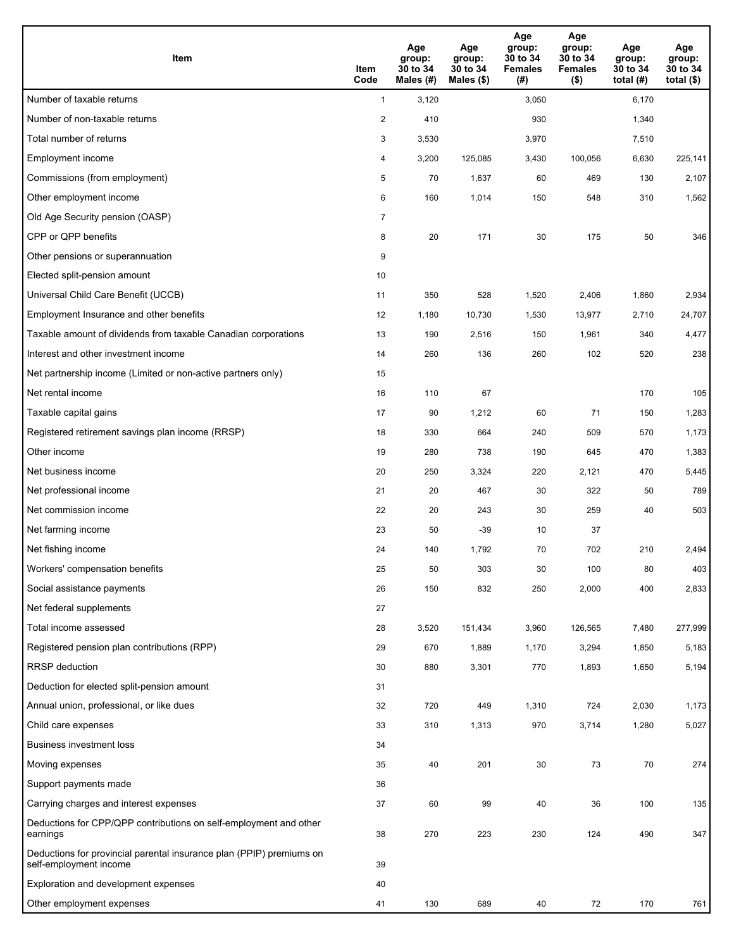| Item                                                                                           | Item<br>Code   | Age<br>group:<br>30 to 34<br>Males (#) | Age<br>group:<br>30 to 34<br>Males (\$) | Age<br>group:<br>30 to 34<br><b>Females</b><br>(# ) | Age<br>group:<br>30 to 34<br><b>Females</b><br>$($ \$) | Age<br>group:<br>30 to 34<br>total $(#)$ | Age<br>group:<br>30 to 34<br>total $($ |
|------------------------------------------------------------------------------------------------|----------------|----------------------------------------|-----------------------------------------|-----------------------------------------------------|--------------------------------------------------------|------------------------------------------|----------------------------------------|
| Number of taxable returns                                                                      | $\mathbf{1}$   | 3,120                                  |                                         | 3,050                                               |                                                        | 6,170                                    |                                        |
| Number of non-taxable returns                                                                  | $\overline{2}$ | 410                                    |                                         | 930                                                 |                                                        | 1,340                                    |                                        |
| Total number of returns                                                                        | 3              | 3,530                                  |                                         | 3,970                                               |                                                        | 7,510                                    |                                        |
| Employment income                                                                              | 4              | 3,200                                  | 125,085                                 | 3,430                                               | 100,056                                                | 6,630                                    | 225,141                                |
| Commissions (from employment)                                                                  | 5              | 70                                     | 1,637                                   | 60                                                  | 469                                                    | 130                                      | 2,107                                  |
| Other employment income                                                                        | 6              | 160                                    | 1,014                                   | 150                                                 | 548                                                    | 310                                      | 1,562                                  |
| Old Age Security pension (OASP)                                                                | $\overline{7}$ |                                        |                                         |                                                     |                                                        |                                          |                                        |
| CPP or QPP benefits                                                                            | 8              | 20                                     | 171                                     | 30                                                  | 175                                                    | 50                                       | 346                                    |
| Other pensions or superannuation                                                               | 9              |                                        |                                         |                                                     |                                                        |                                          |                                        |
| Elected split-pension amount                                                                   | 10             |                                        |                                         |                                                     |                                                        |                                          |                                        |
| Universal Child Care Benefit (UCCB)                                                            | 11             | 350                                    | 528                                     | 1,520                                               | 2,406                                                  | 1,860                                    | 2,934                                  |
| Employment Insurance and other benefits                                                        | 12             | 1,180                                  | 10,730                                  | 1,530                                               | 13,977                                                 | 2,710                                    | 24,707                                 |
| Taxable amount of dividends from taxable Canadian corporations                                 | 13             | 190                                    | 2,516                                   | 150                                                 | 1,961                                                  | 340                                      | 4,477                                  |
| Interest and other investment income                                                           | 14             | 260                                    | 136                                     | 260                                                 | 102                                                    | 520                                      | 238                                    |
| Net partnership income (Limited or non-active partners only)                                   | 15             |                                        |                                         |                                                     |                                                        |                                          |                                        |
| Net rental income                                                                              | 16             | 110                                    | 67                                      |                                                     |                                                        | 170                                      | 105                                    |
| Taxable capital gains                                                                          | 17             | 90                                     | 1,212                                   | 60                                                  | 71                                                     | 150                                      | 1,283                                  |
| Registered retirement savings plan income (RRSP)                                               | 18             | 330                                    | 664                                     | 240                                                 | 509                                                    | 570                                      | 1,173                                  |
| Other income                                                                                   | 19             | 280                                    | 738                                     | 190                                                 | 645                                                    | 470                                      | 1,383                                  |
| Net business income                                                                            | 20             | 250                                    | 3,324                                   | 220                                                 | 2,121                                                  | 470                                      | 5,445                                  |
| Net professional income                                                                        | 21             | 20                                     | 467                                     | 30                                                  | 322                                                    | 50                                       | 789                                    |
| Net commission income                                                                          | 22             | 20                                     | 243                                     | 30                                                  | 259                                                    | 40                                       | 503                                    |
| Net farming income                                                                             | 23             | 50                                     | $-39$                                   | 10                                                  | 37                                                     |                                          |                                        |
| Net fishing income                                                                             | 24             | 140                                    | 1,792                                   | 70                                                  | 702                                                    | 210                                      | 2,494                                  |
| Workers' compensation benefits                                                                 | 25             | 50                                     | 303                                     | 30                                                  | 100                                                    | 80                                       | 403                                    |
| Social assistance payments                                                                     | 26             | 150                                    | 832                                     | 250                                                 | 2,000                                                  | 400                                      | 2,833                                  |
| Net federal supplements                                                                        | 27             |                                        |                                         |                                                     |                                                        |                                          |                                        |
| Total income assessed                                                                          | 28             | 3,520                                  | 151,434                                 | 3,960                                               | 126,565                                                | 7,480                                    | 277,999                                |
| Registered pension plan contributions (RPP)                                                    | 29             | 670                                    | 1,889                                   | 1,170                                               | 3,294                                                  | 1,850                                    | 5,183                                  |
| <b>RRSP</b> deduction                                                                          | 30             | 880                                    | 3,301                                   | 770                                                 | 1,893                                                  | 1,650                                    | 5,194                                  |
| Deduction for elected split-pension amount                                                     | 31             |                                        |                                         |                                                     |                                                        |                                          |                                        |
| Annual union, professional, or like dues                                                       | 32             | 720                                    | 449                                     | 1,310                                               | 724                                                    | 2,030                                    | 1,173                                  |
| Child care expenses                                                                            | 33             | 310                                    | 1,313                                   | 970                                                 | 3,714                                                  | 1,280                                    | 5,027                                  |
| Business investment loss                                                                       | 34             |                                        |                                         |                                                     |                                                        |                                          |                                        |
| Moving expenses                                                                                | 35             | 40                                     | 201                                     | 30                                                  | 73                                                     | $70\,$                                   | 274                                    |
| Support payments made                                                                          | 36             |                                        |                                         |                                                     |                                                        |                                          |                                        |
| Carrying charges and interest expenses                                                         | 37             | 60                                     | 99                                      | 40                                                  | 36                                                     | 100                                      | 135                                    |
| Deductions for CPP/QPP contributions on self-employment and other<br>earnings                  | 38             | 270                                    | 223                                     | 230                                                 | 124                                                    | 490                                      | 347                                    |
| Deductions for provincial parental insurance plan (PPIP) premiums on<br>self-employment income | 39             |                                        |                                         |                                                     |                                                        |                                          |                                        |
| Exploration and development expenses                                                           | 40             |                                        |                                         |                                                     |                                                        |                                          |                                        |
| Other employment expenses                                                                      | 41             | 130                                    | 689                                     | 40                                                  | 72                                                     | 170                                      | 761                                    |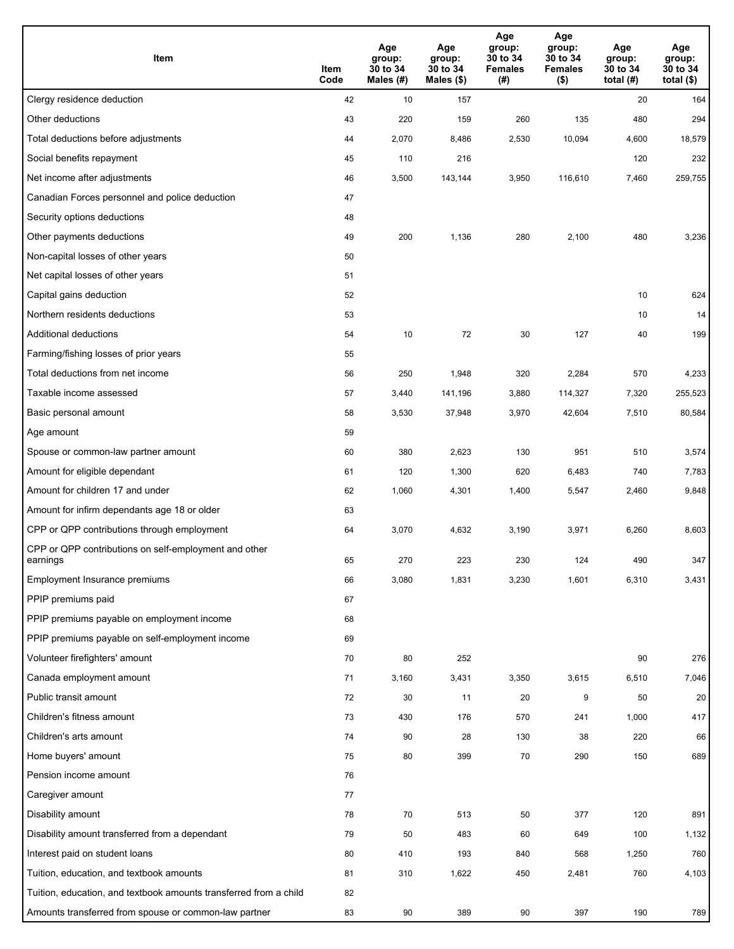| Item                                                              | Item<br>Code | Age<br>group:<br>30 to 34<br>Males (#) | Age<br>group:<br>30 to 34<br>Males $(\$)$ | Age<br>group:<br>30 to 34<br><b>Females</b><br>(# ) | Age<br>group:<br>30 to 34<br><b>Females</b><br>$($ \$) | Age<br>group:<br>30 to 34<br>total $(H)$ | Age<br>group:<br>30 to 34<br>total $($)$ |
|-------------------------------------------------------------------|--------------|----------------------------------------|-------------------------------------------|-----------------------------------------------------|--------------------------------------------------------|------------------------------------------|------------------------------------------|
| Clergy residence deduction                                        | 42           | 10                                     | 157                                       |                                                     |                                                        | 20                                       | 164                                      |
| Other deductions                                                  | 43           | 220                                    | 159                                       | 260                                                 | 135                                                    | 480                                      | 294                                      |
| Total deductions before adjustments                               | 44           | 2,070                                  | 8,486                                     | 2,530                                               | 10,094                                                 | 4,600                                    | 18,579                                   |
| Social benefits repayment                                         | 45           | 110                                    | 216                                       |                                                     |                                                        | 120                                      | 232                                      |
| Net income after adjustments                                      | 46           | 3,500                                  | 143,144                                   | 3,950                                               | 116,610                                                | 7,460                                    | 259,755                                  |
| Canadian Forces personnel and police deduction                    | 47           |                                        |                                           |                                                     |                                                        |                                          |                                          |
| Security options deductions                                       | 48           |                                        |                                           |                                                     |                                                        |                                          |                                          |
| Other payments deductions                                         | 49           | 200                                    | 1,136                                     | 280                                                 | 2,100                                                  | 480                                      | 3,236                                    |
| Non-capital losses of other years                                 | 50           |                                        |                                           |                                                     |                                                        |                                          |                                          |
| Net capital losses of other years                                 | 51           |                                        |                                           |                                                     |                                                        |                                          |                                          |
| Capital gains deduction                                           | 52           |                                        |                                           |                                                     |                                                        | 10                                       | 624                                      |
| Northern residents deductions                                     | 53           |                                        |                                           |                                                     |                                                        | 10                                       | 14                                       |
| Additional deductions                                             | 54           | 10                                     | 72                                        | 30                                                  | 127                                                    | 40                                       | 199                                      |
| Farming/fishing losses of prior years                             | 55           |                                        |                                           |                                                     |                                                        |                                          |                                          |
| Total deductions from net income                                  | 56           | 250                                    | 1,948                                     | 320                                                 | 2,284                                                  | 570                                      | 4,233                                    |
| Taxable income assessed                                           | 57           | 3,440                                  | 141,196                                   | 3,880                                               | 114,327                                                | 7,320                                    | 255,523                                  |
| Basic personal amount                                             | 58           | 3,530                                  | 37,948                                    | 3,970                                               | 42,604                                                 | 7,510                                    | 80,584                                   |
| Age amount                                                        | 59           |                                        |                                           |                                                     |                                                        |                                          |                                          |
| Spouse or common-law partner amount                               | 60           | 380                                    | 2,623                                     | 130                                                 | 951                                                    | 510                                      | 3,574                                    |
| Amount for eligible dependant                                     | 61           | 120                                    | 1,300                                     | 620                                                 | 6,483                                                  | 740                                      | 7,783                                    |
| Amount for children 17 and under                                  | 62           | 1,060                                  | 4,301                                     | 1,400                                               | 5,547                                                  | 2,460                                    | 9,848                                    |
| Amount for infirm dependants age 18 or older                      | 63           |                                        |                                           |                                                     |                                                        |                                          |                                          |
| CPP or QPP contributions through employment                       | 64           | 3,070                                  | 4,632                                     | 3,190                                               | 3,971                                                  | 6,260                                    | 8,603                                    |
| CPP or QPP contributions on self-employment and other<br>earnings | 65           | 270                                    | 223                                       | 230                                                 | 124                                                    | 490                                      | 347                                      |
| Employment Insurance premiums                                     | 66           | 3,080                                  | 1,831                                     | 3,230                                               | 1,601                                                  | 6,310                                    | 3,431                                    |
| PPIP premiums paid                                                | 67           |                                        |                                           |                                                     |                                                        |                                          |                                          |
| PPIP premiums payable on employment income                        | 68           |                                        |                                           |                                                     |                                                        |                                          |                                          |
| PPIP premiums payable on self-employment income                   | 69           |                                        |                                           |                                                     |                                                        |                                          |                                          |
| Volunteer firefighters' amount                                    | 70           | 80                                     | 252                                       |                                                     |                                                        | 90                                       | 276                                      |
| Canada employment amount                                          | 71           | 3,160                                  | 3,431                                     | 3,350                                               | 3,615                                                  | 6,510                                    | 7,046                                    |
| Public transit amount                                             | 72           | 30                                     | 11                                        | 20                                                  | 9                                                      | 50                                       | 20                                       |
| Children's fitness amount                                         | 73           | 430                                    | 176                                       | 570                                                 | 241                                                    | 1,000                                    | 417                                      |
| Children's arts amount                                            | 74           | 90                                     | 28                                        | 130                                                 | 38                                                     | 220                                      | 66                                       |
| Home buyers' amount                                               | 75           | 80                                     | 399                                       | 70                                                  | 290                                                    | 150                                      | 689                                      |
| Pension income amount                                             | 76           |                                        |                                           |                                                     |                                                        |                                          |                                          |
| Caregiver amount                                                  | 77           |                                        |                                           |                                                     |                                                        |                                          |                                          |
| Disability amount                                                 | 78           | 70                                     | 513                                       | 50                                                  | 377                                                    | 120                                      | 891                                      |
| Disability amount transferred from a dependant                    | 79           | 50                                     | 483                                       | 60                                                  | 649                                                    | 100                                      | 1,132                                    |
| Interest paid on student loans                                    | 80           | 410                                    | 193                                       | 840                                                 | 568                                                    | 1,250                                    | 760                                      |
| Tuition, education, and textbook amounts                          | 81           | 310                                    | 1,622                                     | 450                                                 | 2,481                                                  | 760                                      | 4,103                                    |
| Tuition, education, and textbook amounts transferred from a child | 82           |                                        |                                           |                                                     |                                                        |                                          |                                          |
| Amounts transferred from spouse or common-law partner             | 83           | 90                                     | 389                                       | 90                                                  | 397                                                    | 190                                      | 789                                      |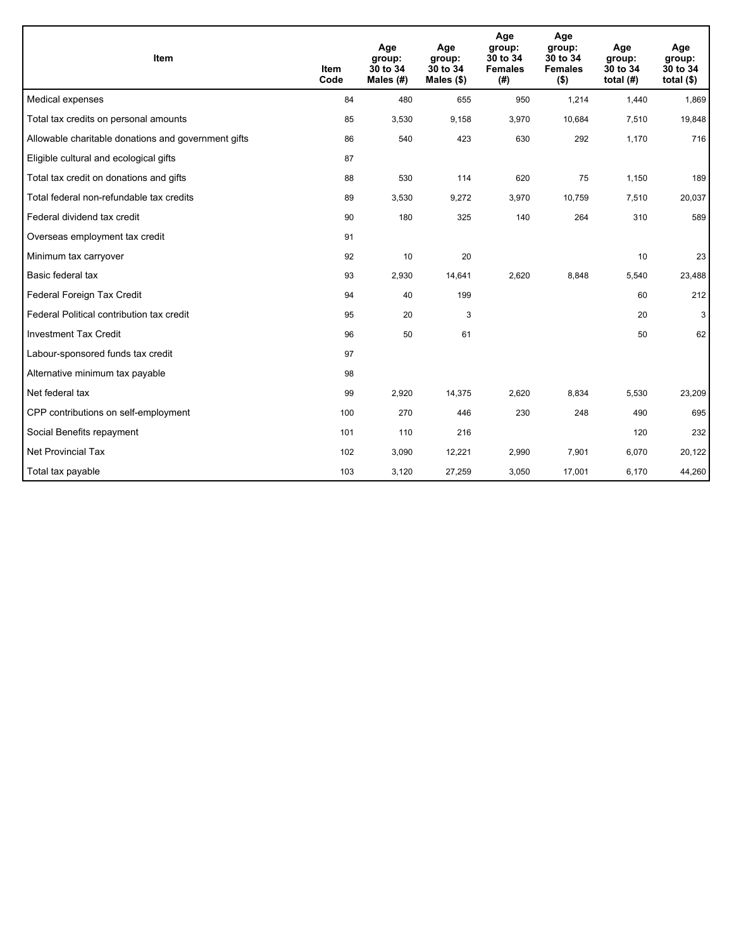| Item                                                | <b>Item</b><br>Code | Age<br>group:<br>30 to 34<br>Males (#) | Age<br>group:<br>30 to 34<br>Males $(\$)$ | Age<br>group:<br>30 to 34<br><b>Females</b><br>(#) | Age<br>group:<br>30 to 34<br><b>Females</b><br>$($ \$) | Age<br>group:<br>30 to 34<br>total $(H)$ | Age<br>group:<br>30 to 34<br>total $($)$ |
|-----------------------------------------------------|---------------------|----------------------------------------|-------------------------------------------|----------------------------------------------------|--------------------------------------------------------|------------------------------------------|------------------------------------------|
| Medical expenses                                    | 84                  | 480                                    | 655                                       | 950                                                | 1,214                                                  | 1,440                                    | 1,869                                    |
| Total tax credits on personal amounts               | 85                  | 3,530                                  | 9,158                                     | 3,970                                              | 10,684                                                 | 7,510                                    | 19,848                                   |
| Allowable charitable donations and government gifts | 86                  | 540                                    | 423                                       | 630                                                | 292                                                    | 1,170                                    | 716                                      |
| Eligible cultural and ecological gifts              | 87                  |                                        |                                           |                                                    |                                                        |                                          |                                          |
| Total tax credit on donations and gifts             | 88                  | 530                                    | 114                                       | 620                                                | 75                                                     | 1,150                                    | 189                                      |
| Total federal non-refundable tax credits            | 89                  | 3,530                                  | 9,272                                     | 3,970                                              | 10,759                                                 | 7,510                                    | 20,037                                   |
| Federal dividend tax credit                         | 90                  | 180                                    | 325                                       | 140                                                | 264                                                    | 310                                      | 589                                      |
| Overseas employment tax credit                      | 91                  |                                        |                                           |                                                    |                                                        |                                          |                                          |
| Minimum tax carryover                               | 92                  | 10                                     | 20                                        |                                                    |                                                        | 10                                       | 23                                       |
| Basic federal tax                                   | 93                  | 2,930                                  | 14,641                                    | 2,620                                              | 8,848                                                  | 5,540                                    | 23,488                                   |
| Federal Foreign Tax Credit                          | 94                  | 40                                     | 199                                       |                                                    |                                                        | 60                                       | 212                                      |
| Federal Political contribution tax credit           | 95                  | 20                                     | 3                                         |                                                    |                                                        | 20                                       | 3                                        |
| <b>Investment Tax Credit</b>                        | 96                  | 50                                     | 61                                        |                                                    |                                                        | 50                                       | 62                                       |
| Labour-sponsored funds tax credit                   | 97                  |                                        |                                           |                                                    |                                                        |                                          |                                          |
| Alternative minimum tax payable                     | 98                  |                                        |                                           |                                                    |                                                        |                                          |                                          |
| Net federal tax                                     | 99                  | 2,920                                  | 14,375                                    | 2,620                                              | 8,834                                                  | 5,530                                    | 23,209                                   |
| CPP contributions on self-employment                | 100                 | 270                                    | 446                                       | 230                                                | 248                                                    | 490                                      | 695                                      |
| Social Benefits repayment                           | 101                 | 110                                    | 216                                       |                                                    |                                                        | 120                                      | 232                                      |
| Net Provincial Tax                                  | 102                 | 3,090                                  | 12,221                                    | 2,990                                              | 7,901                                                  | 6,070                                    | 20,122                                   |
| Total tax payable                                   | 103                 | 3,120                                  | 27,259                                    | 3,050                                              | 17,001                                                 | 6,170                                    | 44,260                                   |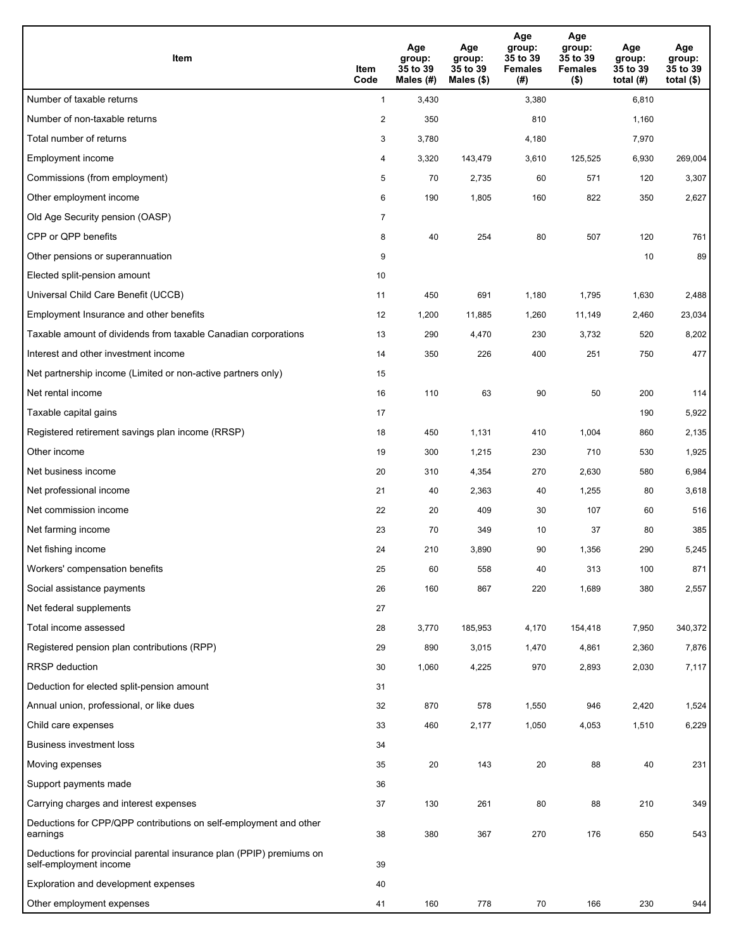| <b>Item</b>                                                                                    | Item<br>Code            | Age<br>group:<br>35 to 39<br>Males (#) | Age<br>group:<br>35 to 39<br>Males (\$) | Age<br>group:<br>35 to 39<br><b>Females</b><br>(#) | Age<br>group:<br>35 to 39<br><b>Females</b><br>$($ \$) | Age<br>group:<br>35 to 39<br>total $(#)$ | Age<br>group:<br>35 to 39<br>total $($)$ |
|------------------------------------------------------------------------------------------------|-------------------------|----------------------------------------|-----------------------------------------|----------------------------------------------------|--------------------------------------------------------|------------------------------------------|------------------------------------------|
| Number of taxable returns                                                                      | $\mathbf{1}$            | 3,430                                  |                                         | 3,380                                              |                                                        | 6,810                                    |                                          |
| Number of non-taxable returns                                                                  | $\overline{\mathbf{c}}$ | 350                                    |                                         | 810                                                |                                                        | 1,160                                    |                                          |
| Total number of returns                                                                        | 3                       | 3,780                                  |                                         | 4,180                                              |                                                        | 7,970                                    |                                          |
| Employment income                                                                              | 4                       | 3,320                                  | 143,479                                 | 3,610                                              | 125,525                                                | 6,930                                    | 269,004                                  |
| Commissions (from employment)                                                                  | 5                       | 70                                     | 2,735                                   | 60                                                 | 571                                                    | 120                                      | 3,307                                    |
| Other employment income                                                                        | 6                       | 190                                    | 1,805                                   | 160                                                | 822                                                    | 350                                      | 2,627                                    |
| Old Age Security pension (OASP)                                                                | $\overline{7}$          |                                        |                                         |                                                    |                                                        |                                          |                                          |
| CPP or QPP benefits                                                                            | 8                       | 40                                     | 254                                     | 80                                                 | 507                                                    | 120                                      | 761                                      |
| Other pensions or superannuation                                                               | 9                       |                                        |                                         |                                                    |                                                        | 10                                       | 89                                       |
| Elected split-pension amount                                                                   | 10                      |                                        |                                         |                                                    |                                                        |                                          |                                          |
| Universal Child Care Benefit (UCCB)                                                            | 11                      | 450                                    | 691                                     | 1,180                                              | 1,795                                                  | 1,630                                    | 2,488                                    |
| Employment Insurance and other benefits                                                        | 12                      | 1,200                                  | 11,885                                  | 1,260                                              | 11,149                                                 | 2,460                                    | 23,034                                   |
| Taxable amount of dividends from taxable Canadian corporations                                 | 13                      | 290                                    | 4,470                                   | 230                                                | 3,732                                                  | 520                                      | 8,202                                    |
| Interest and other investment income                                                           | 14                      | 350                                    | 226                                     | 400                                                | 251                                                    | 750                                      | 477                                      |
| Net partnership income (Limited or non-active partners only)                                   | 15                      |                                        |                                         |                                                    |                                                        |                                          |                                          |
| Net rental income                                                                              | 16                      | 110                                    | 63                                      | 90                                                 | 50                                                     | 200                                      | 114                                      |
| Taxable capital gains                                                                          | 17                      |                                        |                                         |                                                    |                                                        | 190                                      | 5,922                                    |
| Registered retirement savings plan income (RRSP)                                               | 18                      | 450                                    | 1,131                                   | 410                                                | 1,004                                                  | 860                                      | 2,135                                    |
| Other income                                                                                   | 19                      | 300                                    | 1,215                                   | 230                                                | 710                                                    | 530                                      | 1,925                                    |
| Net business income                                                                            | 20                      | 310                                    | 4,354                                   | 270                                                | 2,630                                                  | 580                                      | 6,984                                    |
| Net professional income                                                                        | 21                      | 40                                     | 2,363                                   | 40                                                 | 1,255                                                  | 80                                       | 3,618                                    |
| Net commission income                                                                          | 22                      | 20                                     | 409                                     | 30                                                 | 107                                                    | 60                                       | 516                                      |
| Net farming income                                                                             | 23                      | 70                                     | 349                                     | 10                                                 | 37                                                     | 80                                       | 385                                      |
| Net fishing income                                                                             | 24                      | 210                                    | 3,890                                   | 90                                                 | 1,356                                                  | 290                                      | 5,245                                    |
| Workers' compensation benefits                                                                 | 25                      | 60                                     | 558                                     | 40                                                 | 313                                                    | 100                                      | 871                                      |
| Social assistance payments                                                                     | 26                      | 160                                    | 867                                     | 220                                                | 1,689                                                  | 380                                      | 2,557                                    |
| Net federal supplements                                                                        | 27                      |                                        |                                         |                                                    |                                                        |                                          |                                          |
| Total income assessed                                                                          | 28                      | 3,770                                  | 185,953                                 | 4,170                                              | 154,418                                                | 7,950                                    | 340,372                                  |
| Registered pension plan contributions (RPP)                                                    | 29                      | 890                                    | 3,015                                   | 1,470                                              | 4,861                                                  | 2,360                                    | 7,876                                    |
| RRSP deduction                                                                                 | 30                      | 1,060                                  | 4,225                                   | 970                                                | 2,893                                                  | 2,030                                    | 7,117                                    |
| Deduction for elected split-pension amount                                                     | 31                      |                                        |                                         |                                                    |                                                        |                                          |                                          |
| Annual union, professional, or like dues                                                       | 32                      | 870                                    | 578                                     | 1,550                                              | 946                                                    | 2,420                                    | 1,524                                    |
| Child care expenses                                                                            | 33                      | 460                                    | 2,177                                   | 1,050                                              | 4,053                                                  | 1,510                                    | 6,229                                    |
| <b>Business investment loss</b>                                                                | 34                      |                                        |                                         |                                                    |                                                        |                                          |                                          |
| Moving expenses                                                                                | 35                      | 20                                     | 143                                     | 20                                                 | 88                                                     | 40                                       | 231                                      |
| Support payments made                                                                          | 36                      |                                        |                                         |                                                    |                                                        |                                          |                                          |
| Carrying charges and interest expenses                                                         | 37                      | 130                                    | 261                                     | 80                                                 | 88                                                     | 210                                      | 349                                      |
| Deductions for CPP/QPP contributions on self-employment and other<br>earnings                  | 38                      | 380                                    | 367                                     | 270                                                | 176                                                    | 650                                      | 543                                      |
| Deductions for provincial parental insurance plan (PPIP) premiums on<br>self-employment income | 39                      |                                        |                                         |                                                    |                                                        |                                          |                                          |
| Exploration and development expenses                                                           | 40                      |                                        |                                         |                                                    |                                                        |                                          |                                          |
| Other employment expenses                                                                      | 41                      | 160                                    | 778                                     | 70                                                 | 166                                                    | 230                                      | 944                                      |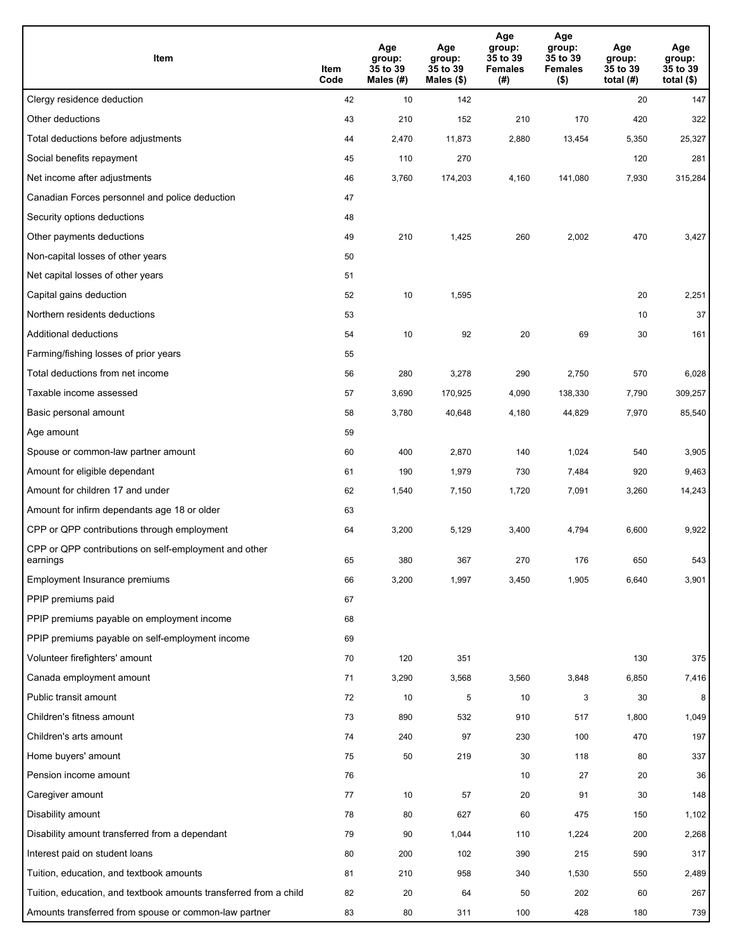| Item                                                              | Item<br>Code | Age<br>group:<br>35 to 39<br>Males (#) | Age<br>group:<br>35 to 39<br>Males (\$) | Age<br>group:<br>35 to 39<br><b>Females</b><br>(# ) | Age<br>group:<br>35 to 39<br>Females<br>$($ \$) | Age<br>group:<br>35 to 39<br>total $(#)$ | Age<br>group:<br>35 to 39<br>total $($)$ |
|-------------------------------------------------------------------|--------------|----------------------------------------|-----------------------------------------|-----------------------------------------------------|-------------------------------------------------|------------------------------------------|------------------------------------------|
| Clergy residence deduction                                        | 42           | 10                                     | 142                                     |                                                     |                                                 | 20                                       | 147                                      |
| Other deductions                                                  | 43           | 210                                    | 152                                     | 210                                                 | 170                                             | 420                                      | 322                                      |
| Total deductions before adjustments                               | 44           | 2,470                                  | 11,873                                  | 2,880                                               | 13,454                                          | 5,350                                    | 25,327                                   |
| Social benefits repayment                                         | 45           | 110                                    | 270                                     |                                                     |                                                 | 120                                      | 281                                      |
| Net income after adjustments                                      | 46           | 3,760                                  | 174,203                                 | 4,160                                               | 141,080                                         | 7,930                                    | 315,284                                  |
| Canadian Forces personnel and police deduction                    | 47           |                                        |                                         |                                                     |                                                 |                                          |                                          |
| Security options deductions                                       | 48           |                                        |                                         |                                                     |                                                 |                                          |                                          |
| Other payments deductions                                         | 49           | 210                                    | 1,425                                   | 260                                                 | 2,002                                           | 470                                      | 3,427                                    |
| Non-capital losses of other years                                 | 50           |                                        |                                         |                                                     |                                                 |                                          |                                          |
| Net capital losses of other years                                 | 51           |                                        |                                         |                                                     |                                                 |                                          |                                          |
| Capital gains deduction                                           | 52           | 10                                     | 1,595                                   |                                                     |                                                 | 20                                       | 2,251                                    |
| Northern residents deductions                                     | 53           |                                        |                                         |                                                     |                                                 | 10                                       | 37                                       |
| Additional deductions                                             | 54           | 10                                     | 92                                      | 20                                                  | 69                                              | 30                                       | 161                                      |
| Farming/fishing losses of prior years                             | 55           |                                        |                                         |                                                     |                                                 |                                          |                                          |
| Total deductions from net income                                  | 56           | 280                                    | 3,278                                   | 290                                                 | 2,750                                           | 570                                      | 6,028                                    |
| Taxable income assessed                                           | 57           | 3,690                                  | 170,925                                 | 4,090                                               | 138,330                                         | 7,790                                    | 309,257                                  |
| Basic personal amount                                             | 58           | 3,780                                  | 40,648                                  | 4,180                                               | 44,829                                          | 7,970                                    | 85,540                                   |
| Age amount                                                        | 59           |                                        |                                         |                                                     |                                                 |                                          |                                          |
| Spouse or common-law partner amount                               | 60           | 400                                    | 2,870                                   | 140                                                 | 1,024                                           | 540                                      | 3,905                                    |
| Amount for eligible dependant                                     | 61           | 190                                    | 1,979                                   | 730                                                 | 7,484                                           | 920                                      | 9,463                                    |
| Amount for children 17 and under                                  | 62           | 1,540                                  | 7,150                                   | 1,720                                               | 7,091                                           | 3,260                                    | 14,243                                   |
| Amount for infirm dependants age 18 or older                      | 63           |                                        |                                         |                                                     |                                                 |                                          |                                          |
| CPP or QPP contributions through employment                       | 64           | 3,200                                  | 5,129                                   | 3,400                                               | 4,794                                           | 6,600                                    | 9,922                                    |
| CPP or QPP contributions on self-employment and other<br>earnings | 65           | 380                                    | 367                                     | 270                                                 | 176                                             | 650                                      | 543                                      |
| Employment Insurance premiums                                     | 66           | 3,200                                  | 1,997                                   | 3,450                                               | 1,905                                           | 6,640                                    | 3,901                                    |
| PPIP premiums paid                                                | 67           |                                        |                                         |                                                     |                                                 |                                          |                                          |
| PPIP premiums payable on employment income                        | 68           |                                        |                                         |                                                     |                                                 |                                          |                                          |
| PPIP premiums payable on self-employment income                   | 69           |                                        |                                         |                                                     |                                                 |                                          |                                          |
| Volunteer firefighters' amount                                    | 70           | 120                                    | 351                                     |                                                     |                                                 | 130                                      | 375                                      |
| Canada employment amount                                          | 71           | 3,290                                  | 3,568                                   | 3,560                                               | 3,848                                           | 6,850                                    | 7,416                                    |
| Public transit amount                                             | 72           | 10                                     | 5                                       | 10                                                  | 3                                               | 30                                       | 8                                        |
| Children's fitness amount                                         | 73           | 890                                    | 532                                     | 910                                                 | 517                                             | 1,800                                    | 1,049                                    |
| Children's arts amount                                            | 74           | 240                                    | 97                                      | 230                                                 | 100                                             | 470                                      | 197                                      |
| Home buyers' amount                                               | 75           | 50                                     | 219                                     | 30                                                  | 118                                             | 80                                       | 337                                      |
| Pension income amount                                             | 76           |                                        |                                         | 10                                                  | 27                                              | 20                                       | 36                                       |
| Caregiver amount                                                  | 77           | 10                                     | 57                                      | 20                                                  | 91                                              | 30                                       | 148                                      |
| Disability amount                                                 | 78           | 80                                     | 627                                     | 60                                                  | 475                                             | 150                                      | 1,102                                    |
| Disability amount transferred from a dependant                    | 79           | 90                                     | 1,044                                   | 110                                                 | 1,224                                           | 200                                      | 2,268                                    |
| Interest paid on student loans                                    | 80           | 200                                    | 102                                     | 390                                                 | 215                                             | 590                                      | 317                                      |
| Tuition, education, and textbook amounts                          | 81           | 210                                    | 958                                     | 340                                                 | 1,530                                           | 550                                      | 2,489                                    |
| Tuition, education, and textbook amounts transferred from a child | 82           | 20                                     | 64                                      | 50                                                  | 202                                             | 60                                       | 267                                      |
| Amounts transferred from spouse or common-law partner             | 83           | 80                                     | 311                                     | 100                                                 | 428                                             | 180                                      | 739                                      |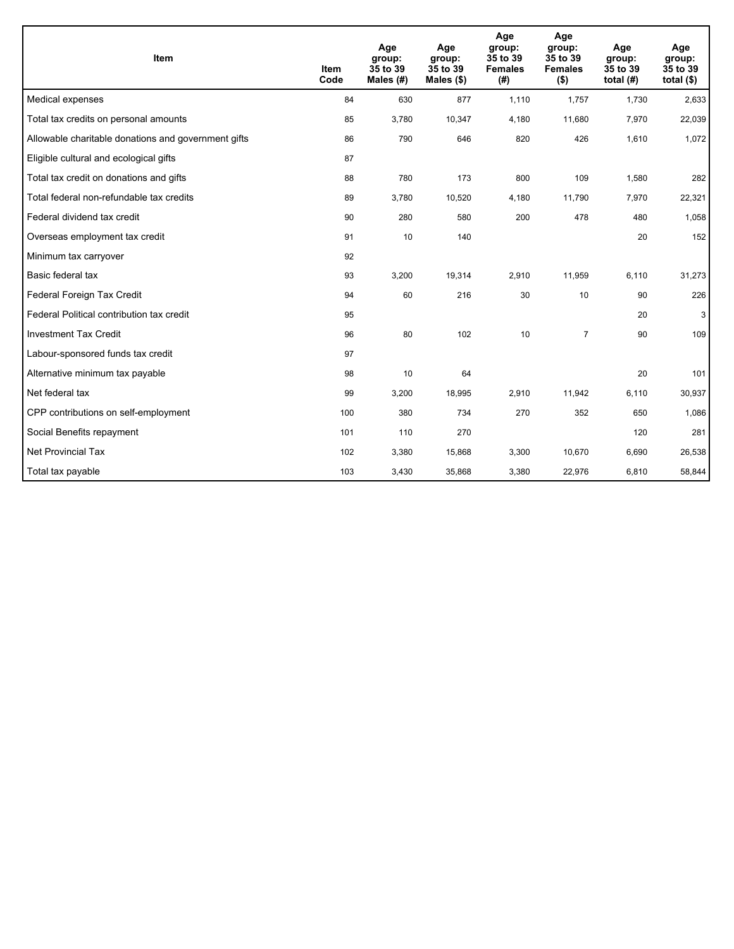| Item                                                | Item<br>Code | Age<br>group:<br>35 to 39<br>Males $(H)$ | Age<br>group:<br>35 to 39<br>Males $(\$)$ | Age<br>group:<br>35 to 39<br><b>Females</b><br>(#) | Age<br>group:<br>35 to 39<br><b>Females</b><br>$($ \$) | Age<br>group:<br>35 to 39<br>total $(H)$ | Age<br>group:<br>35 to 39<br>total $($)$ |
|-----------------------------------------------------|--------------|------------------------------------------|-------------------------------------------|----------------------------------------------------|--------------------------------------------------------|------------------------------------------|------------------------------------------|
| Medical expenses                                    | 84           | 630                                      | 877                                       | 1,110                                              | 1,757                                                  | 1,730                                    | 2,633                                    |
| Total tax credits on personal amounts               | 85           | 3,780                                    | 10,347                                    | 4,180                                              | 11,680                                                 | 7,970                                    | 22,039                                   |
| Allowable charitable donations and government gifts | 86           | 790                                      | 646                                       | 820                                                | 426                                                    | 1,610                                    | 1,072                                    |
| Eligible cultural and ecological gifts              | 87           |                                          |                                           |                                                    |                                                        |                                          |                                          |
| Total tax credit on donations and gifts             | 88           | 780                                      | 173                                       | 800                                                | 109                                                    | 1,580                                    | 282                                      |
| Total federal non-refundable tax credits            | 89           | 3,780                                    | 10,520                                    | 4,180                                              | 11,790                                                 | 7,970                                    | 22,321                                   |
| Federal dividend tax credit                         | 90           | 280                                      | 580                                       | 200                                                | 478                                                    | 480                                      | 1,058                                    |
| Overseas employment tax credit                      | 91           | 10                                       | 140                                       |                                                    |                                                        | 20                                       | 152                                      |
| Minimum tax carryover                               | 92           |                                          |                                           |                                                    |                                                        |                                          |                                          |
| Basic federal tax                                   | 93           | 3,200                                    | 19,314                                    | 2.910                                              | 11.959                                                 | 6.110                                    | 31,273                                   |
| Federal Foreign Tax Credit                          | 94           | 60                                       | 216                                       | 30                                                 | 10                                                     | 90                                       | 226                                      |
| Federal Political contribution tax credit           | 95           |                                          |                                           |                                                    |                                                        | 20                                       | 3                                        |
| <b>Investment Tax Credit</b>                        | 96           | 80                                       | 102                                       | 10                                                 | $\overline{7}$                                         | 90                                       | 109                                      |
| Labour-sponsored funds tax credit                   | 97           |                                          |                                           |                                                    |                                                        |                                          |                                          |
| Alternative minimum tax payable                     | 98           | 10                                       | 64                                        |                                                    |                                                        | 20                                       | 101                                      |
| Net federal tax                                     | 99           | 3,200                                    | 18,995                                    | 2,910                                              | 11,942                                                 | 6,110                                    | 30,937                                   |
| CPP contributions on self-employment                | 100          | 380                                      | 734                                       | 270                                                | 352                                                    | 650                                      | 1,086                                    |
| Social Benefits repayment                           | 101          | 110                                      | 270                                       |                                                    |                                                        | 120                                      | 281                                      |
| Net Provincial Tax                                  | 102          | 3,380                                    | 15,868                                    | 3,300                                              | 10,670                                                 | 6,690                                    | 26,538                                   |
| Total tax payable                                   | 103          | 3,430                                    | 35,868                                    | 3,380                                              | 22,976                                                 | 6,810                                    | 58,844                                   |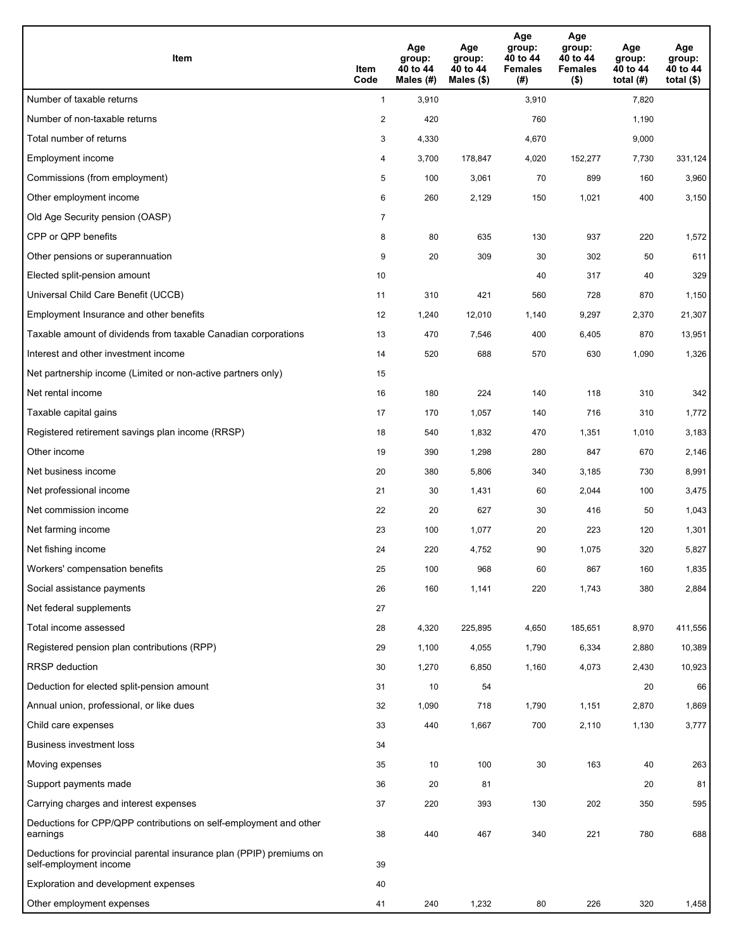| <b>Item</b>                                                                                    | Item<br>Code            | Age<br>group:<br>40 to 44<br>Males (#) | Age<br>group:<br>40 to 44<br>Males (\$) | Age<br>group:<br>40 to 44<br><b>Females</b><br>(#) | Age<br>group:<br>40 to 44<br><b>Females</b><br>$($ \$) | Age<br>group:<br>40 to 44<br>total $(H)$ | Age<br>group:<br>40 to 44<br>total $($)$ |
|------------------------------------------------------------------------------------------------|-------------------------|----------------------------------------|-----------------------------------------|----------------------------------------------------|--------------------------------------------------------|------------------------------------------|------------------------------------------|
| Number of taxable returns                                                                      | $\mathbf{1}$            | 3,910                                  |                                         | 3,910                                              |                                                        | 7,820                                    |                                          |
| Number of non-taxable returns                                                                  | $\overline{\mathbf{c}}$ | 420                                    |                                         | 760                                                |                                                        | 1,190                                    |                                          |
| Total number of returns                                                                        | 3                       | 4,330                                  |                                         | 4,670                                              |                                                        | 9,000                                    |                                          |
| Employment income                                                                              | 4                       | 3,700                                  | 178,847                                 | 4,020                                              | 152,277                                                | 7,730                                    | 331,124                                  |
| Commissions (from employment)                                                                  | 5                       | 100                                    | 3,061                                   | 70                                                 | 899                                                    | 160                                      | 3,960                                    |
| Other employment income                                                                        | 6                       | 260                                    | 2,129                                   | 150                                                | 1,021                                                  | 400                                      | 3,150                                    |
| Old Age Security pension (OASP)                                                                | $\overline{7}$          |                                        |                                         |                                                    |                                                        |                                          |                                          |
| CPP or QPP benefits                                                                            | 8                       | 80                                     | 635                                     | 130                                                | 937                                                    | 220                                      | 1,572                                    |
| Other pensions or superannuation                                                               | 9                       | 20                                     | 309                                     | 30                                                 | 302                                                    | 50                                       | 611                                      |
| Elected split-pension amount                                                                   | 10                      |                                        |                                         | 40                                                 | 317                                                    | 40                                       | 329                                      |
| Universal Child Care Benefit (UCCB)                                                            | 11                      | 310                                    | 421                                     | 560                                                | 728                                                    | 870                                      | 1,150                                    |
| Employment Insurance and other benefits                                                        | 12                      | 1,240                                  | 12,010                                  | 1,140                                              | 9,297                                                  | 2,370                                    | 21,307                                   |
| Taxable amount of dividends from taxable Canadian corporations                                 | 13                      | 470                                    | 7,546                                   | 400                                                | 6,405                                                  | 870                                      | 13,951                                   |
| Interest and other investment income                                                           | 14                      | 520                                    | 688                                     | 570                                                | 630                                                    | 1,090                                    | 1,326                                    |
| Net partnership income (Limited or non-active partners only)                                   | 15                      |                                        |                                         |                                                    |                                                        |                                          |                                          |
| Net rental income                                                                              | 16                      | 180                                    | 224                                     | 140                                                | 118                                                    | 310                                      | 342                                      |
| Taxable capital gains                                                                          | 17                      | 170                                    | 1,057                                   | 140                                                | 716                                                    | 310                                      | 1,772                                    |
| Registered retirement savings plan income (RRSP)                                               | 18                      | 540                                    | 1,832                                   | 470                                                | 1,351                                                  | 1,010                                    | 3,183                                    |
| Other income                                                                                   | 19                      | 390                                    | 1,298                                   | 280                                                | 847                                                    | 670                                      | 2,146                                    |
| Net business income                                                                            | 20                      | 380                                    | 5,806                                   | 340                                                | 3,185                                                  | 730                                      | 8,991                                    |
| Net professional income                                                                        | 21                      | 30                                     | 1,431                                   | 60                                                 | 2,044                                                  | 100                                      | 3,475                                    |
| Net commission income                                                                          | 22                      | 20                                     | 627                                     | 30                                                 | 416                                                    | 50                                       | 1,043                                    |
| Net farming income                                                                             | 23                      | 100                                    | 1,077                                   | 20                                                 | 223                                                    | 120                                      | 1,301                                    |
| Net fishing income                                                                             | 24                      | 220                                    | 4,752                                   | 90                                                 | 1,075                                                  | 320                                      | 5,827                                    |
| Workers' compensation benefits                                                                 | 25                      | 100                                    | 968                                     | 60                                                 | 867                                                    | 160                                      | 1,835                                    |
| Social assistance payments                                                                     | 26                      | 160                                    | 1,141                                   | 220                                                | 1,743                                                  | 380                                      | 2,884                                    |
| Net federal supplements                                                                        | 27                      |                                        |                                         |                                                    |                                                        |                                          |                                          |
| Total income assessed                                                                          | 28                      | 4,320                                  | 225,895                                 | 4,650                                              | 185,651                                                | 8,970                                    | 411,556                                  |
| Registered pension plan contributions (RPP)                                                    | 29                      | 1,100                                  | 4,055                                   | 1,790                                              | 6,334                                                  | 2,880                                    | 10,389                                   |
| RRSP deduction                                                                                 | 30                      | 1,270                                  | 6,850                                   | 1,160                                              | 4,073                                                  | 2,430                                    | 10,923                                   |
| Deduction for elected split-pension amount                                                     | 31                      | 10                                     | 54                                      |                                                    |                                                        | 20                                       | 66                                       |
| Annual union, professional, or like dues                                                       | 32                      | 1,090                                  | 718                                     | 1,790                                              | 1,151                                                  | 2,870                                    | 1,869                                    |
| Child care expenses                                                                            | 33                      | 440                                    | 1,667                                   | 700                                                | 2,110                                                  | 1,130                                    | 3,777                                    |
| <b>Business investment loss</b>                                                                | 34                      |                                        |                                         |                                                    |                                                        |                                          |                                          |
| Moving expenses                                                                                | 35                      | 10                                     | 100                                     | 30                                                 | 163                                                    | 40                                       | 263                                      |
| Support payments made                                                                          | 36                      | 20                                     | 81                                      |                                                    |                                                        | 20                                       | 81                                       |
| Carrying charges and interest expenses                                                         | 37                      | 220                                    | 393                                     | 130                                                | 202                                                    | 350                                      | 595                                      |
| Deductions for CPP/QPP contributions on self-employment and other<br>earnings                  | 38                      | 440                                    | 467                                     | 340                                                | 221                                                    | 780                                      | 688                                      |
| Deductions for provincial parental insurance plan (PPIP) premiums on<br>self-employment income | 39                      |                                        |                                         |                                                    |                                                        |                                          |                                          |
| Exploration and development expenses                                                           | 40                      |                                        |                                         |                                                    |                                                        |                                          |                                          |
| Other employment expenses                                                                      | 41                      | 240                                    | 1,232                                   | 80                                                 | 226                                                    | 320                                      | 1,458                                    |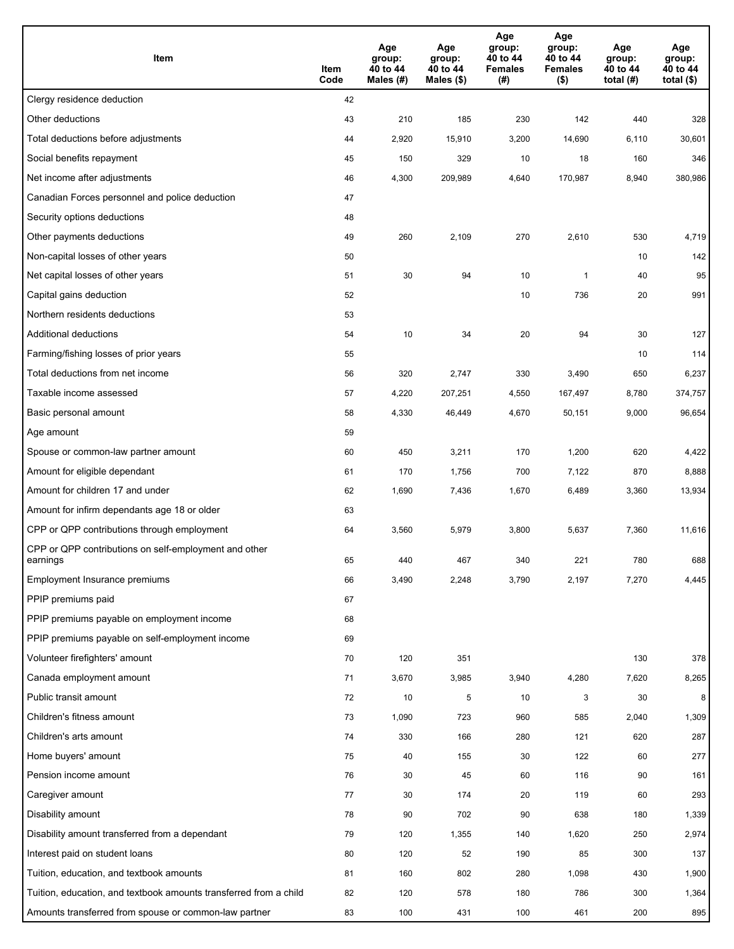| Item                                                              | Item<br>Code | Age<br>group:<br>40 to 44<br>Males (#) | Age<br>group:<br>40 to 44<br>Males (\$) | Age<br>group:<br>40 to 44<br><b>Females</b><br>(#) | Age<br>group:<br>40 to 44<br><b>Females</b><br>$($ \$) | Age<br>group:<br>40 to 44<br>total $(H)$ | Age<br>group:<br>40 to 44<br>total $($)$ |
|-------------------------------------------------------------------|--------------|----------------------------------------|-----------------------------------------|----------------------------------------------------|--------------------------------------------------------|------------------------------------------|------------------------------------------|
| Clergy residence deduction                                        | 42           |                                        |                                         |                                                    |                                                        |                                          |                                          |
| Other deductions                                                  | 43           | 210                                    | 185                                     | 230                                                | 142                                                    | 440                                      | 328                                      |
| Total deductions before adjustments                               | 44           | 2,920                                  | 15,910                                  | 3,200                                              | 14,690                                                 | 6,110                                    | 30,601                                   |
| Social benefits repayment                                         | 45           | 150                                    | 329                                     | 10                                                 | 18                                                     | 160                                      | 346                                      |
| Net income after adjustments                                      | 46           | 4,300                                  | 209,989                                 | 4,640                                              | 170,987                                                | 8,940                                    | 380,986                                  |
| Canadian Forces personnel and police deduction                    | 47           |                                        |                                         |                                                    |                                                        |                                          |                                          |
| Security options deductions                                       | 48           |                                        |                                         |                                                    |                                                        |                                          |                                          |
| Other payments deductions                                         | 49           | 260                                    | 2,109                                   | 270                                                | 2,610                                                  | 530                                      | 4,719                                    |
| Non-capital losses of other years                                 | 50           |                                        |                                         |                                                    |                                                        | 10                                       | 142                                      |
| Net capital losses of other years                                 | 51           | 30                                     | 94                                      | 10                                                 | $\mathbf{1}$                                           | 40                                       | 95                                       |
| Capital gains deduction                                           | 52           |                                        |                                         | 10                                                 | 736                                                    | 20                                       | 991                                      |
| Northern residents deductions                                     | 53           |                                        |                                         |                                                    |                                                        |                                          |                                          |
| Additional deductions                                             | 54           | 10                                     | 34                                      | 20                                                 | 94                                                     | 30                                       | 127                                      |
| Farming/fishing losses of prior years                             | 55           |                                        |                                         |                                                    |                                                        | 10                                       | 114                                      |
| Total deductions from net income                                  | 56           | 320                                    | 2,747                                   | 330                                                | 3,490                                                  | 650                                      | 6,237                                    |
| Taxable income assessed                                           | 57           | 4,220                                  | 207,251                                 | 4,550                                              | 167,497                                                | 8,780                                    | 374,757                                  |
| Basic personal amount                                             | 58           | 4,330                                  | 46,449                                  | 4,670                                              | 50,151                                                 | 9,000                                    | 96,654                                   |
| Age amount                                                        | 59           |                                        |                                         |                                                    |                                                        |                                          |                                          |
| Spouse or common-law partner amount                               | 60           | 450                                    | 3,211                                   | 170                                                | 1,200                                                  | 620                                      | 4,422                                    |
| Amount for eligible dependant                                     | 61           | 170                                    | 1,756                                   | 700                                                | 7,122                                                  | 870                                      | 8,888                                    |
| Amount for children 17 and under                                  | 62           | 1,690                                  | 7,436                                   | 1,670                                              | 6,489                                                  | 3,360                                    | 13,934                                   |
| Amount for infirm dependants age 18 or older                      | 63           |                                        |                                         |                                                    |                                                        |                                          |                                          |
| CPP or QPP contributions through employment                       | 64           | 3,560                                  | 5,979                                   | 3,800                                              | 5,637                                                  | 7,360                                    | 11,616                                   |
| CPP or QPP contributions on self-employment and other<br>earnings | 65           | 440                                    | 467                                     | 340                                                | 221                                                    | 780                                      | 688                                      |
| Employment Insurance premiums                                     | 66           | 3,490                                  | 2,248                                   | 3,790                                              | 2,197                                                  | 7,270                                    | 4,445                                    |
| PPIP premiums paid                                                | 67           |                                        |                                         |                                                    |                                                        |                                          |                                          |
| PPIP premiums payable on employment income                        | 68           |                                        |                                         |                                                    |                                                        |                                          |                                          |
| PPIP premiums payable on self-employment income                   | 69           |                                        |                                         |                                                    |                                                        |                                          |                                          |
| Volunteer firefighters' amount                                    | 70           | 120                                    | 351                                     |                                                    |                                                        | 130                                      | 378                                      |
| Canada employment amount                                          | 71           | 3,670                                  | 3,985                                   | 3,940                                              | 4,280                                                  | 7,620                                    | 8,265                                    |
| Public transit amount                                             | 72           | 10                                     | 5                                       | 10                                                 | 3                                                      | 30                                       | 8                                        |
| Children's fitness amount                                         | 73           | 1,090                                  | 723                                     | 960                                                | 585                                                    | 2,040                                    | 1,309                                    |
| Children's arts amount                                            | 74           | 330                                    | 166                                     | 280                                                | 121                                                    | 620                                      | 287                                      |
| Home buyers' amount                                               | 75           | 40                                     | 155                                     | 30                                                 | 122                                                    | 60                                       | 277                                      |
| Pension income amount                                             | 76           | 30                                     | 45                                      | 60                                                 | 116                                                    | 90                                       | 161                                      |
| Caregiver amount                                                  | 77           | 30                                     | 174                                     | 20                                                 | 119                                                    | 60                                       | 293                                      |
| Disability amount                                                 | 78           | 90                                     | 702                                     | 90                                                 | 638                                                    | 180                                      | 1,339                                    |
| Disability amount transferred from a dependant                    | 79           | 120                                    | 1,355                                   | 140                                                | 1,620                                                  | 250                                      | 2,974                                    |
| Interest paid on student loans                                    | 80           | 120                                    | 52                                      | 190                                                | 85                                                     | 300                                      | 137                                      |
| Tuition, education, and textbook amounts                          | 81           | 160                                    | 802                                     | 280                                                | 1,098                                                  | 430                                      | 1,900                                    |
| Tuition, education, and textbook amounts transferred from a child | 82           | 120                                    | 578                                     | 180                                                | 786                                                    | 300                                      | 1,364                                    |
| Amounts transferred from spouse or common-law partner             | 83           | 100                                    | 431                                     | 100                                                | 461                                                    | 200                                      | 895                                      |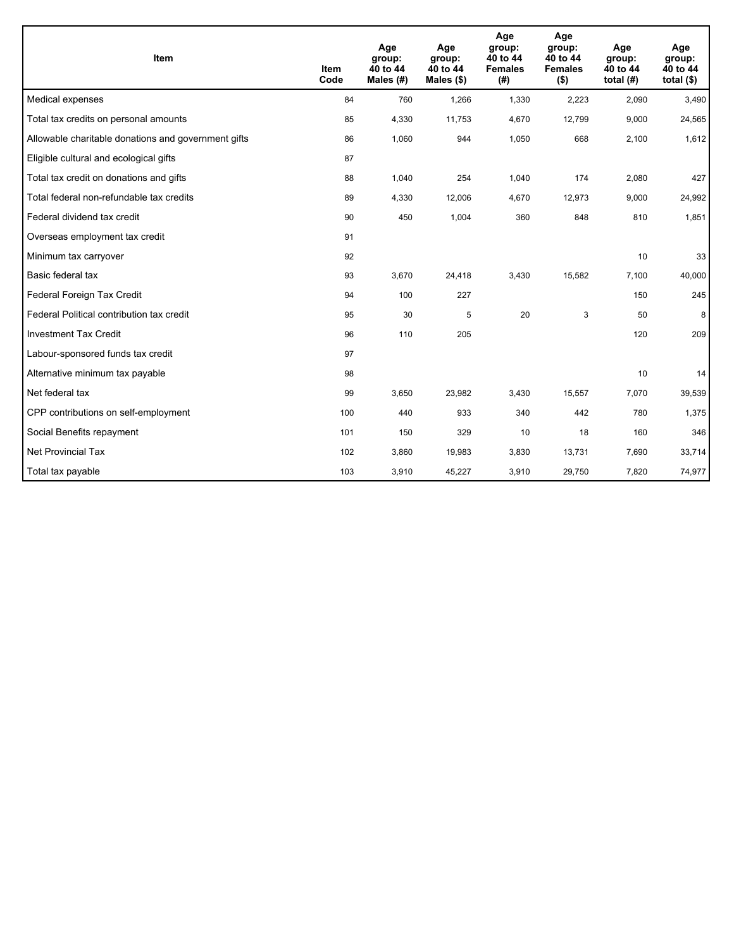| Item                                                | <b>Item</b><br>Code | Age<br>group:<br>40 to 44<br>Males $(H)$ | Age<br>group:<br>40 to 44<br>Males $(\$)$ | Age<br>group:<br>40 to 44<br><b>Females</b><br>(#) | Age<br>group:<br>40 to 44<br><b>Females</b><br>$($ \$) | Age<br>group:<br>40 to 44<br>total $(H)$ | Age<br>group:<br>40 to 44<br>total $($)$ |
|-----------------------------------------------------|---------------------|------------------------------------------|-------------------------------------------|----------------------------------------------------|--------------------------------------------------------|------------------------------------------|------------------------------------------|
| Medical expenses                                    | 84                  | 760                                      | 1,266                                     | 1,330                                              | 2,223                                                  | 2.090                                    | 3,490                                    |
| Total tax credits on personal amounts               | 85                  | 4,330                                    | 11,753                                    | 4,670                                              | 12,799                                                 | 9,000                                    | 24,565                                   |
| Allowable charitable donations and government gifts | 86                  | 1,060                                    | 944                                       | 1,050                                              | 668                                                    | 2,100                                    | 1,612                                    |
| Eligible cultural and ecological gifts              | 87                  |                                          |                                           |                                                    |                                                        |                                          |                                          |
| Total tax credit on donations and gifts             | 88                  | 1,040                                    | 254                                       | 1,040                                              | 174                                                    | 2,080                                    | 427                                      |
| Total federal non-refundable tax credits            | 89                  | 4,330                                    | 12,006                                    | 4,670                                              | 12,973                                                 | 9,000                                    | 24,992                                   |
| Federal dividend tax credit                         | 90                  | 450                                      | 1,004                                     | 360                                                | 848                                                    | 810                                      | 1,851                                    |
| Overseas employment tax credit                      | 91                  |                                          |                                           |                                                    |                                                        |                                          |                                          |
| Minimum tax carryover                               | 92                  |                                          |                                           |                                                    |                                                        | 10                                       | 33                                       |
| Basic federal tax                                   | 93                  | 3,670                                    | 24,418                                    | 3,430                                              | 15,582                                                 | 7,100                                    | 40,000                                   |
| Federal Foreign Tax Credit                          | 94                  | 100                                      | 227                                       |                                                    |                                                        | 150                                      | 245                                      |
| Federal Political contribution tax credit           | 95                  | 30                                       | 5                                         | 20                                                 | 3                                                      | 50                                       | 8                                        |
| <b>Investment Tax Credit</b>                        | 96                  | 110                                      | 205                                       |                                                    |                                                        | 120                                      | 209                                      |
| Labour-sponsored funds tax credit                   | 97                  |                                          |                                           |                                                    |                                                        |                                          |                                          |
| Alternative minimum tax payable                     | 98                  |                                          |                                           |                                                    |                                                        | 10                                       | 14                                       |
| Net federal tax                                     | 99                  | 3,650                                    | 23,982                                    | 3,430                                              | 15,557                                                 | 7,070                                    | 39,539                                   |
| CPP contributions on self-employment                | 100                 | 440                                      | 933                                       | 340                                                | 442                                                    | 780                                      | 1,375                                    |
| Social Benefits repayment                           | 101                 | 150                                      | 329                                       | 10                                                 | 18                                                     | 160                                      | 346                                      |
| Net Provincial Tax                                  | 102                 | 3,860                                    | 19,983                                    | 3,830                                              | 13,731                                                 | 7,690                                    | 33,714                                   |
| Total tax payable                                   | 103                 | 3,910                                    | 45,227                                    | 3,910                                              | 29,750                                                 | 7,820                                    | 74,977                                   |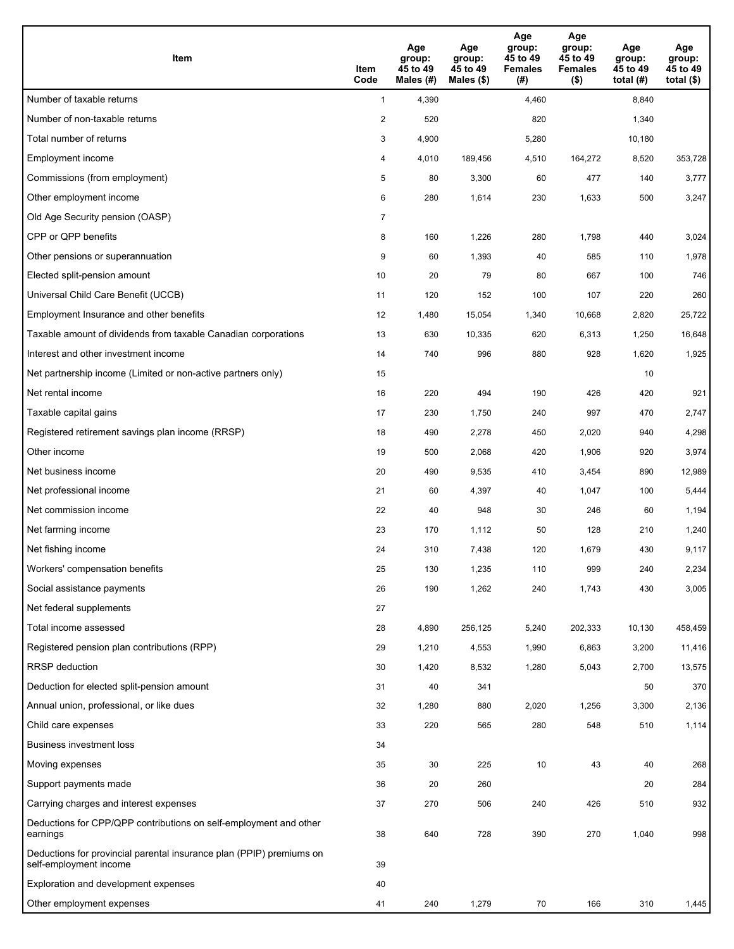| <b>Item</b>                                                                                    | Item<br>Code            | Age<br>group:<br>45 to 49<br>Males (#) | Age<br>group:<br>45 to 49<br>Males (\$) | Age<br>group:<br>45 to 49<br><b>Females</b><br>(#) | Age<br>group:<br>45 to 49<br><b>Females</b><br>$($ \$) | Age<br>group:<br>45 to 49<br>total $(H)$ | Age<br>group:<br>45 to 49<br>total $($)$ |
|------------------------------------------------------------------------------------------------|-------------------------|----------------------------------------|-----------------------------------------|----------------------------------------------------|--------------------------------------------------------|------------------------------------------|------------------------------------------|
| Number of taxable returns                                                                      | $\mathbf{1}$            | 4,390                                  |                                         | 4,460                                              |                                                        | 8,840                                    |                                          |
| Number of non-taxable returns                                                                  | $\overline{\mathbf{c}}$ | 520                                    |                                         | 820                                                |                                                        | 1,340                                    |                                          |
| Total number of returns                                                                        | 3                       | 4,900                                  |                                         | 5,280                                              |                                                        | 10,180                                   |                                          |
| Employment income                                                                              | 4                       | 4,010                                  | 189,456                                 | 4,510                                              | 164,272                                                | 8,520                                    | 353,728                                  |
| Commissions (from employment)                                                                  | 5                       | 80                                     | 3,300                                   | 60                                                 | 477                                                    | 140                                      | 3,777                                    |
| Other employment income                                                                        | 6                       | 280                                    | 1,614                                   | 230                                                | 1,633                                                  | 500                                      | 3,247                                    |
| Old Age Security pension (OASP)                                                                | $\overline{7}$          |                                        |                                         |                                                    |                                                        |                                          |                                          |
| CPP or QPP benefits                                                                            | 8                       | 160                                    | 1,226                                   | 280                                                | 1,798                                                  | 440                                      | 3,024                                    |
| Other pensions or superannuation                                                               | 9                       | 60                                     | 1,393                                   | 40                                                 | 585                                                    | 110                                      | 1,978                                    |
| Elected split-pension amount                                                                   | 10                      | 20                                     | 79                                      | 80                                                 | 667                                                    | 100                                      | 746                                      |
| Universal Child Care Benefit (UCCB)                                                            | 11                      | 120                                    | 152                                     | 100                                                | 107                                                    | 220                                      | 260                                      |
| Employment Insurance and other benefits                                                        | 12                      | 1,480                                  | 15,054                                  | 1,340                                              | 10,668                                                 | 2,820                                    | 25,722                                   |
| Taxable amount of dividends from taxable Canadian corporations                                 | 13                      | 630                                    | 10,335                                  | 620                                                | 6,313                                                  | 1,250                                    | 16,648                                   |
| Interest and other investment income                                                           | 14                      | 740                                    | 996                                     | 880                                                | 928                                                    | 1,620                                    | 1,925                                    |
| Net partnership income (Limited or non-active partners only)                                   | 15                      |                                        |                                         |                                                    |                                                        | 10                                       |                                          |
| Net rental income                                                                              | 16                      | 220                                    | 494                                     | 190                                                | 426                                                    | 420                                      | 921                                      |
| Taxable capital gains                                                                          | 17                      | 230                                    | 1,750                                   | 240                                                | 997                                                    | 470                                      | 2,747                                    |
| Registered retirement savings plan income (RRSP)                                               | 18                      | 490                                    | 2,278                                   | 450                                                | 2,020                                                  | 940                                      | 4,298                                    |
| Other income                                                                                   | 19                      | 500                                    | 2,068                                   | 420                                                | 1,906                                                  | 920                                      | 3,974                                    |
| Net business income                                                                            | 20                      | 490                                    | 9,535                                   | 410                                                | 3,454                                                  | 890                                      | 12,989                                   |
| Net professional income                                                                        | 21                      | 60                                     | 4,397                                   | 40                                                 | 1,047                                                  | 100                                      | 5,444                                    |
| Net commission income                                                                          | 22                      | 40                                     | 948                                     | 30                                                 | 246                                                    | 60                                       | 1,194                                    |
| Net farming income                                                                             | 23                      | 170                                    | 1,112                                   | 50                                                 | 128                                                    | 210                                      | 1,240                                    |
| Net fishing income                                                                             | 24                      | 310                                    | 7,438                                   | 120                                                | 1,679                                                  | 430                                      | 9,117                                    |
| Workers' compensation benefits                                                                 | 25                      | 130                                    | 1,235                                   | 110                                                | 999                                                    | 240                                      | 2,234                                    |
| Social assistance payments                                                                     | 26                      | 190                                    | 1,262                                   | 240                                                | 1,743                                                  | 430                                      | 3,005                                    |
| Net federal supplements                                                                        | 27                      |                                        |                                         |                                                    |                                                        |                                          |                                          |
| Total income assessed                                                                          | 28                      | 4,890                                  | 256,125                                 | 5,240                                              | 202,333                                                | 10,130                                   | 458,459                                  |
| Registered pension plan contributions (RPP)                                                    | 29                      | 1,210                                  | 4,553                                   | 1,990                                              | 6,863                                                  | 3,200                                    | 11,416                                   |
| RRSP deduction                                                                                 | 30                      | 1,420                                  | 8,532                                   | 1,280                                              | 5,043                                                  | 2,700                                    | 13,575                                   |
| Deduction for elected split-pension amount                                                     | 31                      | 40                                     | 341                                     |                                                    |                                                        | 50                                       | 370                                      |
| Annual union, professional, or like dues                                                       | 32                      | 1,280                                  | 880                                     | 2,020                                              | 1,256                                                  | 3,300                                    | 2,136                                    |
| Child care expenses                                                                            | 33                      | 220                                    | 565                                     | 280                                                | 548                                                    | 510                                      | 1,114                                    |
| <b>Business investment loss</b>                                                                | 34                      |                                        |                                         |                                                    |                                                        |                                          |                                          |
| Moving expenses                                                                                | 35                      | 30                                     | 225                                     | 10                                                 | 43                                                     | 40                                       | 268                                      |
| Support payments made                                                                          | 36                      | 20                                     | 260                                     |                                                    |                                                        | 20                                       | 284                                      |
| Carrying charges and interest expenses                                                         | 37                      | 270                                    | 506                                     | 240                                                | 426                                                    | 510                                      | 932                                      |
| Deductions for CPP/QPP contributions on self-employment and other<br>earnings                  | 38                      | 640                                    | 728                                     | 390                                                | 270                                                    | 1,040                                    | 998                                      |
| Deductions for provincial parental insurance plan (PPIP) premiums on<br>self-employment income | 39                      |                                        |                                         |                                                    |                                                        |                                          |                                          |
| Exploration and development expenses                                                           | 40                      |                                        |                                         |                                                    |                                                        |                                          |                                          |
| Other employment expenses                                                                      | 41                      | 240                                    | 1,279                                   | 70                                                 | 166                                                    | 310                                      | 1,445                                    |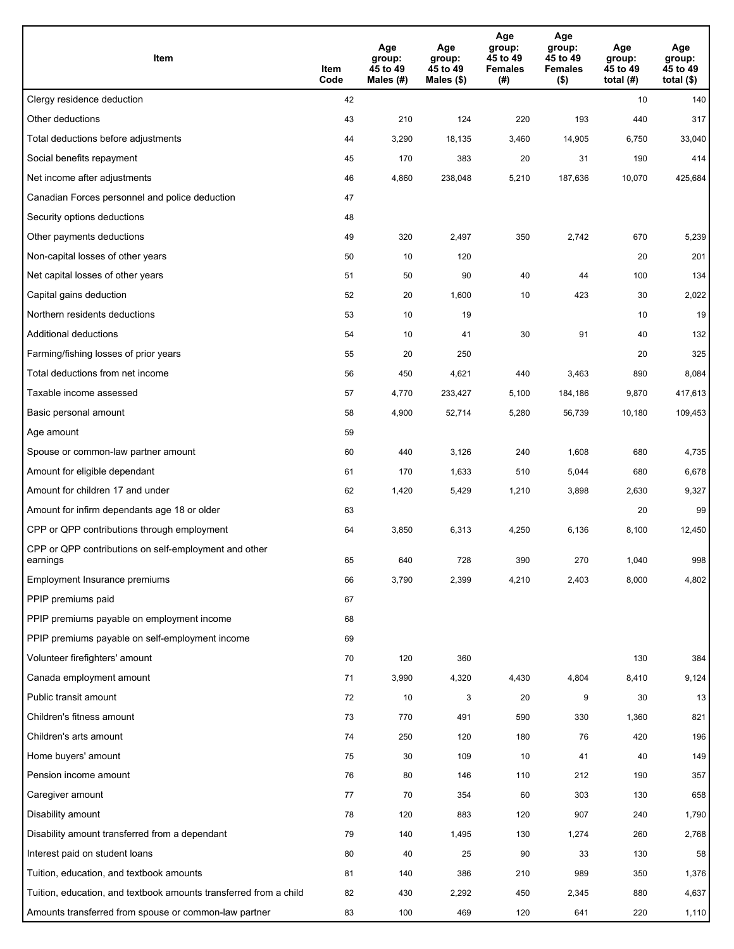| Item                                                              | Item<br>Code | Age<br>group:<br>45 to 49<br>Males (#) | Age<br>group:<br>45 to 49<br>Males $(\$)$ | Age<br>group:<br>45 to 49<br><b>Females</b><br>(#) | Age<br>group:<br>45 to 49<br>Females<br>$($ \$) | Age<br>group:<br>45 to 49<br>total $(H)$ | Age<br>group:<br>45 to 49<br>total $($)$ |
|-------------------------------------------------------------------|--------------|----------------------------------------|-------------------------------------------|----------------------------------------------------|-------------------------------------------------|------------------------------------------|------------------------------------------|
| Clergy residence deduction                                        | 42           |                                        |                                           |                                                    |                                                 | 10                                       | 140                                      |
| Other deductions                                                  | 43           | 210                                    | 124                                       | 220                                                | 193                                             | 440                                      | 317                                      |
| Total deductions before adjustments                               | 44           | 3,290                                  | 18,135                                    | 3,460                                              | 14,905                                          | 6,750                                    | 33,040                                   |
| Social benefits repayment                                         | 45           | 170                                    | 383                                       | 20                                                 | 31                                              | 190                                      | 414                                      |
| Net income after adjustments                                      | 46           | 4,860                                  | 238,048                                   | 5,210                                              | 187,636                                         | 10,070                                   | 425,684                                  |
| Canadian Forces personnel and police deduction                    | 47           |                                        |                                           |                                                    |                                                 |                                          |                                          |
| Security options deductions                                       | 48           |                                        |                                           |                                                    |                                                 |                                          |                                          |
| Other payments deductions                                         | 49           | 320                                    | 2,497                                     | 350                                                | 2,742                                           | 670                                      | 5,239                                    |
| Non-capital losses of other years                                 | 50           | 10                                     | 120                                       |                                                    |                                                 | 20                                       | 201                                      |
| Net capital losses of other years                                 | 51           | 50                                     | 90                                        | 40                                                 | 44                                              | 100                                      | 134                                      |
| Capital gains deduction                                           | 52           | 20                                     | 1,600                                     | 10                                                 | 423                                             | 30                                       | 2,022                                    |
| Northern residents deductions                                     | 53           | 10                                     | 19                                        |                                                    |                                                 | 10                                       | 19                                       |
| Additional deductions                                             | 54           | 10                                     | 41                                        | 30                                                 | 91                                              | 40                                       | 132                                      |
| Farming/fishing losses of prior years                             | 55           | 20                                     | 250                                       |                                                    |                                                 | 20                                       | 325                                      |
| Total deductions from net income                                  | 56           | 450                                    | 4,621                                     | 440                                                | 3,463                                           | 890                                      | 8,084                                    |
| Taxable income assessed                                           | 57           | 4,770                                  | 233,427                                   | 5,100                                              | 184,186                                         | 9,870                                    | 417,613                                  |
| Basic personal amount                                             | 58           | 4,900                                  | 52,714                                    | 5,280                                              | 56,739                                          | 10,180                                   | 109,453                                  |
| Age amount                                                        | 59           |                                        |                                           |                                                    |                                                 |                                          |                                          |
| Spouse or common-law partner amount                               | 60           | 440                                    | 3,126                                     | 240                                                | 1,608                                           | 680                                      | 4,735                                    |
| Amount for eligible dependant                                     | 61           | 170                                    | 1,633                                     | 510                                                | 5,044                                           | 680                                      | 6,678                                    |
| Amount for children 17 and under                                  | 62           | 1,420                                  | 5,429                                     | 1,210                                              | 3,898                                           | 2,630                                    | 9,327                                    |
| Amount for infirm dependants age 18 or older                      | 63           |                                        |                                           |                                                    |                                                 | 20                                       | 99                                       |
| CPP or QPP contributions through employment                       | 64           | 3,850                                  | 6,313                                     | 4,250                                              | 6,136                                           | 8,100                                    | 12,450                                   |
| CPP or QPP contributions on self-employment and other<br>earnings | 65           | 640                                    | 728                                       | 390                                                | 270                                             | 1,040                                    | 998                                      |
| Employment Insurance premiums                                     | 66           | 3,790                                  | 2,399                                     | 4,210                                              | 2,403                                           | 8,000                                    | 4,802                                    |
| PPIP premiums paid                                                | 67           |                                        |                                           |                                                    |                                                 |                                          |                                          |
| PPIP premiums payable on employment income                        | 68           |                                        |                                           |                                                    |                                                 |                                          |                                          |
| PPIP premiums payable on self-employment income                   | 69           |                                        |                                           |                                                    |                                                 |                                          |                                          |
| Volunteer firefighters' amount                                    | 70           | 120                                    | 360                                       |                                                    |                                                 | 130                                      | 384                                      |
| Canada employment amount                                          | 71           | 3,990                                  | 4,320                                     | 4,430                                              | 4,804                                           | 8,410                                    | 9,124                                    |
| Public transit amount                                             | 72           | 10                                     | 3                                         | 20                                                 | 9                                               | 30                                       | 13                                       |
| Children's fitness amount                                         | 73           | 770                                    | 491                                       | 590                                                | 330                                             | 1,360                                    | 821                                      |
| Children's arts amount                                            | 74           | 250                                    | 120                                       | 180                                                | 76                                              | 420                                      | 196                                      |
| Home buyers' amount                                               | 75           | 30                                     | 109                                       | 10                                                 | 41                                              | 40                                       | 149                                      |
| Pension income amount                                             | 76           | 80                                     | 146                                       | 110                                                | 212                                             | 190                                      | 357                                      |
| Caregiver amount                                                  | 77           | 70                                     | 354                                       | 60                                                 | 303                                             | 130                                      | 658                                      |
| Disability amount                                                 | 78           | 120                                    | 883                                       | 120                                                | 907                                             | 240                                      | 1,790                                    |
| Disability amount transferred from a dependant                    | 79           | 140                                    | 1,495                                     | 130                                                | 1,274                                           | 260                                      | 2,768                                    |
| Interest paid on student loans                                    | 80           | 40                                     | 25                                        | 90                                                 | 33                                              | 130                                      | 58                                       |
| Tuition, education, and textbook amounts                          | 81           | 140                                    | 386                                       | 210                                                | 989                                             | 350                                      | 1,376                                    |
| Tuition, education, and textbook amounts transferred from a child | 82           | 430                                    | 2,292                                     | 450                                                | 2,345                                           | 880                                      | 4,637                                    |
| Amounts transferred from spouse or common-law partner             | 83           | 100                                    | 469                                       | 120                                                | 641                                             | 220                                      | 1,110                                    |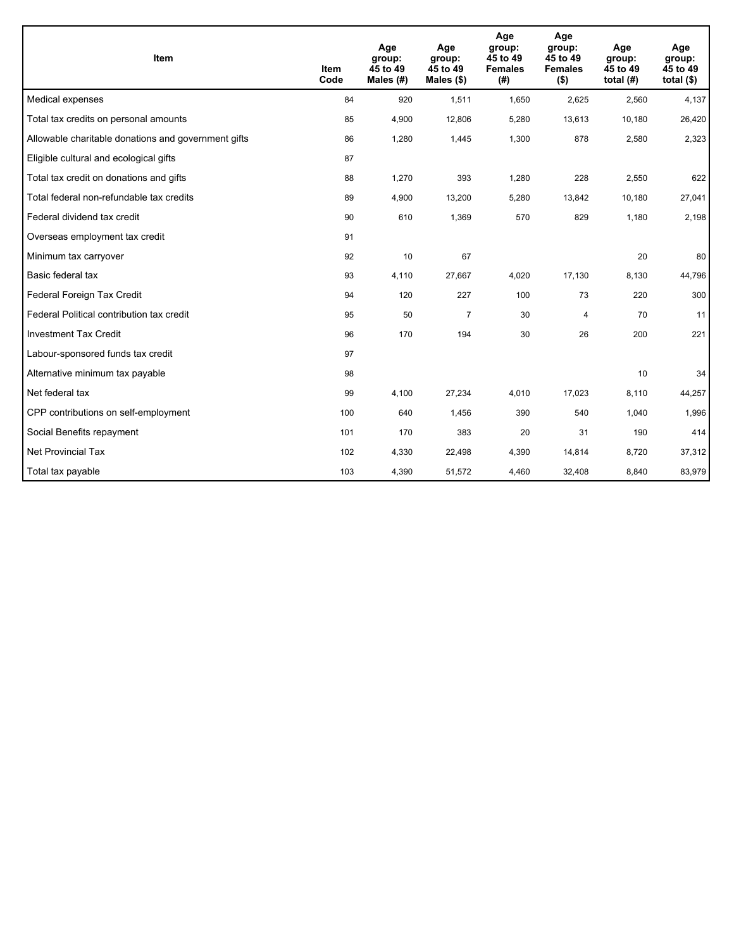| Item                                                | <b>Item</b><br>Code | Age<br>group:<br>45 to 49<br>Males $(H)$ | Age<br>group:<br>45 to 49<br>Males $(\$)$ | Age<br>group:<br>45 to 49<br><b>Females</b><br>(# ) | Age<br>group:<br>45 to 49<br><b>Females</b><br>( \$) | Age<br>group:<br>45 to 49<br>total $(H)$ | Age<br>group:<br>45 to 49<br>total $($)$ |
|-----------------------------------------------------|---------------------|------------------------------------------|-------------------------------------------|-----------------------------------------------------|------------------------------------------------------|------------------------------------------|------------------------------------------|
| Medical expenses                                    | 84                  | 920                                      | 1,511                                     | 1,650                                               | 2,625                                                | 2,560                                    | 4,137                                    |
| Total tax credits on personal amounts               | 85                  | 4,900                                    | 12,806                                    | 5,280                                               | 13,613                                               | 10,180                                   | 26,420                                   |
| Allowable charitable donations and government gifts | 86                  | 1,280                                    | 1,445                                     | 1,300                                               | 878                                                  | 2,580                                    | 2,323                                    |
| Eligible cultural and ecological gifts              | 87                  |                                          |                                           |                                                     |                                                      |                                          |                                          |
| Total tax credit on donations and gifts             | 88                  | 1,270                                    | 393                                       | 1,280                                               | 228                                                  | 2,550                                    | 622                                      |
| Total federal non-refundable tax credits            | 89                  | 4,900                                    | 13,200                                    | 5,280                                               | 13,842                                               | 10,180                                   | 27,041                                   |
| Federal dividend tax credit                         | 90                  | 610                                      | 1,369                                     | 570                                                 | 829                                                  | 1,180                                    | 2,198                                    |
| Overseas employment tax credit                      | 91                  |                                          |                                           |                                                     |                                                      |                                          |                                          |
| Minimum tax carryover                               | 92                  | 10                                       | 67                                        |                                                     |                                                      | 20                                       | 80                                       |
| Basic federal tax                                   | 93                  | 4,110                                    | 27,667                                    | 4,020                                               | 17,130                                               | 8,130                                    | 44,796                                   |
| Federal Foreign Tax Credit                          | 94                  | 120                                      | 227                                       | 100                                                 | 73                                                   | 220                                      | 300                                      |
| Federal Political contribution tax credit           | 95                  | 50                                       | $\overline{7}$                            | 30                                                  | $\overline{4}$                                       | 70                                       | 11                                       |
| <b>Investment Tax Credit</b>                        | 96                  | 170                                      | 194                                       | 30                                                  | 26                                                   | 200                                      | 221                                      |
| Labour-sponsored funds tax credit                   | 97                  |                                          |                                           |                                                     |                                                      |                                          |                                          |
| Alternative minimum tax payable                     | 98                  |                                          |                                           |                                                     |                                                      | 10                                       | 34                                       |
| Net federal tax                                     | 99                  | 4,100                                    | 27,234                                    | 4,010                                               | 17,023                                               | 8,110                                    | 44,257                                   |
| CPP contributions on self-employment                | 100                 | 640                                      | 1,456                                     | 390                                                 | 540                                                  | 1,040                                    | 1,996                                    |
| Social Benefits repayment                           | 101                 | 170                                      | 383                                       | 20                                                  | 31                                                   | 190                                      | 414                                      |
| Net Provincial Tax                                  | 102                 | 4,330                                    | 22,498                                    | 4,390                                               | 14,814                                               | 8,720                                    | 37,312                                   |
| Total tax payable                                   | 103                 | 4,390                                    | 51,572                                    | 4,460                                               | 32,408                                               | 8,840                                    | 83,979                                   |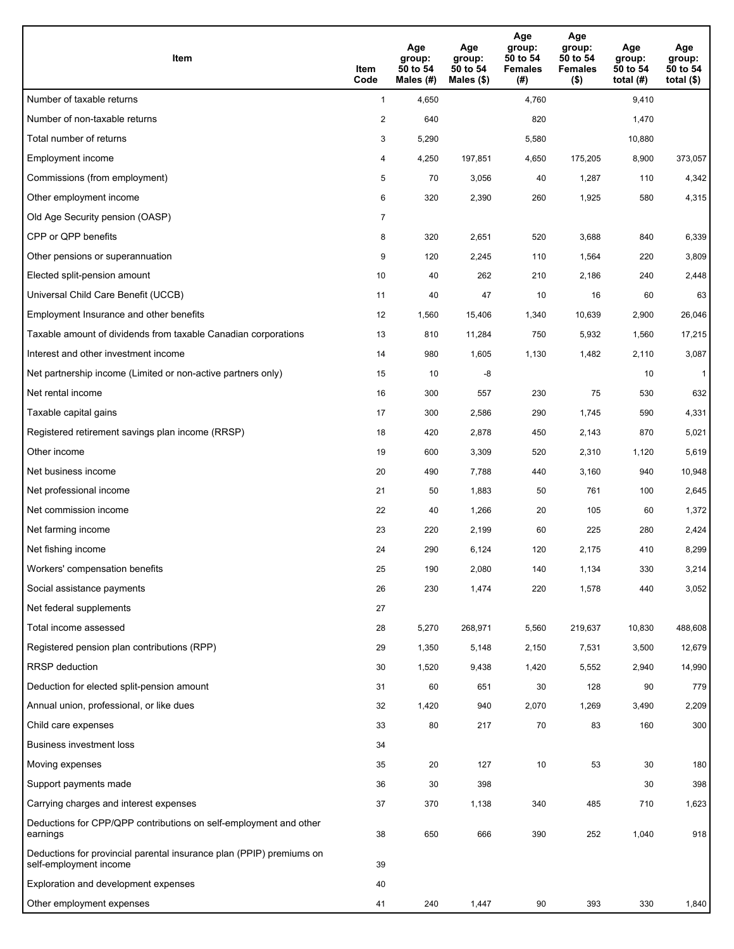| Item                                                                                           | Item<br>Code   | Age<br>group:<br>50 to 54<br>Males (#) | Age<br>group:<br>50 to 54<br>Males $(\$)$ | Age<br>group:<br>50 to 54<br><b>Females</b><br>(#) | Age<br>group:<br>50 to 54<br><b>Females</b><br>$($ \$) | Age<br>group:<br>50 to 54<br>total (#) | Age<br>group:<br>50 to 54<br>total $($ |
|------------------------------------------------------------------------------------------------|----------------|----------------------------------------|-------------------------------------------|----------------------------------------------------|--------------------------------------------------------|----------------------------------------|----------------------------------------|
| Number of taxable returns                                                                      | $\mathbf{1}$   | 4,650                                  |                                           | 4,760                                              |                                                        | 9,410                                  |                                        |
| Number of non-taxable returns                                                                  | $\overline{2}$ | 640                                    |                                           | 820                                                |                                                        | 1,470                                  |                                        |
| Total number of returns                                                                        | 3              | 5,290                                  |                                           | 5,580                                              |                                                        | 10,880                                 |                                        |
| Employment income                                                                              | 4              | 4,250                                  | 197,851                                   | 4,650                                              | 175,205                                                | 8,900                                  | 373,057                                |
| Commissions (from employment)                                                                  | 5              | 70                                     | 3,056                                     | 40                                                 | 1,287                                                  | 110                                    | 4,342                                  |
| Other employment income                                                                        | 6              | 320                                    | 2,390                                     | 260                                                | 1,925                                                  | 580                                    | 4,315                                  |
| Old Age Security pension (OASP)                                                                | $\overline{7}$ |                                        |                                           |                                                    |                                                        |                                        |                                        |
| CPP or QPP benefits                                                                            | 8              | 320                                    | 2,651                                     | 520                                                | 3,688                                                  | 840                                    | 6,339                                  |
| Other pensions or superannuation                                                               | 9              | 120                                    | 2,245                                     | 110                                                | 1,564                                                  | 220                                    | 3,809                                  |
| Elected split-pension amount                                                                   | 10             | 40                                     | 262                                       | 210                                                | 2,186                                                  | 240                                    | 2,448                                  |
| Universal Child Care Benefit (UCCB)                                                            | 11             | 40                                     | 47                                        | 10                                                 | 16                                                     | 60                                     | 63                                     |
| Employment Insurance and other benefits                                                        | 12             | 1,560                                  | 15,406                                    | 1,340                                              | 10,639                                                 | 2,900                                  | 26,046                                 |
| Taxable amount of dividends from taxable Canadian corporations                                 | 13             | 810                                    | 11,284                                    | 750                                                | 5,932                                                  | 1,560                                  | 17,215                                 |
| Interest and other investment income                                                           | 14             | 980                                    | 1,605                                     | 1,130                                              | 1,482                                                  | 2,110                                  | 3,087                                  |
| Net partnership income (Limited or non-active partners only)                                   | 15             | 10                                     | -8                                        |                                                    |                                                        | 10                                     | $\mathbf{1}$                           |
| Net rental income                                                                              | 16             | 300                                    | 557                                       | 230                                                | 75                                                     | 530                                    | 632                                    |
| Taxable capital gains                                                                          | 17             | 300                                    | 2,586                                     | 290                                                | 1,745                                                  | 590                                    | 4,331                                  |
| Registered retirement savings plan income (RRSP)                                               | 18             | 420                                    | 2,878                                     | 450                                                | 2,143                                                  | 870                                    | 5,021                                  |
| Other income                                                                                   | 19             | 600                                    | 3,309                                     | 520                                                | 2,310                                                  | 1,120                                  | 5,619                                  |
| Net business income                                                                            | 20             | 490                                    | 7,788                                     | 440                                                | 3,160                                                  | 940                                    | 10,948                                 |
| Net professional income                                                                        | 21             | 50                                     | 1,883                                     | 50                                                 | 761                                                    | 100                                    | 2,645                                  |
| Net commission income                                                                          | 22             | 40                                     | 1,266                                     | 20                                                 | 105                                                    | 60                                     | 1,372                                  |
| Net farming income                                                                             | 23             | 220                                    | 2,199                                     | 60                                                 | 225                                                    | 280                                    | 2,424                                  |
| Net fishing income                                                                             | 24             | 290                                    | 6,124                                     | 120                                                | 2,175                                                  | 410                                    | 8,299                                  |
| Workers' compensation benefits                                                                 | 25             | 190                                    | 2,080                                     | 140                                                | 1,134                                                  | 330                                    | 3,214                                  |
| Social assistance payments                                                                     | 26             | 230                                    | 1,474                                     | 220                                                | 1,578                                                  | 440                                    | 3,052                                  |
| Net federal supplements                                                                        | 27             |                                        |                                           |                                                    |                                                        |                                        |                                        |
| Total income assessed                                                                          | 28             | 5,270                                  | 268,971                                   | 5,560                                              | 219,637                                                | 10,830                                 | 488,608                                |
| Registered pension plan contributions (RPP)                                                    | 29             | 1,350                                  | 5,148                                     | 2,150                                              | 7,531                                                  | 3,500                                  | 12,679                                 |
| <b>RRSP</b> deduction                                                                          | 30             | 1,520                                  | 9,438                                     | 1,420                                              | 5,552                                                  | 2,940                                  | 14,990                                 |
| Deduction for elected split-pension amount                                                     | 31             | 60                                     | 651                                       | 30                                                 | 128                                                    | 90                                     | 779                                    |
| Annual union, professional, or like dues                                                       | 32             | 1,420                                  | 940                                       | 2,070                                              | 1,269                                                  | 3,490                                  | 2,209                                  |
| Child care expenses                                                                            | 33             | 80                                     | 217                                       | $70\,$                                             | 83                                                     | 160                                    | 300                                    |
| <b>Business investment loss</b>                                                                | 34             |                                        |                                           |                                                    |                                                        |                                        |                                        |
| Moving expenses                                                                                | 35             | 20                                     | 127                                       | 10                                                 | 53                                                     | 30                                     | 180                                    |
| Support payments made                                                                          | 36             | 30                                     | 398                                       |                                                    |                                                        | 30                                     | 398                                    |
| Carrying charges and interest expenses                                                         | 37             | 370                                    | 1,138                                     | 340                                                | 485                                                    | 710                                    | 1,623                                  |
| Deductions for CPP/QPP contributions on self-employment and other<br>earnings                  | 38             | 650                                    | 666                                       | 390                                                | 252                                                    | 1,040                                  | 918                                    |
| Deductions for provincial parental insurance plan (PPIP) premiums on<br>self-employment income | 39             |                                        |                                           |                                                    |                                                        |                                        |                                        |
| Exploration and development expenses                                                           | 40             |                                        |                                           |                                                    |                                                        |                                        |                                        |
| Other employment expenses                                                                      | 41             | 240                                    | 1,447                                     | 90                                                 | 393                                                    | 330                                    | 1,840                                  |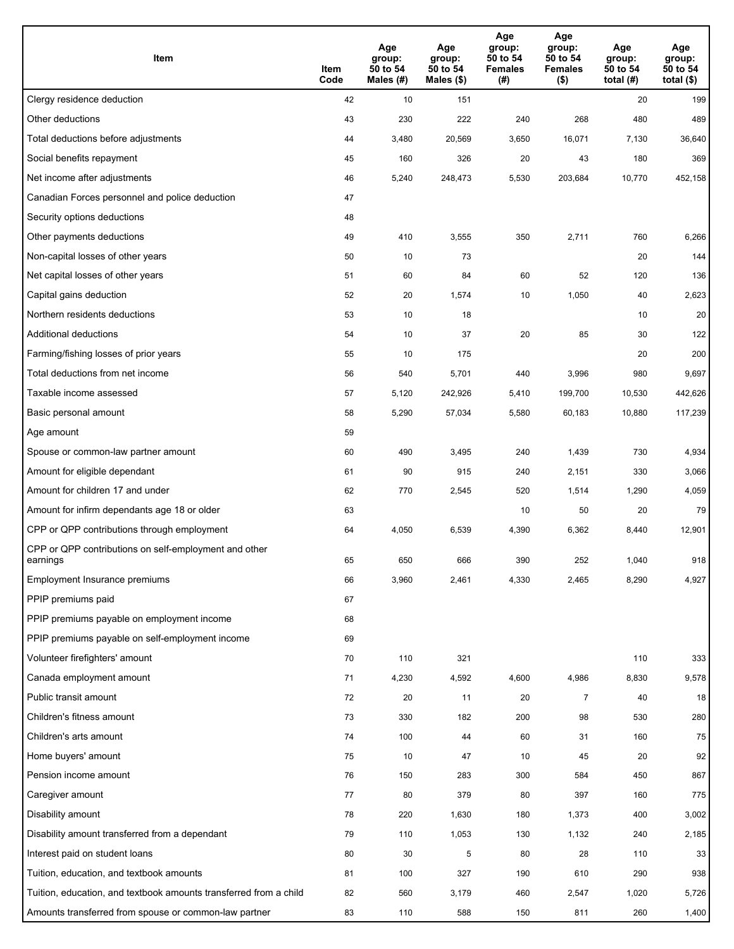| Item                                                              | Item<br>Code | Age<br>group:<br>50 to 54<br>Males (#) | Age<br>group:<br>50 to 54<br>Males (\$) | Age<br>group:<br>50 to 54<br><b>Females</b><br>(#) | Age<br>group:<br>50 to 54<br><b>Females</b><br>$($ \$) | Age<br>group:<br>50 to 54<br>total $(H)$ | Age<br>group:<br>50 to 54<br>total $($)$ |
|-------------------------------------------------------------------|--------------|----------------------------------------|-----------------------------------------|----------------------------------------------------|--------------------------------------------------------|------------------------------------------|------------------------------------------|
| Clergy residence deduction                                        | 42           | 10                                     | 151                                     |                                                    |                                                        | 20                                       | 199                                      |
| Other deductions                                                  | 43           | 230                                    | 222                                     | 240                                                | 268                                                    | 480                                      | 489                                      |
| Total deductions before adjustments                               | 44           | 3,480                                  | 20,569                                  | 3,650                                              | 16,071                                                 | 7,130                                    | 36,640                                   |
| Social benefits repayment                                         | 45           | 160                                    | 326                                     | 20                                                 | 43                                                     | 180                                      | 369                                      |
| Net income after adjustments                                      | 46           | 5,240                                  | 248,473                                 | 5,530                                              | 203,684                                                | 10,770                                   | 452,158                                  |
| Canadian Forces personnel and police deduction                    | 47           |                                        |                                         |                                                    |                                                        |                                          |                                          |
| Security options deductions                                       | 48           |                                        |                                         |                                                    |                                                        |                                          |                                          |
| Other payments deductions                                         | 49           | 410                                    | 3,555                                   | 350                                                | 2,711                                                  | 760                                      | 6,266                                    |
| Non-capital losses of other years                                 | 50           | 10                                     | 73                                      |                                                    |                                                        | 20                                       | 144                                      |
| Net capital losses of other years                                 | 51           | 60                                     | 84                                      | 60                                                 | 52                                                     | 120                                      | 136                                      |
| Capital gains deduction                                           | 52           | 20                                     | 1,574                                   | 10                                                 | 1,050                                                  | 40                                       | 2,623                                    |
| Northern residents deductions                                     | 53           | 10                                     | 18                                      |                                                    |                                                        | 10                                       | 20                                       |
| Additional deductions                                             | 54           | 10                                     | 37                                      | 20                                                 | 85                                                     | 30                                       | 122                                      |
| Farming/fishing losses of prior years                             | 55           | 10                                     | 175                                     |                                                    |                                                        | 20                                       | 200                                      |
| Total deductions from net income                                  | 56           | 540                                    | 5,701                                   | 440                                                | 3,996                                                  | 980                                      | 9,697                                    |
| Taxable income assessed                                           | 57           | 5,120                                  | 242,926                                 | 5,410                                              | 199,700                                                | 10,530                                   | 442,626                                  |
| Basic personal amount                                             | 58           | 5,290                                  | 57,034                                  | 5,580                                              | 60,183                                                 | 10,880                                   | 117,239                                  |
| Age amount                                                        | 59           |                                        |                                         |                                                    |                                                        |                                          |                                          |
| Spouse or common-law partner amount                               | 60           | 490                                    | 3,495                                   | 240                                                | 1,439                                                  | 730                                      | 4,934                                    |
| Amount for eligible dependant                                     | 61           | 90                                     | 915                                     | 240                                                | 2,151                                                  | 330                                      | 3,066                                    |
| Amount for children 17 and under                                  | 62           | 770                                    | 2,545                                   | 520                                                | 1,514                                                  | 1,290                                    | 4,059                                    |
| Amount for infirm dependants age 18 or older                      | 63           |                                        |                                         | 10                                                 | 50                                                     | 20                                       | 79                                       |
| CPP or QPP contributions through employment                       | 64           | 4,050                                  | 6,539                                   | 4,390                                              | 6,362                                                  | 8,440                                    | 12,901                                   |
| CPP or QPP contributions on self-employment and other<br>earnings | 65           | 650                                    | 666                                     | 390                                                | 252                                                    | 1,040                                    | 918                                      |
| Employment Insurance premiums                                     | 66           | 3,960                                  | 2,461                                   | 4,330                                              | 2,465                                                  | 8,290                                    | 4,927                                    |
| PPIP premiums paid                                                | 67           |                                        |                                         |                                                    |                                                        |                                          |                                          |
| PPIP premiums payable on employment income                        | 68           |                                        |                                         |                                                    |                                                        |                                          |                                          |
| PPIP premiums payable on self-employment income                   | 69           |                                        |                                         |                                                    |                                                        |                                          |                                          |
| Volunteer firefighters' amount                                    | 70           | 110                                    | 321                                     |                                                    |                                                        | 110                                      | 333                                      |
| Canada employment amount                                          | 71           | 4,230                                  | 4,592                                   | 4,600                                              | 4,986                                                  | 8,830                                    | 9,578                                    |
| Public transit amount                                             | 72           | 20                                     | 11                                      | 20                                                 | $\overline{7}$                                         | 40                                       | 18                                       |
| Children's fitness amount                                         | 73           | 330                                    | 182                                     | 200                                                | 98                                                     | 530                                      | 280                                      |
| Children's arts amount                                            | 74           | 100                                    | 44                                      | 60                                                 | 31                                                     | 160                                      | 75                                       |
| Home buyers' amount                                               | 75           | 10                                     | 47                                      | 10                                                 | 45                                                     | 20                                       | 92                                       |
| Pension income amount                                             | 76           | 150                                    | 283                                     | 300                                                | 584                                                    | 450                                      | 867                                      |
| Caregiver amount                                                  | 77           | 80                                     | 379                                     | 80                                                 | 397                                                    | 160                                      | 775                                      |
| Disability amount                                                 | 78           | 220                                    | 1,630                                   | 180                                                | 1,373                                                  | 400                                      | 3,002                                    |
| Disability amount transferred from a dependant                    | 79           | 110                                    | 1,053                                   | 130                                                | 1,132                                                  | 240                                      | 2,185                                    |
| Interest paid on student loans                                    | 80           | 30                                     | 5                                       | 80                                                 | 28                                                     | 110                                      | 33                                       |
| Tuition, education, and textbook amounts                          | 81           | 100                                    | 327                                     | 190                                                | 610                                                    | 290                                      | 938                                      |
| Tuition, education, and textbook amounts transferred from a child | 82           | 560                                    | 3,179                                   | 460                                                | 2,547                                                  | 1,020                                    | 5,726                                    |
| Amounts transferred from spouse or common-law partner             | 83           | 110                                    | 588                                     | 150                                                | 811                                                    | 260                                      | 1,400                                    |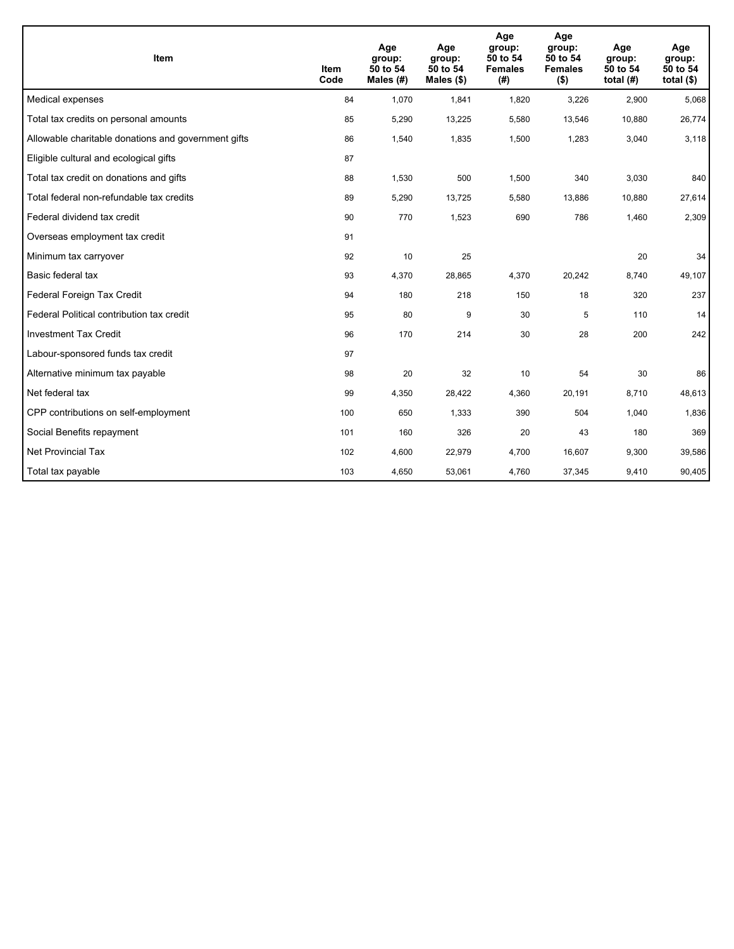| <b>Item</b>                                         | Item<br>Code | Age<br>group:<br>50 to 54<br>Males (#) | Age<br>group:<br>50 to 54<br>Males $(\$)$ | Age<br>group:<br>50 to 54<br><b>Females</b><br>(#) | Age<br>group:<br>50 to 54<br><b>Females</b><br>$($ \$) | Age<br>group:<br>50 to 54<br>total $(H)$ | Age<br>group:<br>50 to 54<br>total $($)$ |
|-----------------------------------------------------|--------------|----------------------------------------|-------------------------------------------|----------------------------------------------------|--------------------------------------------------------|------------------------------------------|------------------------------------------|
| Medical expenses                                    | 84           | 1,070                                  | 1,841                                     | 1,820                                              | 3,226                                                  | 2,900                                    | 5,068                                    |
| Total tax credits on personal amounts               | 85           | 5,290                                  | 13,225                                    | 5,580                                              | 13,546                                                 | 10,880                                   | 26,774                                   |
| Allowable charitable donations and government gifts | 86           | 1,540                                  | 1,835                                     | 1,500                                              | 1,283                                                  | 3,040                                    | 3,118                                    |
| Eligible cultural and ecological gifts              | 87           |                                        |                                           |                                                    |                                                        |                                          |                                          |
| Total tax credit on donations and gifts             | 88           | 1,530                                  | 500                                       | 1,500                                              | 340                                                    | 3,030                                    | 840                                      |
| Total federal non-refundable tax credits            | 89           | 5,290                                  | 13,725                                    | 5,580                                              | 13,886                                                 | 10,880                                   | 27,614                                   |
| Federal dividend tax credit                         | 90           | 770                                    | 1,523                                     | 690                                                | 786                                                    | 1,460                                    | 2,309                                    |
| Overseas employment tax credit                      | 91           |                                        |                                           |                                                    |                                                        |                                          |                                          |
| Minimum tax carryover                               | 92           | 10                                     | 25                                        |                                                    |                                                        | 20                                       | 34                                       |
| Basic federal tax                                   | 93           | 4,370                                  | 28,865                                    | 4,370                                              | 20,242                                                 | 8,740                                    | 49,107                                   |
| Federal Foreign Tax Credit                          | 94           | 180                                    | 218                                       | 150                                                | 18                                                     | 320                                      | 237                                      |
| Federal Political contribution tax credit           | 95           | 80                                     | 9                                         | 30                                                 | 5                                                      | 110                                      | 14                                       |
| <b>Investment Tax Credit</b>                        | 96           | 170                                    | 214                                       | 30                                                 | 28                                                     | 200                                      | 242                                      |
| Labour-sponsored funds tax credit                   | 97           |                                        |                                           |                                                    |                                                        |                                          |                                          |
| Alternative minimum tax payable                     | 98           | 20                                     | 32                                        | 10                                                 | 54                                                     | 30                                       | 86                                       |
| Net federal tax                                     | 99           | 4,350                                  | 28,422                                    | 4,360                                              | 20,191                                                 | 8,710                                    | 48,613                                   |
| CPP contributions on self-employment                | 100          | 650                                    | 1,333                                     | 390                                                | 504                                                    | 1,040                                    | 1,836                                    |
| Social Benefits repayment                           | 101          | 160                                    | 326                                       | 20                                                 | 43                                                     | 180                                      | 369                                      |
| <b>Net Provincial Tax</b>                           | 102          | 4,600                                  | 22,979                                    | 4,700                                              | 16,607                                                 | 9,300                                    | 39,586                                   |
| Total tax payable                                   | 103          | 4,650                                  | 53,061                                    | 4,760                                              | 37,345                                                 | 9,410                                    | 90,405                                   |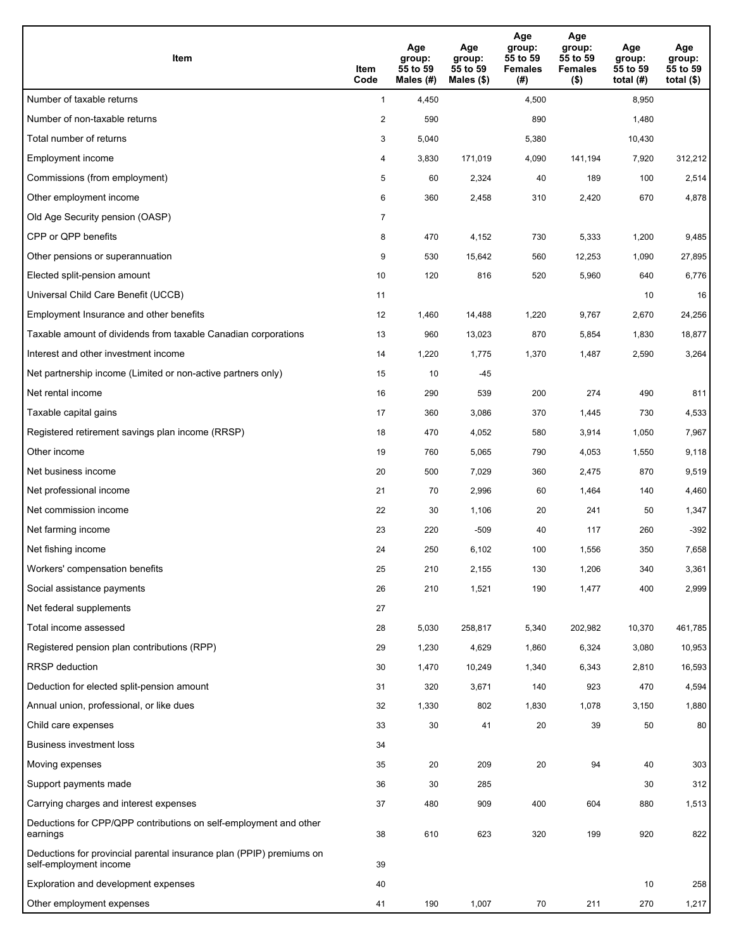| <b>Item</b>                                                                                    | Item<br>Code            | Age<br>group:<br>55 to 59<br>Males (#) | Age<br>group:<br>55 to 59<br>Males (\$) | Age<br>group:<br>55 to 59<br><b>Females</b><br>(#) | Age<br>group:<br>55 to 59<br><b>Females</b><br>$($ \$) | Age<br>group:<br>55 to 59<br>total $(H)$ | Age<br>group:<br>55 to 59<br>total $($)$ |
|------------------------------------------------------------------------------------------------|-------------------------|----------------------------------------|-----------------------------------------|----------------------------------------------------|--------------------------------------------------------|------------------------------------------|------------------------------------------|
| Number of taxable returns                                                                      | $\mathbf{1}$            | 4,450                                  |                                         | 4,500                                              |                                                        | 8,950                                    |                                          |
| Number of non-taxable returns                                                                  | $\overline{\mathbf{c}}$ | 590                                    |                                         | 890                                                |                                                        | 1,480                                    |                                          |
| Total number of returns                                                                        | 3                       | 5,040                                  |                                         | 5,380                                              |                                                        | 10,430                                   |                                          |
| Employment income                                                                              | 4                       | 3,830                                  | 171.019                                 | 4,090                                              | 141,194                                                | 7,920                                    | 312,212                                  |
| Commissions (from employment)                                                                  | 5                       | 60                                     | 2,324                                   | 40                                                 | 189                                                    | 100                                      | 2,514                                    |
| Other employment income                                                                        | 6                       | 360                                    | 2,458                                   | 310                                                | 2,420                                                  | 670                                      | 4,878                                    |
| Old Age Security pension (OASP)                                                                | $\overline{7}$          |                                        |                                         |                                                    |                                                        |                                          |                                          |
| CPP or QPP benefits                                                                            | 8                       | 470                                    | 4,152                                   | 730                                                | 5,333                                                  | 1,200                                    | 9,485                                    |
| Other pensions or superannuation                                                               | 9                       | 530                                    | 15,642                                  | 560                                                | 12,253                                                 | 1,090                                    | 27,895                                   |
| Elected split-pension amount                                                                   | 10                      | 120                                    | 816                                     | 520                                                | 5,960                                                  | 640                                      | 6,776                                    |
| Universal Child Care Benefit (UCCB)                                                            | 11                      |                                        |                                         |                                                    |                                                        | 10                                       | 16                                       |
| Employment Insurance and other benefits                                                        | 12                      | 1,460                                  | 14,488                                  | 1,220                                              | 9,767                                                  | 2,670                                    | 24,256                                   |
| Taxable amount of dividends from taxable Canadian corporations                                 | 13                      | 960                                    | 13,023                                  | 870                                                | 5,854                                                  | 1,830                                    | 18,877                                   |
| Interest and other investment income                                                           | 14                      | 1,220                                  | 1,775                                   | 1,370                                              | 1,487                                                  | 2,590                                    | 3,264                                    |
| Net partnership income (Limited or non-active partners only)                                   | 15                      | 10                                     | $-45$                                   |                                                    |                                                        |                                          |                                          |
| Net rental income                                                                              | 16                      | 290                                    | 539                                     | 200                                                | 274                                                    | 490                                      | 811                                      |
| Taxable capital gains                                                                          | 17                      | 360                                    | 3,086                                   | 370                                                | 1,445                                                  | 730                                      | 4,533                                    |
| Registered retirement savings plan income (RRSP)                                               | 18                      | 470                                    | 4,052                                   | 580                                                | 3,914                                                  | 1,050                                    | 7,967                                    |
| Other income                                                                                   | 19                      | 760                                    | 5,065                                   | 790                                                | 4,053                                                  | 1,550                                    | 9,118                                    |
| Net business income                                                                            | 20                      | 500                                    | 7,029                                   | 360                                                | 2,475                                                  | 870                                      | 9,519                                    |
| Net professional income                                                                        | 21                      | 70                                     | 2,996                                   | 60                                                 | 1,464                                                  | 140                                      | 4,460                                    |
| Net commission income                                                                          | 22                      | 30                                     | 1,106                                   | 20                                                 | 241                                                    | 50                                       | 1,347                                    |
| Net farming income                                                                             | 23                      | 220                                    | $-509$                                  | 40                                                 | 117                                                    | 260                                      | $-392$                                   |
| Net fishing income                                                                             | 24                      | 250                                    | 6,102                                   | 100                                                | 1,556                                                  | 350                                      | 7,658                                    |
| Workers' compensation benefits                                                                 | 25                      | 210                                    | 2,155                                   | 130                                                | 1,206                                                  | 340                                      | 3,361                                    |
| Social assistance payments                                                                     | 26                      | 210                                    | 1,521                                   | 190                                                | 1,477                                                  | 400                                      | 2,999                                    |
| Net federal supplements                                                                        | 27                      |                                        |                                         |                                                    |                                                        |                                          |                                          |
| Total income assessed                                                                          | 28                      | 5,030                                  | 258,817                                 | 5,340                                              | 202,982                                                | 10,370                                   | 461,785                                  |
| Registered pension plan contributions (RPP)                                                    | 29                      | 1,230                                  | 4,629                                   | 1,860                                              | 6,324                                                  | 3,080                                    | 10,953                                   |
| RRSP deduction                                                                                 | 30                      | 1,470                                  | 10,249                                  | 1,340                                              | 6,343                                                  | 2,810                                    | 16,593                                   |
| Deduction for elected split-pension amount                                                     | 31                      | 320                                    | 3,671                                   | 140                                                | 923                                                    | 470                                      | 4,594                                    |
| Annual union, professional, or like dues                                                       | 32                      | 1,330                                  | 802                                     | 1,830                                              | 1,078                                                  | 3,150                                    | 1,880                                    |
| Child care expenses                                                                            | 33                      | 30                                     | 41                                      | 20                                                 | 39                                                     | 50                                       | 80                                       |
| <b>Business investment loss</b>                                                                | 34                      |                                        |                                         |                                                    |                                                        |                                          |                                          |
| Moving expenses                                                                                | 35                      | 20                                     | 209                                     | 20                                                 | 94                                                     | 40                                       | 303                                      |
| Support payments made                                                                          | 36                      | 30                                     | 285                                     |                                                    |                                                        | 30                                       | 312                                      |
| Carrying charges and interest expenses                                                         | 37                      | 480                                    | 909                                     | 400                                                | 604                                                    | 880                                      | 1,513                                    |
| Deductions for CPP/QPP contributions on self-employment and other<br>earnings                  | 38                      | 610                                    | 623                                     | 320                                                | 199                                                    | 920                                      | 822                                      |
| Deductions for provincial parental insurance plan (PPIP) premiums on<br>self-employment income | 39                      |                                        |                                         |                                                    |                                                        |                                          |                                          |
| Exploration and development expenses                                                           | 40                      |                                        |                                         |                                                    |                                                        | 10                                       | 258                                      |
| Other employment expenses                                                                      | 41                      | 190                                    | 1,007                                   | 70                                                 | 211                                                    | 270                                      | 1,217                                    |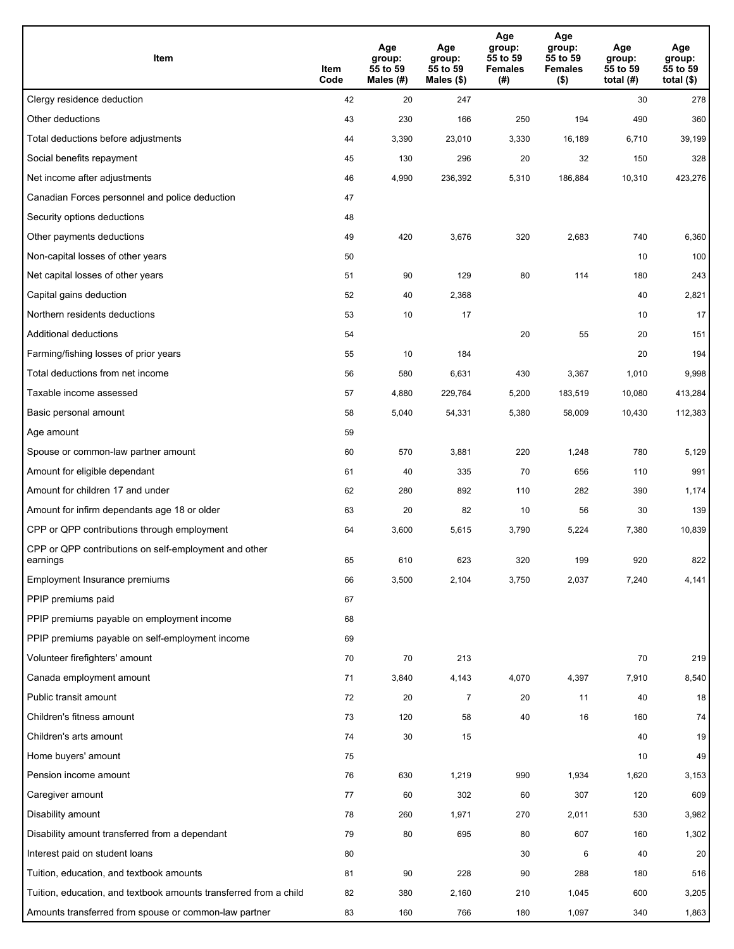| Item                                                              | Item<br>Code | Age<br>group:<br>55 to 59<br>Males (#) | Age<br>group:<br>55 to 59<br>Males (\$) | Age<br>group:<br>55 to 59<br><b>Females</b><br>(#) | Age<br>group:<br>55 to 59<br>Females<br>$($ \$) | Age<br>group:<br>55 to 59<br>total $(H)$ | Age<br>group:<br>55 to 59<br>total $($)$ |
|-------------------------------------------------------------------|--------------|----------------------------------------|-----------------------------------------|----------------------------------------------------|-------------------------------------------------|------------------------------------------|------------------------------------------|
| Clergy residence deduction                                        | 42           | 20                                     | 247                                     |                                                    |                                                 | 30                                       | 278                                      |
| Other deductions                                                  | 43           | 230                                    | 166                                     | 250                                                | 194                                             | 490                                      | 360                                      |
| Total deductions before adjustments                               | 44           | 3,390                                  | 23,010                                  | 3,330                                              | 16,189                                          | 6,710                                    | 39,199                                   |
| Social benefits repayment                                         | 45           | 130                                    | 296                                     | 20                                                 | 32                                              | 150                                      | 328                                      |
| Net income after adjustments                                      | 46           | 4,990                                  | 236,392                                 | 5,310                                              | 186,884                                         | 10,310                                   | 423,276                                  |
| Canadian Forces personnel and police deduction                    | 47           |                                        |                                         |                                                    |                                                 |                                          |                                          |
| Security options deductions                                       | 48           |                                        |                                         |                                                    |                                                 |                                          |                                          |
| Other payments deductions                                         | 49           | 420                                    | 3,676                                   | 320                                                | 2,683                                           | 740                                      | 6,360                                    |
| Non-capital losses of other years                                 | 50           |                                        |                                         |                                                    |                                                 | 10                                       | 100                                      |
| Net capital losses of other years                                 | 51           | 90                                     | 129                                     | 80                                                 | 114                                             | 180                                      | 243                                      |
| Capital gains deduction                                           | 52           | 40                                     | 2,368                                   |                                                    |                                                 | 40                                       | 2,821                                    |
| Northern residents deductions                                     | 53           | 10                                     | 17                                      |                                                    |                                                 | 10                                       | 17                                       |
| Additional deductions                                             | 54           |                                        |                                         | 20                                                 | 55                                              | 20                                       | 151                                      |
| Farming/fishing losses of prior years                             | 55           | 10                                     | 184                                     |                                                    |                                                 | 20                                       | 194                                      |
| Total deductions from net income                                  | 56           | 580                                    | 6,631                                   | 430                                                | 3,367                                           | 1,010                                    | 9,998                                    |
| Taxable income assessed                                           | 57           | 4,880                                  | 229,764                                 | 5,200                                              | 183,519                                         | 10,080                                   | 413,284                                  |
| Basic personal amount                                             | 58           | 5,040                                  | 54,331                                  | 5,380                                              | 58,009                                          | 10,430                                   | 112,383                                  |
| Age amount                                                        | 59           |                                        |                                         |                                                    |                                                 |                                          |                                          |
| Spouse or common-law partner amount                               | 60           | 570                                    | 3,881                                   | 220                                                | 1,248                                           | 780                                      | 5,129                                    |
| Amount for eligible dependant                                     | 61           | 40                                     | 335                                     | 70                                                 | 656                                             | 110                                      | 991                                      |
| Amount for children 17 and under                                  | 62           | 280                                    | 892                                     | 110                                                | 282                                             | 390                                      | 1,174                                    |
| Amount for infirm dependants age 18 or older                      | 63           | 20                                     | 82                                      | 10                                                 | 56                                              | 30                                       | 139                                      |
| CPP or QPP contributions through employment                       | 64           | 3,600                                  | 5,615                                   | 3,790                                              | 5,224                                           | 7,380                                    | 10,839                                   |
| CPP or QPP contributions on self-employment and other<br>earnings | 65           | 610                                    | 623                                     | 320                                                | 199                                             | 920                                      | 822                                      |
| Employment Insurance premiums                                     | 66           | 3,500                                  | 2,104                                   | 3,750                                              | 2,037                                           | 7,240                                    | 4,141                                    |
| PPIP premiums paid                                                | 67           |                                        |                                         |                                                    |                                                 |                                          |                                          |
| PPIP premiums payable on employment income                        | 68           |                                        |                                         |                                                    |                                                 |                                          |                                          |
| PPIP premiums payable on self-employment income                   | 69           |                                        |                                         |                                                    |                                                 |                                          |                                          |
| Volunteer firefighters' amount                                    | 70           | 70                                     | 213                                     |                                                    |                                                 | 70                                       | 219                                      |
| Canada employment amount                                          | 71           | 3,840                                  | 4,143                                   | 4,070                                              | 4,397                                           | 7,910                                    | 8,540                                    |
| Public transit amount                                             | 72           | 20                                     | $\overline{7}$                          | 20                                                 | 11                                              | 40                                       | 18                                       |
| Children's fitness amount                                         | 73           | 120                                    | 58                                      | 40                                                 | 16                                              | 160                                      | 74                                       |
| Children's arts amount                                            | 74           | 30                                     | 15                                      |                                                    |                                                 | 40                                       | 19                                       |
| Home buyers' amount                                               | 75           |                                        |                                         |                                                    |                                                 | 10                                       | 49                                       |
| Pension income amount                                             | 76           | 630                                    | 1,219                                   | 990                                                | 1,934                                           | 1,620                                    | 3,153                                    |
| Caregiver amount                                                  | 77           | 60                                     | 302                                     | 60                                                 | 307                                             | 120                                      | 609                                      |
| Disability amount                                                 | 78           | 260                                    | 1,971                                   | 270                                                | 2,011                                           | 530                                      | 3,982                                    |
| Disability amount transferred from a dependant                    | 79           | 80                                     | 695                                     | 80                                                 | 607                                             | 160                                      | 1,302                                    |
| Interest paid on student loans                                    | 80           |                                        |                                         | 30                                                 | 6                                               | 40                                       | 20                                       |
| Tuition, education, and textbook amounts                          | 81           | 90                                     | 228                                     | 90                                                 | 288                                             | 180                                      | 516                                      |
| Tuition, education, and textbook amounts transferred from a child | 82           | 380                                    | 2,160                                   | 210                                                | 1,045                                           | 600                                      | 3,205                                    |
| Amounts transferred from spouse or common-law partner             | 83           | 160                                    | 766                                     | 180                                                | 1,097                                           | 340                                      | 1,863                                    |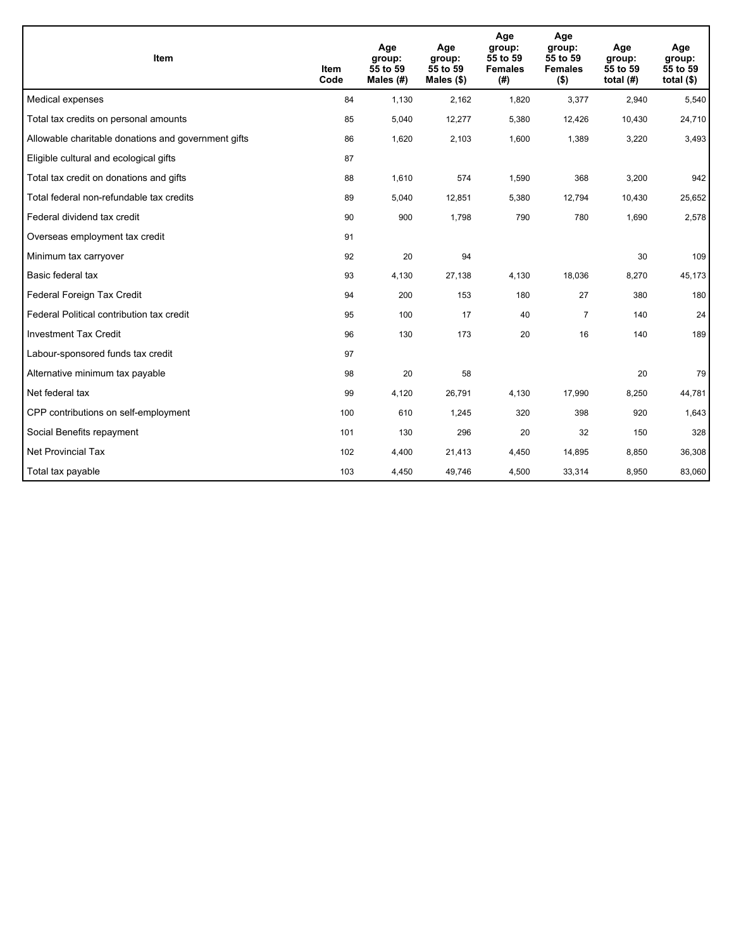| Item                                                | <b>Item</b><br>Code | Age<br>group:<br>55 to 59<br>Males (#) | Age<br>group:<br>55 to 59<br>Males $(\$)$ | Age<br>group:<br>55 to 59<br><b>Females</b><br>(# ) | Age<br>group:<br>55 to 59<br><b>Females</b><br>$($ \$) | Age<br>group:<br>55 to 59<br>total $(H)$ | Age<br>group:<br>55 to 59<br>total $($)$ |
|-----------------------------------------------------|---------------------|----------------------------------------|-------------------------------------------|-----------------------------------------------------|--------------------------------------------------------|------------------------------------------|------------------------------------------|
| Medical expenses                                    | 84                  | 1,130                                  | 2,162                                     | 1,820                                               | 3,377                                                  | 2,940                                    | 5,540                                    |
| Total tax credits on personal amounts               | 85                  | 5,040                                  | 12,277                                    | 5,380                                               | 12,426                                                 | 10,430                                   | 24,710                                   |
| Allowable charitable donations and government gifts | 86                  | 1,620                                  | 2,103                                     | 1,600                                               | 1,389                                                  | 3,220                                    | 3,493                                    |
| Eligible cultural and ecological gifts              | 87                  |                                        |                                           |                                                     |                                                        |                                          |                                          |
| Total tax credit on donations and gifts             | 88                  | 1,610                                  | 574                                       | 1,590                                               | 368                                                    | 3,200                                    | 942                                      |
| Total federal non-refundable tax credits            | 89                  | 5,040                                  | 12,851                                    | 5,380                                               | 12,794                                                 | 10,430                                   | 25,652                                   |
| Federal dividend tax credit                         | 90                  | 900                                    | 1,798                                     | 790                                                 | 780                                                    | 1,690                                    | 2,578                                    |
| Overseas employment tax credit                      | 91                  |                                        |                                           |                                                     |                                                        |                                          |                                          |
| Minimum tax carryover                               | 92                  | 20                                     | 94                                        |                                                     |                                                        | 30                                       | 109                                      |
| Basic federal tax                                   | 93                  | 4,130                                  | 27,138                                    | 4,130                                               | 18,036                                                 | 8,270                                    | 45,173                                   |
| Federal Foreign Tax Credit                          | 94                  | 200                                    | 153                                       | 180                                                 | 27                                                     | 380                                      | 180                                      |
| Federal Political contribution tax credit           | 95                  | 100                                    | 17                                        | 40                                                  | $\overline{7}$                                         | 140                                      | 24                                       |
| <b>Investment Tax Credit</b>                        | 96                  | 130                                    | 173                                       | 20                                                  | 16                                                     | 140                                      | 189                                      |
| Labour-sponsored funds tax credit                   | 97                  |                                        |                                           |                                                     |                                                        |                                          |                                          |
| Alternative minimum tax payable                     | 98                  | 20                                     | 58                                        |                                                     |                                                        | 20                                       | 79                                       |
| Net federal tax                                     | 99                  | 4,120                                  | 26,791                                    | 4,130                                               | 17,990                                                 | 8,250                                    | 44,781                                   |
| CPP contributions on self-employment                | 100                 | 610                                    | 1,245                                     | 320                                                 | 398                                                    | 920                                      | 1,643                                    |
| Social Benefits repayment                           | 101                 | 130                                    | 296                                       | 20                                                  | 32                                                     | 150                                      | 328                                      |
| Net Provincial Tax                                  | 102                 | 4,400                                  | 21,413                                    | 4,450                                               | 14,895                                                 | 8,850                                    | 36,308                                   |
| Total tax payable                                   | 103                 | 4,450                                  | 49,746                                    | 4,500                                               | 33,314                                                 | 8,950                                    | 83,060                                   |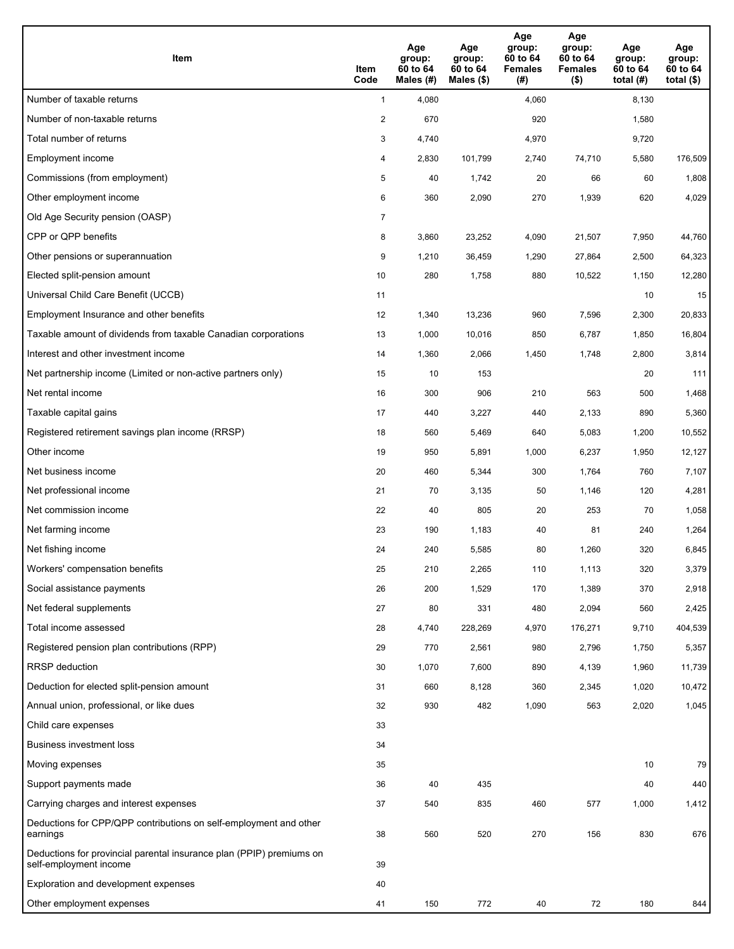| <b>Item</b>                                                                                    | Item<br>Code            | Age<br>group:<br>60 to 64<br>Males (#) | Age<br>group:<br>60 to 64<br>Males (\$) | Age<br>group:<br>60 to 64<br><b>Females</b><br>(#) | Age<br>group:<br>60 to 64<br><b>Females</b><br>$($ \$) | Age<br>group:<br>60 to 64<br>total $(H)$ | Age<br>group:<br>60 to 64<br>total $($)$ |
|------------------------------------------------------------------------------------------------|-------------------------|----------------------------------------|-----------------------------------------|----------------------------------------------------|--------------------------------------------------------|------------------------------------------|------------------------------------------|
| Number of taxable returns                                                                      | $\mathbf{1}$            | 4,080                                  |                                         | 4,060                                              |                                                        | 8,130                                    |                                          |
| Number of non-taxable returns                                                                  | $\overline{\mathbf{c}}$ | 670                                    |                                         | 920                                                |                                                        | 1,580                                    |                                          |
| Total number of returns                                                                        | 3                       | 4,740                                  |                                         | 4,970                                              |                                                        | 9,720                                    |                                          |
| Employment income                                                                              | 4                       | 2,830                                  | 101,799                                 | 2,740                                              | 74,710                                                 | 5,580                                    | 176,509                                  |
| Commissions (from employment)                                                                  | 5                       | 40                                     | 1,742                                   | 20                                                 | 66                                                     | 60                                       | 1,808                                    |
| Other employment income                                                                        | 6                       | 360                                    | 2,090                                   | 270                                                | 1,939                                                  | 620                                      | 4,029                                    |
| Old Age Security pension (OASP)                                                                | $\overline{7}$          |                                        |                                         |                                                    |                                                        |                                          |                                          |
| CPP or QPP benefits                                                                            | 8                       | 3,860                                  | 23,252                                  | 4,090                                              | 21,507                                                 | 7,950                                    | 44,760                                   |
| Other pensions or superannuation                                                               | 9                       | 1,210                                  | 36,459                                  | 1,290                                              | 27,864                                                 | 2,500                                    | 64,323                                   |
| Elected split-pension amount                                                                   | 10                      | 280                                    | 1,758                                   | 880                                                | 10,522                                                 | 1,150                                    | 12,280                                   |
| Universal Child Care Benefit (UCCB)                                                            | 11                      |                                        |                                         |                                                    |                                                        | 10                                       | 15                                       |
| Employment Insurance and other benefits                                                        | 12                      | 1,340                                  | 13,236                                  | 960                                                | 7,596                                                  | 2,300                                    | 20,833                                   |
| Taxable amount of dividends from taxable Canadian corporations                                 | 13                      | 1,000                                  | 10,016                                  | 850                                                | 6,787                                                  | 1,850                                    | 16,804                                   |
| Interest and other investment income                                                           | 14                      | 1,360                                  | 2,066                                   | 1,450                                              | 1,748                                                  | 2,800                                    | 3,814                                    |
| Net partnership income (Limited or non-active partners only)                                   | 15                      | 10                                     | 153                                     |                                                    |                                                        | 20                                       | 111                                      |
| Net rental income                                                                              | 16                      | 300                                    | 906                                     | 210                                                | 563                                                    | 500                                      | 1,468                                    |
| Taxable capital gains                                                                          | 17                      | 440                                    | 3,227                                   | 440                                                | 2,133                                                  | 890                                      | 5,360                                    |
| Registered retirement savings plan income (RRSP)                                               | 18                      | 560                                    | 5,469                                   | 640                                                | 5,083                                                  | 1,200                                    | 10,552                                   |
| Other income                                                                                   | 19                      | 950                                    | 5,891                                   | 1,000                                              | 6,237                                                  | 1,950                                    | 12,127                                   |
| Net business income                                                                            | 20                      | 460                                    | 5,344                                   | 300                                                | 1,764                                                  | 760                                      | 7,107                                    |
| Net professional income                                                                        | 21                      | 70                                     | 3,135                                   | 50                                                 | 1,146                                                  | 120                                      | 4,281                                    |
| Net commission income                                                                          | 22                      | 40                                     | 805                                     | 20                                                 | 253                                                    | 70                                       | 1,058                                    |
| Net farming income                                                                             | 23                      | 190                                    | 1,183                                   | 40                                                 | 81                                                     | 240                                      | 1,264                                    |
| Net fishing income                                                                             | 24                      | 240                                    | 5,585                                   | 80                                                 | 1,260                                                  | 320                                      | 6,845                                    |
| Workers' compensation benefits                                                                 | 25                      | 210                                    | 2,265                                   | 110                                                | 1,113                                                  | 320                                      | 3,379                                    |
| Social assistance payments                                                                     | 26                      | 200                                    | 1,529                                   | 170                                                | 1,389                                                  | 370                                      | 2,918                                    |
| Net federal supplements                                                                        | 27                      | 80                                     | 331                                     | 480                                                | 2,094                                                  | 560                                      | 2,425                                    |
| Total income assessed                                                                          | 28                      | 4,740                                  | 228,269                                 | 4,970                                              | 176,271                                                | 9,710                                    | 404,539                                  |
| Registered pension plan contributions (RPP)                                                    | 29                      | 770                                    | 2,561                                   | 980                                                | 2,796                                                  | 1,750                                    | 5,357                                    |
| RRSP deduction                                                                                 | 30                      | 1,070                                  | 7,600                                   | 890                                                | 4,139                                                  | 1,960                                    | 11,739                                   |
| Deduction for elected split-pension amount                                                     | 31                      | 660                                    | 8,128                                   | 360                                                | 2,345                                                  | 1,020                                    | 10,472                                   |
| Annual union, professional, or like dues                                                       | 32                      | 930                                    | 482                                     | 1,090                                              | 563                                                    | 2,020                                    | 1,045                                    |
| Child care expenses                                                                            | 33                      |                                        |                                         |                                                    |                                                        |                                          |                                          |
| <b>Business investment loss</b>                                                                | 34                      |                                        |                                         |                                                    |                                                        |                                          |                                          |
| Moving expenses                                                                                | 35                      |                                        |                                         |                                                    |                                                        | 10                                       | 79                                       |
| Support payments made                                                                          | 36                      | 40                                     | 435                                     |                                                    |                                                        | 40                                       | 440                                      |
| Carrying charges and interest expenses                                                         | 37                      | 540                                    | 835                                     | 460                                                | 577                                                    | 1,000                                    | 1,412                                    |
| Deductions for CPP/QPP contributions on self-employment and other<br>earnings                  | 38                      | 560                                    | 520                                     | 270                                                | 156                                                    | 830                                      | 676                                      |
| Deductions for provincial parental insurance plan (PPIP) premiums on<br>self-employment income | 39                      |                                        |                                         |                                                    |                                                        |                                          |                                          |
| Exploration and development expenses                                                           | 40                      |                                        |                                         |                                                    |                                                        |                                          |                                          |
| Other employment expenses                                                                      | 41                      | 150                                    | 772                                     | 40                                                 | 72                                                     | 180                                      | 844                                      |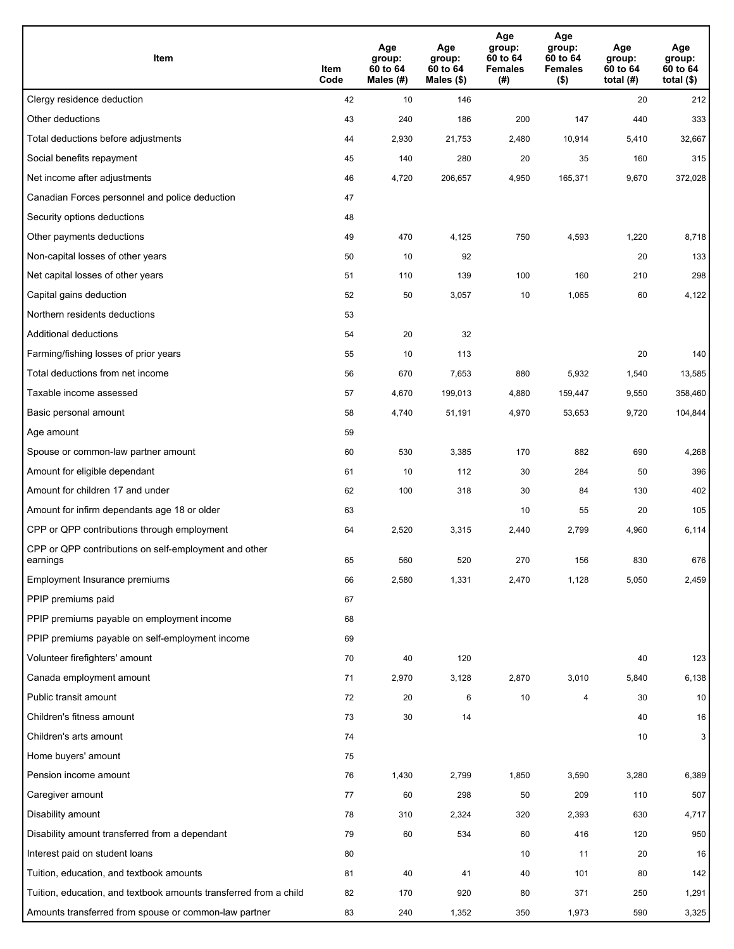| Item                                                              | Item<br>Code | Age<br>group:<br>60 to 64<br>Males (#) | Age<br>group:<br>60 to 64<br>Males (\$) | Age<br>group:<br>60 to 64<br><b>Females</b><br>(#) | Age<br>group:<br>60 to 64<br><b>Females</b><br>$($ \$) | Age<br>group:<br>60 to 64<br>total $(H)$ | Age<br>group:<br>60 to 64<br>total $($)$ |
|-------------------------------------------------------------------|--------------|----------------------------------------|-----------------------------------------|----------------------------------------------------|--------------------------------------------------------|------------------------------------------|------------------------------------------|
| Clergy residence deduction                                        | 42           | 10                                     | 146                                     |                                                    |                                                        | 20                                       | 212                                      |
| Other deductions                                                  | 43           | 240                                    | 186                                     | 200                                                | 147                                                    | 440                                      | 333                                      |
| Total deductions before adjustments                               | 44           | 2,930                                  | 21,753                                  | 2,480                                              | 10,914                                                 | 5,410                                    | 32,667                                   |
| Social benefits repayment                                         | 45           | 140                                    | 280                                     | 20                                                 | 35                                                     | 160                                      | 315                                      |
| Net income after adjustments                                      | 46           | 4,720                                  | 206,657                                 | 4,950                                              | 165,371                                                | 9,670                                    | 372,028                                  |
| Canadian Forces personnel and police deduction                    | 47           |                                        |                                         |                                                    |                                                        |                                          |                                          |
| Security options deductions                                       | 48           |                                        |                                         |                                                    |                                                        |                                          |                                          |
| Other payments deductions                                         | 49           | 470                                    | 4,125                                   | 750                                                | 4,593                                                  | 1,220                                    | 8,718                                    |
| Non-capital losses of other years                                 | 50           | 10                                     | 92                                      |                                                    |                                                        | 20                                       | 133                                      |
| Net capital losses of other years                                 | 51           | 110                                    | 139                                     | 100                                                | 160                                                    | 210                                      | 298                                      |
| Capital gains deduction                                           | 52           | 50                                     | 3,057                                   | 10                                                 | 1,065                                                  | 60                                       | 4,122                                    |
| Northern residents deductions                                     | 53           |                                        |                                         |                                                    |                                                        |                                          |                                          |
| Additional deductions                                             | 54           | 20                                     | 32                                      |                                                    |                                                        |                                          |                                          |
| Farming/fishing losses of prior years                             | 55           | 10                                     | 113                                     |                                                    |                                                        | 20                                       | 140                                      |
| Total deductions from net income                                  | 56           | 670                                    | 7,653                                   | 880                                                | 5,932                                                  | 1,540                                    | 13,585                                   |
| Taxable income assessed                                           | 57           | 4,670                                  | 199,013                                 | 4,880                                              | 159,447                                                | 9,550                                    | 358,460                                  |
| Basic personal amount                                             | 58           | 4,740                                  | 51,191                                  | 4,970                                              | 53,653                                                 | 9,720                                    | 104,844                                  |
| Age amount                                                        | 59           |                                        |                                         |                                                    |                                                        |                                          |                                          |
| Spouse or common-law partner amount                               | 60           | 530                                    | 3,385                                   | 170                                                | 882                                                    | 690                                      | 4,268                                    |
| Amount for eligible dependant                                     | 61           | 10                                     | 112                                     | 30                                                 | 284                                                    | 50                                       | 396                                      |
| Amount for children 17 and under                                  | 62           | 100                                    | 318                                     | 30                                                 | 84                                                     | 130                                      | 402                                      |
| Amount for infirm dependants age 18 or older                      | 63           |                                        |                                         | 10                                                 | 55                                                     | 20                                       | 105                                      |
| CPP or QPP contributions through employment                       | 64           | 2,520                                  | 3,315                                   | 2,440                                              | 2,799                                                  | 4,960                                    | 6,114                                    |
| CPP or QPP contributions on self-employment and other<br>earnings | 65           | 560                                    | 520                                     | 270                                                | 156                                                    | 830                                      | 676                                      |
| Employment Insurance premiums                                     | 66           | 2,580                                  | 1,331                                   | 2,470                                              | 1,128                                                  | 5,050                                    | 2,459                                    |
| PPIP premiums paid                                                | 67           |                                        |                                         |                                                    |                                                        |                                          |                                          |
| PPIP premiums payable on employment income                        | 68           |                                        |                                         |                                                    |                                                        |                                          |                                          |
| PPIP premiums payable on self-employment income                   | 69           |                                        |                                         |                                                    |                                                        |                                          |                                          |
| Volunteer firefighters' amount                                    | 70           | 40                                     | 120                                     |                                                    |                                                        | 40                                       | 123                                      |
| Canada employment amount                                          | 71           | 2,970                                  | 3,128                                   | 2,870                                              | 3,010                                                  | 5,840                                    | 6,138                                    |
| Public transit amount                                             | 72           | 20                                     | 6                                       | 10                                                 | 4                                                      | 30                                       | 10                                       |
| Children's fitness amount                                         | 73           | 30                                     | 14                                      |                                                    |                                                        | 40                                       | 16                                       |
| Children's arts amount                                            | 74           |                                        |                                         |                                                    |                                                        | 10                                       | 3 <sup>2</sup>                           |
| Home buyers' amount                                               | 75           |                                        |                                         |                                                    |                                                        |                                          |                                          |
| Pension income amount                                             | 76           | 1,430                                  | 2,799                                   | 1,850                                              | 3,590                                                  | 3,280                                    | 6,389                                    |
| Caregiver amount                                                  | 77           | 60                                     | 298                                     | 50                                                 | 209                                                    | 110                                      | 507                                      |
| Disability amount                                                 | 78           | 310                                    | 2,324                                   | 320                                                | 2,393                                                  | 630                                      | 4,717                                    |
| Disability amount transferred from a dependant                    | 79           | 60                                     | 534                                     | 60                                                 | 416                                                    | 120                                      | 950                                      |
| Interest paid on student loans                                    | 80           |                                        |                                         | 10                                                 | 11                                                     | 20                                       | 16                                       |
| Tuition, education, and textbook amounts                          | 81           | 40                                     | 41                                      | 40                                                 | 101                                                    | 80                                       | 142                                      |
| Tuition, education, and textbook amounts transferred from a child | 82           | 170                                    | 920                                     | 80                                                 | 371                                                    | 250                                      | 1,291                                    |
| Amounts transferred from spouse or common-law partner             | 83           | 240                                    | 1,352                                   | 350                                                | 1,973                                                  | 590                                      | 3,325                                    |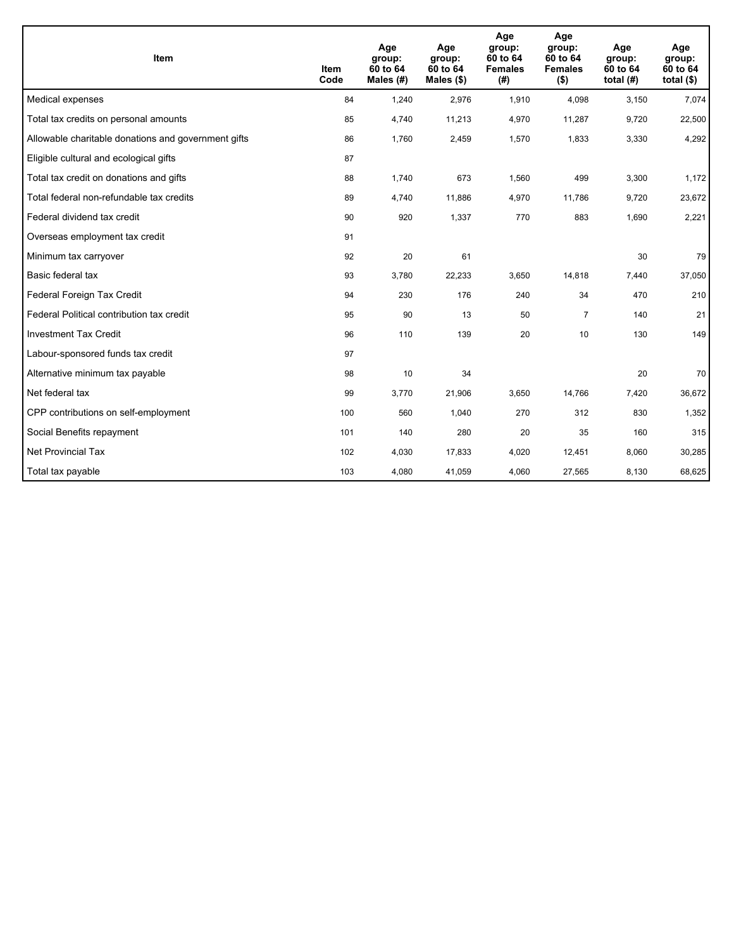| <b>Item</b>                                         | <b>Item</b><br>Code | Age<br>group:<br>60 to 64<br>Males $(H)$ | Age<br>group:<br>60 to 64<br>Males $(\$)$ | Age<br>group:<br>60 to 64<br><b>Females</b><br>(#) | Age<br>group:<br>60 to 64<br><b>Females</b><br>$($ \$) | Age<br>group:<br>60 to 64<br>total $(H)$ | Age<br>group:<br>60 to 64<br>total $($)$ |
|-----------------------------------------------------|---------------------|------------------------------------------|-------------------------------------------|----------------------------------------------------|--------------------------------------------------------|------------------------------------------|------------------------------------------|
| Medical expenses                                    | 84                  | 1,240                                    | 2.976                                     | 1.910                                              | 4,098                                                  | 3,150                                    | 7,074                                    |
| Total tax credits on personal amounts               | 85                  | 4,740                                    | 11,213                                    | 4,970                                              | 11,287                                                 | 9,720                                    | 22,500                                   |
| Allowable charitable donations and government gifts | 86                  | 1,760                                    | 2,459                                     | 1,570                                              | 1,833                                                  | 3,330                                    | 4,292                                    |
| Eligible cultural and ecological gifts              | 87                  |                                          |                                           |                                                    |                                                        |                                          |                                          |
| Total tax credit on donations and gifts             | 88                  | 1,740                                    | 673                                       | 1,560                                              | 499                                                    | 3,300                                    | 1,172                                    |
| Total federal non-refundable tax credits            | 89                  | 4,740                                    | 11,886                                    | 4,970                                              | 11,786                                                 | 9,720                                    | 23,672                                   |
| Federal dividend tax credit                         | 90                  | 920                                      | 1,337                                     | 770                                                | 883                                                    | 1,690                                    | 2,221                                    |
| Overseas employment tax credit                      | 91                  |                                          |                                           |                                                    |                                                        |                                          |                                          |
| Minimum tax carryover                               | 92                  | 20                                       | 61                                        |                                                    |                                                        | 30                                       | 79                                       |
| Basic federal tax                                   | 93                  | 3,780                                    | 22,233                                    | 3,650                                              | 14,818                                                 | 7,440                                    | 37,050                                   |
| Federal Foreign Tax Credit                          | 94                  | 230                                      | 176                                       | 240                                                | 34                                                     | 470                                      | 210                                      |
| Federal Political contribution tax credit           | 95                  | 90                                       | 13                                        | 50                                                 | $\overline{7}$                                         | 140                                      | 21                                       |
| <b>Investment Tax Credit</b>                        | 96                  | 110                                      | 139                                       | 20                                                 | 10                                                     | 130                                      | 149                                      |
| Labour-sponsored funds tax credit                   | 97                  |                                          |                                           |                                                    |                                                        |                                          |                                          |
| Alternative minimum tax payable                     | 98                  | 10                                       | 34                                        |                                                    |                                                        | 20                                       | 70                                       |
| Net federal tax                                     | 99                  | 3,770                                    | 21,906                                    | 3,650                                              | 14,766                                                 | 7,420                                    | 36,672                                   |
| CPP contributions on self-employment                | 100                 | 560                                      | 1,040                                     | 270                                                | 312                                                    | 830                                      | 1,352                                    |
| Social Benefits repayment                           | 101                 | 140                                      | 280                                       | 20                                                 | 35                                                     | 160                                      | 315                                      |
| Net Provincial Tax                                  | 102                 | 4,030                                    | 17,833                                    | 4,020                                              | 12,451                                                 | 8,060                                    | 30,285                                   |
| Total tax payable                                   | 103                 | 4,080                                    | 41,059                                    | 4,060                                              | 27,565                                                 | 8,130                                    | 68,625                                   |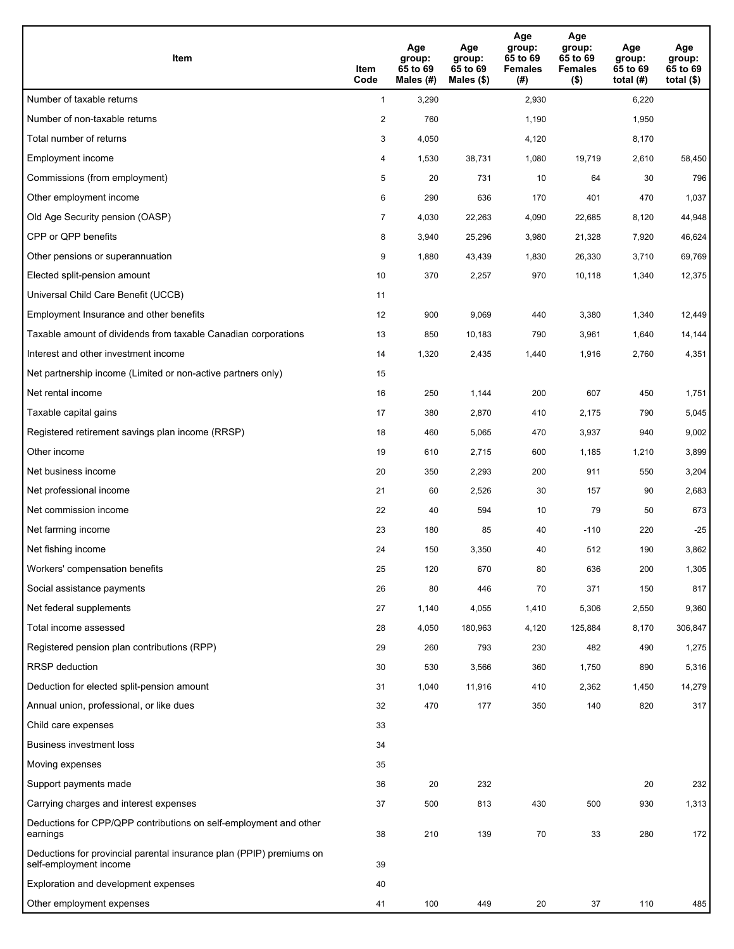| <b>Item</b>                                                                                    | Item<br>Code            | Age<br>group:<br>65 to 69<br>Males (#) | Age<br>group:<br>65 to 69<br>Males (\$) | Age<br>group:<br>65 to 69<br><b>Females</b><br>(#) | Age<br>group:<br>65 to 69<br><b>Females</b><br>$($ \$) | Age<br>group:<br>65 to 69<br>total (#) | Age<br>group:<br>65 to 69<br>total $($)$ |
|------------------------------------------------------------------------------------------------|-------------------------|----------------------------------------|-----------------------------------------|----------------------------------------------------|--------------------------------------------------------|----------------------------------------|------------------------------------------|
| Number of taxable returns                                                                      | $\mathbf{1}$            | 3,290                                  |                                         | 2,930                                              |                                                        | 6,220                                  |                                          |
| Number of non-taxable returns                                                                  | $\overline{\mathbf{c}}$ | 760                                    |                                         | 1,190                                              |                                                        | 1,950                                  |                                          |
| Total number of returns                                                                        | 3                       | 4,050                                  |                                         | 4,120                                              |                                                        | 8,170                                  |                                          |
| Employment income                                                                              | 4                       | 1,530                                  | 38,731                                  | 1,080                                              | 19,719                                                 | 2,610                                  | 58,450                                   |
| Commissions (from employment)                                                                  | 5                       | 20                                     | 731                                     | 10                                                 | 64                                                     | 30                                     | 796                                      |
| Other employment income                                                                        | 6                       | 290                                    | 636                                     | 170                                                | 401                                                    | 470                                    | 1,037                                    |
| Old Age Security pension (OASP)                                                                | $\overline{7}$          | 4,030                                  | 22,263                                  | 4,090                                              | 22,685                                                 | 8,120                                  | 44,948                                   |
| CPP or QPP benefits                                                                            | 8                       | 3,940                                  | 25,296                                  | 3,980                                              | 21,328                                                 | 7,920                                  | 46,624                                   |
| Other pensions or superannuation                                                               | 9                       | 1,880                                  | 43,439                                  | 1,830                                              | 26,330                                                 | 3,710                                  | 69,769                                   |
| Elected split-pension amount                                                                   | 10                      | 370                                    | 2,257                                   | 970                                                | 10,118                                                 | 1,340                                  | 12,375                                   |
| Universal Child Care Benefit (UCCB)                                                            | 11                      |                                        |                                         |                                                    |                                                        |                                        |                                          |
| Employment Insurance and other benefits                                                        | 12                      | 900                                    | 9,069                                   | 440                                                | 3,380                                                  | 1,340                                  | 12,449                                   |
| Taxable amount of dividends from taxable Canadian corporations                                 | 13                      | 850                                    | 10,183                                  | 790                                                | 3,961                                                  | 1,640                                  | 14,144                                   |
| Interest and other investment income                                                           | 14                      | 1,320                                  | 2,435                                   | 1,440                                              | 1,916                                                  | 2,760                                  | 4,351                                    |
| Net partnership income (Limited or non-active partners only)                                   | 15                      |                                        |                                         |                                                    |                                                        |                                        |                                          |
| Net rental income                                                                              | 16                      | 250                                    | 1,144                                   | 200                                                | 607                                                    | 450                                    | 1,751                                    |
| Taxable capital gains                                                                          | 17                      | 380                                    | 2,870                                   | 410                                                | 2,175                                                  | 790                                    | 5,045                                    |
| Registered retirement savings plan income (RRSP)                                               | 18                      | 460                                    | 5,065                                   | 470                                                | 3,937                                                  | 940                                    | 9,002                                    |
| Other income                                                                                   | 19                      | 610                                    | 2,715                                   | 600                                                | 1,185                                                  | 1,210                                  | 3,899                                    |
| Net business income                                                                            | 20                      | 350                                    | 2,293                                   | 200                                                | 911                                                    | 550                                    | 3,204                                    |
| Net professional income                                                                        | 21                      | 60                                     | 2,526                                   | 30                                                 | 157                                                    | 90                                     | 2,683                                    |
| Net commission income                                                                          | 22                      | 40                                     | 594                                     | 10                                                 | 79                                                     | 50                                     | 673                                      |
| Net farming income                                                                             | 23                      | 180                                    | 85                                      | 40                                                 | $-110$                                                 | 220                                    | $-25$                                    |
| Net fishing income                                                                             | 24                      | 150                                    | 3,350                                   | 40                                                 | 512                                                    | 190                                    | 3,862                                    |
| Workers' compensation benefits                                                                 | 25                      | 120                                    | 670                                     | 80                                                 | 636                                                    | 200                                    | 1,305                                    |
| Social assistance payments                                                                     | 26                      | 80                                     | 446                                     | 70                                                 | 371                                                    | 150                                    | 817                                      |
| Net federal supplements                                                                        | 27                      | 1,140                                  | 4,055                                   | 1,410                                              | 5,306                                                  | 2,550                                  | 9,360                                    |
| Total income assessed                                                                          | 28                      | 4,050                                  | 180,963                                 | 4,120                                              | 125,884                                                | 8,170                                  | 306,847                                  |
| Registered pension plan contributions (RPP)                                                    | 29                      | 260                                    | 793                                     | 230                                                | 482                                                    | 490                                    | 1,275                                    |
| RRSP deduction                                                                                 | 30                      | 530                                    | 3,566                                   | 360                                                | 1,750                                                  | 890                                    | 5,316                                    |
| Deduction for elected split-pension amount                                                     | 31                      | 1,040                                  | 11,916                                  | 410                                                | 2,362                                                  | 1,450                                  | 14,279                                   |
| Annual union, professional, or like dues                                                       | 32                      | 470                                    | 177                                     | 350                                                | 140                                                    | 820                                    | 317                                      |
| Child care expenses                                                                            | 33                      |                                        |                                         |                                                    |                                                        |                                        |                                          |
| <b>Business investment loss</b>                                                                | 34                      |                                        |                                         |                                                    |                                                        |                                        |                                          |
| Moving expenses                                                                                | 35                      |                                        |                                         |                                                    |                                                        |                                        |                                          |
| Support payments made                                                                          | 36                      | 20                                     | 232                                     |                                                    |                                                        | 20                                     | 232                                      |
| Carrying charges and interest expenses                                                         | 37                      | 500                                    | 813                                     | 430                                                | 500                                                    | 930                                    | 1,313                                    |
| Deductions for CPP/QPP contributions on self-employment and other<br>earnings                  | 38                      | 210                                    | 139                                     | 70                                                 | 33                                                     | 280                                    | 172                                      |
| Deductions for provincial parental insurance plan (PPIP) premiums on<br>self-employment income | 39                      |                                        |                                         |                                                    |                                                        |                                        |                                          |
| Exploration and development expenses                                                           | 40                      |                                        |                                         |                                                    |                                                        |                                        |                                          |
| Other employment expenses                                                                      | 41                      | 100                                    | 449                                     | 20                                                 | 37                                                     | 110                                    | 485                                      |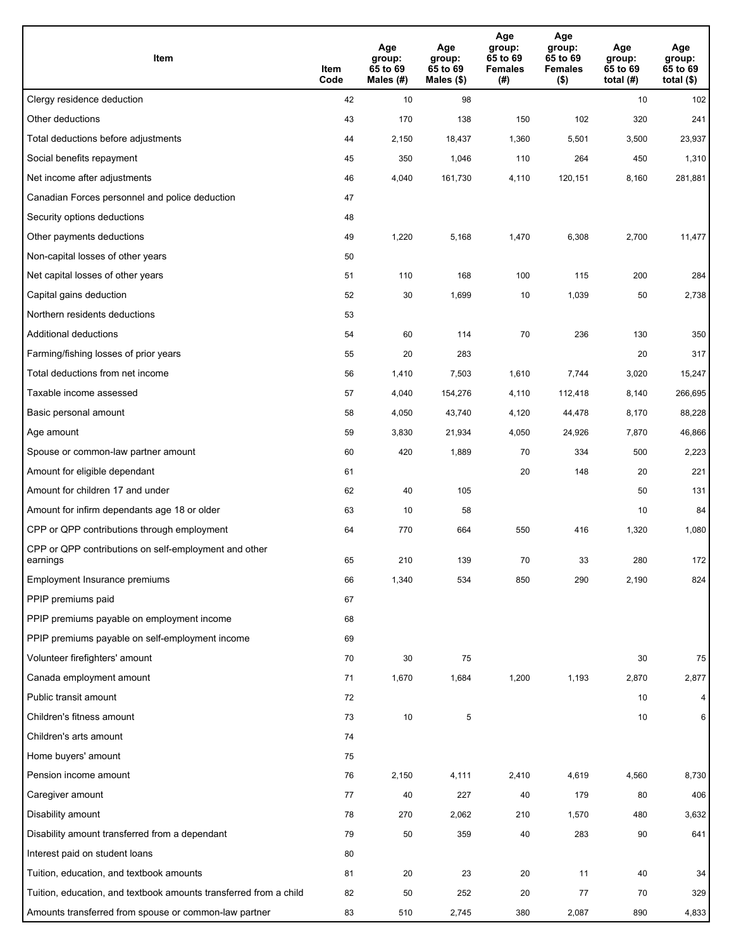| Item                                                              | Item<br>Code | Age<br>group:<br>65 to 69<br>Males (#) | Age<br>group:<br>65 to 69<br>Males $(\$)$ | Age<br>group:<br>65 to 69<br><b>Females</b><br>(# ) | Age<br>group:<br>65 to 69<br>Females<br>$($ \$) | Age<br>group:<br>65 to 69<br>total (#) | Age<br>group:<br>65 to 69<br>total $($)$ |
|-------------------------------------------------------------------|--------------|----------------------------------------|-------------------------------------------|-----------------------------------------------------|-------------------------------------------------|----------------------------------------|------------------------------------------|
| Clergy residence deduction                                        | 42           | 10                                     | 98                                        |                                                     |                                                 | 10                                     | 102                                      |
| Other deductions                                                  | 43           | 170                                    | 138                                       | 150                                                 | 102                                             | 320                                    | 241                                      |
| Total deductions before adjustments                               | 44           | 2,150                                  | 18,437                                    | 1,360                                               | 5,501                                           | 3,500                                  | 23,937                                   |
| Social benefits repayment                                         | 45           | 350                                    | 1,046                                     | 110                                                 | 264                                             | 450                                    | 1,310                                    |
| Net income after adjustments                                      | 46           | 4,040                                  | 161,730                                   | 4,110                                               | 120,151                                         | 8,160                                  | 281,881                                  |
| Canadian Forces personnel and police deduction                    | 47           |                                        |                                           |                                                     |                                                 |                                        |                                          |
| Security options deductions                                       | 48           |                                        |                                           |                                                     |                                                 |                                        |                                          |
| Other payments deductions                                         | 49           | 1,220                                  | 5,168                                     | 1,470                                               | 6,308                                           | 2,700                                  | 11,477                                   |
| Non-capital losses of other years                                 | 50           |                                        |                                           |                                                     |                                                 |                                        |                                          |
| Net capital losses of other years                                 | 51           | 110                                    | 168                                       | 100                                                 | 115                                             | 200                                    | 284                                      |
| Capital gains deduction                                           | 52           | 30                                     | 1,699                                     | 10                                                  | 1,039                                           | 50                                     | 2,738                                    |
| Northern residents deductions                                     | 53           |                                        |                                           |                                                     |                                                 |                                        |                                          |
| Additional deductions                                             | 54           | 60                                     | 114                                       | 70                                                  | 236                                             | 130                                    | 350                                      |
| Farming/fishing losses of prior years                             | 55           | 20                                     | 283                                       |                                                     |                                                 | 20                                     | 317                                      |
| Total deductions from net income                                  | 56           | 1,410                                  | 7,503                                     | 1,610                                               | 7,744                                           | 3,020                                  | 15,247                                   |
| Taxable income assessed                                           | 57           | 4,040                                  | 154,276                                   | 4,110                                               | 112,418                                         | 8,140                                  | 266,695                                  |
| Basic personal amount                                             | 58           | 4,050                                  | 43,740                                    | 4,120                                               | 44,478                                          | 8,170                                  | 88,228                                   |
| Age amount                                                        | 59           | 3,830                                  | 21,934                                    | 4,050                                               | 24,926                                          | 7,870                                  | 46,866                                   |
| Spouse or common-law partner amount                               | 60           | 420                                    | 1,889                                     | 70                                                  | 334                                             | 500                                    | 2,223                                    |
| Amount for eligible dependant                                     | 61           |                                        |                                           | 20                                                  | 148                                             | 20                                     | 221                                      |
| Amount for children 17 and under                                  | 62           | 40                                     | 105                                       |                                                     |                                                 | 50                                     | 131                                      |
| Amount for infirm dependants age 18 or older                      | 63           | 10                                     | 58                                        |                                                     |                                                 | 10                                     | 84                                       |
| CPP or QPP contributions through employment                       | 64           | 770                                    | 664                                       | 550                                                 | 416                                             | 1,320                                  | 1,080                                    |
| CPP or QPP contributions on self-employment and other<br>earnings | 65           | 210                                    | 139                                       | 70                                                  | 33                                              | 280                                    | 172                                      |
| Employment Insurance premiums                                     | 66           | 1,340                                  | 534                                       | 850                                                 | 290                                             | 2,190                                  | 824                                      |
| PPIP premiums paid                                                | 67           |                                        |                                           |                                                     |                                                 |                                        |                                          |
| PPIP premiums payable on employment income                        | 68           |                                        |                                           |                                                     |                                                 |                                        |                                          |
| PPIP premiums payable on self-employment income                   | 69           |                                        |                                           |                                                     |                                                 |                                        |                                          |
| Volunteer firefighters' amount                                    | 70           | 30                                     | 75                                        |                                                     |                                                 | 30                                     | 75                                       |
| Canada employment amount                                          | 71           | 1,670                                  | 1,684                                     | 1,200                                               | 1,193                                           | 2,870                                  | 2,877                                    |
| Public transit amount                                             | 72           |                                        |                                           |                                                     |                                                 | 10                                     | 4 <sup>1</sup>                           |
| Children's fitness amount                                         | 73           | 10                                     | 5                                         |                                                     |                                                 | 10                                     | $6 \mid$                                 |
| Children's arts amount                                            | 74           |                                        |                                           |                                                     |                                                 |                                        |                                          |
| Home buyers' amount                                               | 75           |                                        |                                           |                                                     |                                                 |                                        |                                          |
| Pension income amount                                             | 76           | 2,150                                  | 4,111                                     | 2,410                                               | 4,619                                           | 4,560                                  | 8,730                                    |
| Caregiver amount                                                  | 77           | 40                                     | 227                                       | 40                                                  | 179                                             | 80                                     | 406                                      |
| Disability amount                                                 | 78           | 270                                    | 2,062                                     | 210                                                 | 1,570                                           | 480                                    | 3,632                                    |
| Disability amount transferred from a dependant                    | 79           | 50                                     | 359                                       | 40                                                  | 283                                             | 90                                     | 641                                      |
| Interest paid on student loans                                    | 80           |                                        |                                           |                                                     |                                                 |                                        |                                          |
| Tuition, education, and textbook amounts                          | 81           | 20                                     | 23                                        | 20                                                  | 11                                              | 40                                     | 34                                       |
| Tuition, education, and textbook amounts transferred from a child | 82           | 50                                     | 252                                       | 20                                                  | 77                                              | 70                                     | 329                                      |
| Amounts transferred from spouse or common-law partner             | 83           | 510                                    | 2,745                                     | 380                                                 | 2,087                                           | 890                                    | 4,833                                    |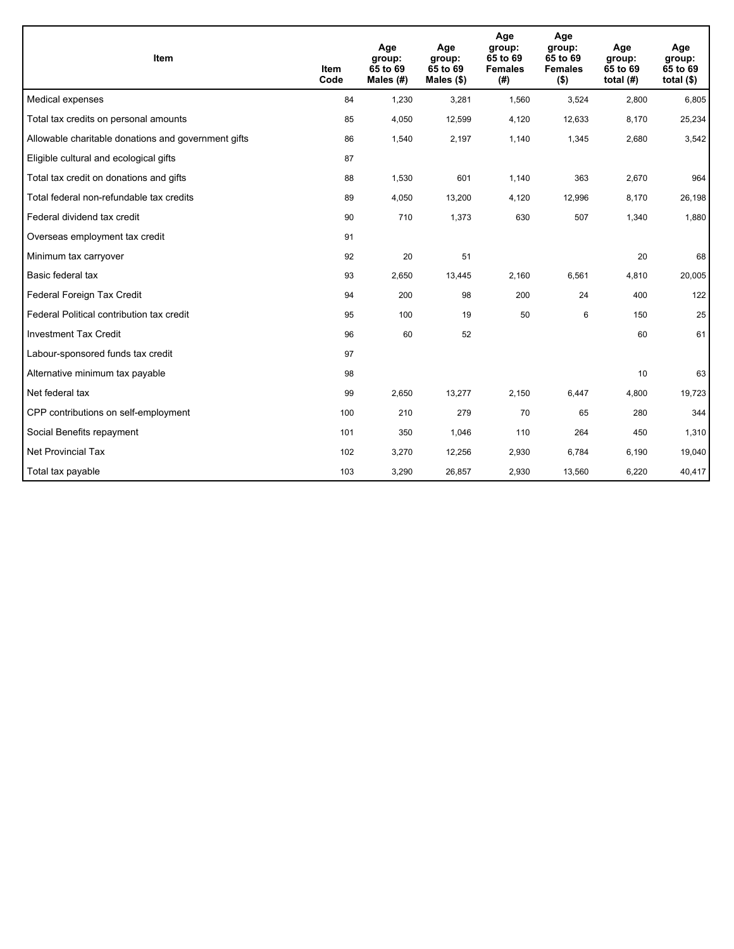| <b>Item</b>                                         | <b>Item</b><br>Code | Age<br>group:<br>65 to 69<br>Males $(H)$ | Age<br>group:<br>65 to 69<br>Males $(\$)$ | Age<br>group:<br>65 to 69<br><b>Females</b><br>(#) | Age<br>group:<br>65 to 69<br><b>Females</b><br>$($ \$) | Age<br>group:<br>65 to 69<br>total $(H)$ | Age<br>group:<br>65 to 69<br>total $($)$ |
|-----------------------------------------------------|---------------------|------------------------------------------|-------------------------------------------|----------------------------------------------------|--------------------------------------------------------|------------------------------------------|------------------------------------------|
| Medical expenses                                    | 84                  | 1,230                                    | 3,281                                     | 1,560                                              | 3,524                                                  | 2,800                                    | 6,805                                    |
| Total tax credits on personal amounts               | 85                  | 4,050                                    | 12,599                                    | 4,120                                              | 12,633                                                 | 8,170                                    | 25,234                                   |
| Allowable charitable donations and government gifts | 86                  | 1,540                                    | 2,197                                     | 1,140                                              | 1,345                                                  | 2,680                                    | 3,542                                    |
| Eligible cultural and ecological gifts              | 87                  |                                          |                                           |                                                    |                                                        |                                          |                                          |
| Total tax credit on donations and gifts             | 88                  | 1,530                                    | 601                                       | 1,140                                              | 363                                                    | 2,670                                    | 964                                      |
| Total federal non-refundable tax credits            | 89                  | 4,050                                    | 13,200                                    | 4,120                                              | 12,996                                                 | 8,170                                    | 26,198                                   |
| Federal dividend tax credit                         | 90                  | 710                                      | 1,373                                     | 630                                                | 507                                                    | 1,340                                    | 1,880                                    |
| Overseas employment tax credit                      | 91                  |                                          |                                           |                                                    |                                                        |                                          |                                          |
| Minimum tax carryover                               | 92                  | 20                                       | 51                                        |                                                    |                                                        | 20                                       | 68                                       |
| Basic federal tax                                   | 93                  | 2,650                                    | 13,445                                    | 2,160                                              | 6,561                                                  | 4,810                                    | 20,005                                   |
| Federal Foreign Tax Credit                          | 94                  | 200                                      | 98                                        | 200                                                | 24                                                     | 400                                      | 122                                      |
| Federal Political contribution tax credit           | 95                  | 100                                      | 19                                        | 50                                                 | 6                                                      | 150                                      | 25                                       |
| <b>Investment Tax Credit</b>                        | 96                  | 60                                       | 52                                        |                                                    |                                                        | 60                                       | 61                                       |
| Labour-sponsored funds tax credit                   | 97                  |                                          |                                           |                                                    |                                                        |                                          |                                          |
| Alternative minimum tax payable                     | 98                  |                                          |                                           |                                                    |                                                        | 10                                       | 63                                       |
| Net federal tax                                     | 99                  | 2,650                                    | 13,277                                    | 2,150                                              | 6,447                                                  | 4,800                                    | 19,723                                   |
| CPP contributions on self-employment                | 100                 | 210                                      | 279                                       | 70                                                 | 65                                                     | 280                                      | 344                                      |
| Social Benefits repayment                           | 101                 | 350                                      | 1,046                                     | 110                                                | 264                                                    | 450                                      | 1,310                                    |
| Net Provincial Tax                                  | 102                 | 3,270                                    | 12,256                                    | 2,930                                              | 6,784                                                  | 6,190                                    | 19,040                                   |
| Total tax payable                                   | 103                 | 3,290                                    | 26,857                                    | 2,930                                              | 13,560                                                 | 6,220                                    | 40,417                                   |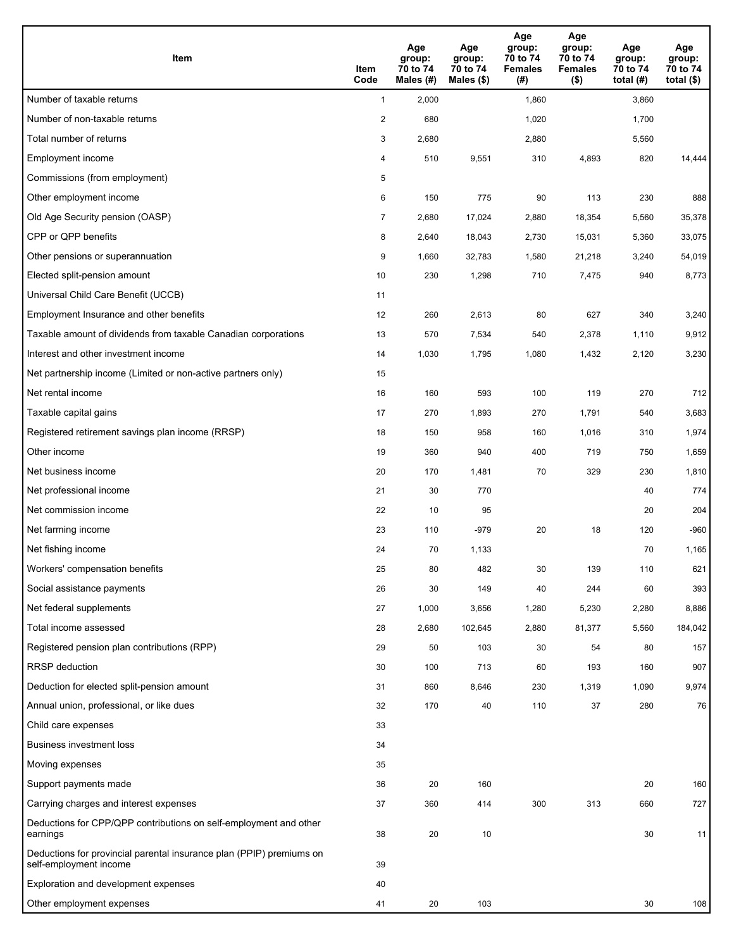| <b>Item</b>                                                                                    | Item<br>Code   | Age<br>group:<br>70 to 74<br>Males (#) | Age<br>group:<br>70 to 74<br>Males $(\$)$ | Age<br>group:<br>70 to 74<br><b>Females</b><br>(#) | Age<br>group:<br>70 to 74<br><b>Females</b><br>$($ \$) | Age<br>group:<br>70 to 74<br>total $(#)$ | Age<br>group:<br>70 to 74<br>total $($)$ |
|------------------------------------------------------------------------------------------------|----------------|----------------------------------------|-------------------------------------------|----------------------------------------------------|--------------------------------------------------------|------------------------------------------|------------------------------------------|
| Number of taxable returns                                                                      | $\mathbf{1}$   | 2,000                                  |                                           | 1,860                                              |                                                        | 3,860                                    |                                          |
| Number of non-taxable returns                                                                  | $\overline{2}$ | 680                                    |                                           | 1,020                                              |                                                        | 1,700                                    |                                          |
| Total number of returns                                                                        | 3              | 2,680                                  |                                           | 2,880                                              |                                                        | 5,560                                    |                                          |
| Employment income                                                                              | 4              | 510                                    | 9,551                                     | 310                                                | 4,893                                                  | 820                                      | 14,444                                   |
| Commissions (from employment)                                                                  | 5              |                                        |                                           |                                                    |                                                        |                                          |                                          |
| Other employment income                                                                        | 6              | 150                                    | 775                                       | 90                                                 | 113                                                    | 230                                      | 888                                      |
| Old Age Security pension (OASP)                                                                | $\overline{7}$ | 2,680                                  | 17,024                                    | 2,880                                              | 18,354                                                 | 5,560                                    | 35,378                                   |
| CPP or QPP benefits                                                                            | 8              | 2,640                                  | 18,043                                    | 2,730                                              | 15,031                                                 | 5,360                                    | 33,075                                   |
| Other pensions or superannuation                                                               | 9              | 1,660                                  | 32,783                                    | 1,580                                              | 21,218                                                 | 3,240                                    | 54,019                                   |
| Elected split-pension amount                                                                   | 10             | 230                                    | 1,298                                     | 710                                                | 7,475                                                  | 940                                      | 8,773                                    |
| Universal Child Care Benefit (UCCB)                                                            | 11             |                                        |                                           |                                                    |                                                        |                                          |                                          |
| Employment Insurance and other benefits                                                        | 12             | 260                                    | 2,613                                     | 80                                                 | 627                                                    | 340                                      | 3,240                                    |
| Taxable amount of dividends from taxable Canadian corporations                                 | 13             | 570                                    | 7,534                                     | 540                                                | 2,378                                                  | 1,110                                    | 9,912                                    |
| Interest and other investment income                                                           | 14             | 1,030                                  | 1,795                                     | 1,080                                              | 1,432                                                  | 2,120                                    | 3,230                                    |
| Net partnership income (Limited or non-active partners only)                                   | 15             |                                        |                                           |                                                    |                                                        |                                          |                                          |
| Net rental income                                                                              | 16             | 160                                    | 593                                       | 100                                                | 119                                                    | 270                                      | 712                                      |
| Taxable capital gains                                                                          | 17             | 270                                    | 1,893                                     | 270                                                | 1,791                                                  | 540                                      | 3,683                                    |
| Registered retirement savings plan income (RRSP)                                               | 18             | 150                                    | 958                                       | 160                                                | 1,016                                                  | 310                                      | 1,974                                    |
| Other income                                                                                   | 19             | 360                                    | 940                                       | 400                                                | 719                                                    | 750                                      | 1,659                                    |
| Net business income                                                                            | 20             | 170                                    | 1,481                                     | 70                                                 | 329                                                    | 230                                      | 1,810                                    |
| Net professional income                                                                        | 21             | 30                                     | 770                                       |                                                    |                                                        | 40                                       | 774                                      |
| Net commission income                                                                          | 22             | 10                                     | 95                                        |                                                    |                                                        | 20                                       | 204                                      |
| Net farming income                                                                             | 23             | 110                                    | $-979$                                    | 20                                                 | 18                                                     | 120                                      | $-960$                                   |
| Net fishing income                                                                             | 24             | 70                                     | 1,133                                     |                                                    |                                                        | 70                                       | 1,165                                    |
| Workers' compensation benefits                                                                 | 25             | 80                                     | 482                                       | 30                                                 | 139                                                    | 110                                      | 621                                      |
| Social assistance payments                                                                     | 26             | 30                                     | 149                                       | 40                                                 | 244                                                    | 60                                       | 393                                      |
| Net federal supplements                                                                        | 27             | 1,000                                  | 3,656                                     | 1,280                                              | 5,230                                                  | 2,280                                    | 8,886                                    |
| Total income assessed                                                                          | 28             | 2,680                                  | 102,645                                   | 2,880                                              | 81,377                                                 | 5,560                                    | 184,042                                  |
| Registered pension plan contributions (RPP)                                                    | 29             | 50                                     | 103                                       | 30                                                 | 54                                                     | 80                                       | 157                                      |
| RRSP deduction                                                                                 | 30             | 100                                    | 713                                       | 60                                                 | 193                                                    | 160                                      | 907                                      |
| Deduction for elected split-pension amount                                                     | 31             | 860                                    | 8,646                                     | 230                                                | 1,319                                                  | 1,090                                    | 9,974                                    |
| Annual union, professional, or like dues                                                       | 32             | 170                                    | 40                                        | 110                                                | 37                                                     | 280                                      | 76                                       |
| Child care expenses                                                                            | 33             |                                        |                                           |                                                    |                                                        |                                          |                                          |
| <b>Business investment loss</b>                                                                | 34             |                                        |                                           |                                                    |                                                        |                                          |                                          |
| Moving expenses                                                                                | 35             |                                        |                                           |                                                    |                                                        |                                          |                                          |
| Support payments made                                                                          | 36             | 20                                     | 160                                       |                                                    |                                                        | 20                                       | 160                                      |
| Carrying charges and interest expenses                                                         | 37             | 360                                    | 414                                       | 300                                                | 313                                                    | 660                                      | 727                                      |
| Deductions for CPP/QPP contributions on self-employment and other<br>earnings                  | 38             | 20                                     | 10                                        |                                                    |                                                        | 30                                       | 11                                       |
| Deductions for provincial parental insurance plan (PPIP) premiums on<br>self-employment income | 39             |                                        |                                           |                                                    |                                                        |                                          |                                          |
| Exploration and development expenses                                                           | 40             |                                        |                                           |                                                    |                                                        |                                          |                                          |
| Other employment expenses                                                                      | 41             | 20                                     | 103                                       |                                                    |                                                        | 30                                       | 108                                      |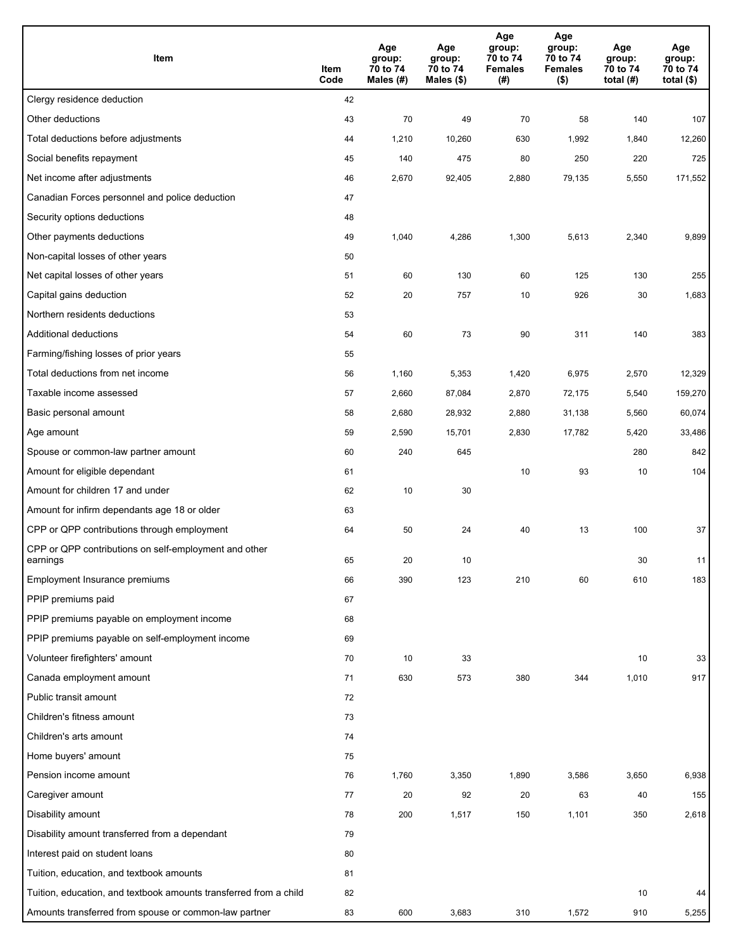| Item                                                              | Item<br>Code | Age<br>group:<br>70 to 74<br>Males (#) | Age<br>group:<br>70 to 74<br>Males (\$) | Age<br>group:<br>70 to 74<br><b>Females</b><br>(#) | Age<br>group:<br>70 to 74<br><b>Females</b><br>$($ \$) | Age<br>group:<br>70 to 74<br>total $(H)$ | Age<br>group:<br>70 to 74<br>total $($)$ |
|-------------------------------------------------------------------|--------------|----------------------------------------|-----------------------------------------|----------------------------------------------------|--------------------------------------------------------|------------------------------------------|------------------------------------------|
| Clergy residence deduction                                        | 42           |                                        |                                         |                                                    |                                                        |                                          |                                          |
| Other deductions                                                  | 43           | 70                                     | 49                                      | 70                                                 | 58                                                     | 140                                      | 107                                      |
| Total deductions before adjustments                               | 44           | 1,210                                  | 10,260                                  | 630                                                | 1,992                                                  | 1,840                                    | 12,260                                   |
| Social benefits repayment                                         | 45           | 140                                    | 475                                     | 80                                                 | 250                                                    | 220                                      | 725                                      |
| Net income after adjustments                                      | 46           | 2,670                                  | 92,405                                  | 2,880                                              | 79,135                                                 | 5,550                                    | 171,552                                  |
| Canadian Forces personnel and police deduction                    | 47           |                                        |                                         |                                                    |                                                        |                                          |                                          |
| Security options deductions                                       | 48           |                                        |                                         |                                                    |                                                        |                                          |                                          |
| Other payments deductions                                         | 49           | 1,040                                  | 4,286                                   | 1,300                                              | 5,613                                                  | 2,340                                    | 9,899                                    |
| Non-capital losses of other years                                 | 50           |                                        |                                         |                                                    |                                                        |                                          |                                          |
| Net capital losses of other years                                 | 51           | 60                                     | 130                                     | 60                                                 | 125                                                    | 130                                      | 255                                      |
| Capital gains deduction                                           | 52           | 20                                     | 757                                     | 10                                                 | 926                                                    | 30                                       | 1,683                                    |
| Northern residents deductions                                     | 53           |                                        |                                         |                                                    |                                                        |                                          |                                          |
| Additional deductions                                             | 54           | 60                                     | 73                                      | 90                                                 | 311                                                    | 140                                      | 383                                      |
| Farming/fishing losses of prior years                             | 55           |                                        |                                         |                                                    |                                                        |                                          |                                          |
| Total deductions from net income                                  | 56           | 1,160                                  | 5,353                                   | 1,420                                              | 6,975                                                  | 2,570                                    | 12,329                                   |
| Taxable income assessed                                           | 57           | 2,660                                  | 87,084                                  | 2,870                                              | 72,175                                                 | 5,540                                    | 159,270                                  |
| Basic personal amount                                             | 58           | 2,680                                  | 28,932                                  | 2,880                                              | 31,138                                                 | 5,560                                    | 60,074                                   |
| Age amount                                                        | 59           | 2,590                                  | 15,701                                  | 2,830                                              | 17,782                                                 | 5,420                                    | 33,486                                   |
| Spouse or common-law partner amount                               | 60           | 240                                    | 645                                     |                                                    |                                                        | 280                                      | 842                                      |
| Amount for eligible dependant                                     | 61           |                                        |                                         | 10                                                 | 93                                                     | 10                                       | 104                                      |
| Amount for children 17 and under                                  | 62           | 10                                     | 30                                      |                                                    |                                                        |                                          |                                          |
| Amount for infirm dependants age 18 or older                      | 63           |                                        |                                         |                                                    |                                                        |                                          |                                          |
| CPP or QPP contributions through employment                       | 64           | 50                                     | 24                                      | 40                                                 | 13                                                     | 100                                      | 37                                       |
| CPP or QPP contributions on self-employment and other<br>earnings | 65           | 20                                     | 10                                      |                                                    |                                                        | 30                                       | 11                                       |
| Employment Insurance premiums                                     | 66           | 390                                    | 123                                     | 210                                                | 60                                                     | 610                                      | 183                                      |
| PPIP premiums paid                                                | 67           |                                        |                                         |                                                    |                                                        |                                          |                                          |
| PPIP premiums payable on employment income                        | 68           |                                        |                                         |                                                    |                                                        |                                          |                                          |
| PPIP premiums payable on self-employment income                   | 69           |                                        |                                         |                                                    |                                                        |                                          |                                          |
| Volunteer firefighters' amount                                    | 70           | 10                                     | 33                                      |                                                    |                                                        | 10                                       | 33                                       |
| Canada employment amount                                          | 71           | 630                                    | 573                                     | 380                                                | 344                                                    | 1,010                                    | 917                                      |
| Public transit amount                                             | 72           |                                        |                                         |                                                    |                                                        |                                          |                                          |
| Children's fitness amount                                         | 73           |                                        |                                         |                                                    |                                                        |                                          |                                          |
| Children's arts amount                                            | 74           |                                        |                                         |                                                    |                                                        |                                          |                                          |
| Home buyers' amount                                               | 75           |                                        |                                         |                                                    |                                                        |                                          |                                          |
| Pension income amount                                             | 76           | 1,760                                  | 3,350                                   | 1,890                                              | 3,586                                                  | 3,650                                    | 6,938                                    |
| Caregiver amount                                                  | 77           | 20                                     | 92                                      | 20                                                 | 63                                                     | 40                                       | 155                                      |
| Disability amount                                                 | 78           | 200                                    | 1,517                                   | 150                                                | 1,101                                                  | 350                                      | 2,618                                    |
| Disability amount transferred from a dependant                    | 79           |                                        |                                         |                                                    |                                                        |                                          |                                          |
| Interest paid on student loans                                    | 80           |                                        |                                         |                                                    |                                                        |                                          |                                          |
| Tuition, education, and textbook amounts                          | 81           |                                        |                                         |                                                    |                                                        |                                          |                                          |
| Tuition, education, and textbook amounts transferred from a child | 82           |                                        |                                         |                                                    |                                                        | 10                                       | 44                                       |
| Amounts transferred from spouse or common-law partner             | 83           | 600                                    | 3,683                                   | 310                                                | 1,572                                                  | 910                                      | 5,255                                    |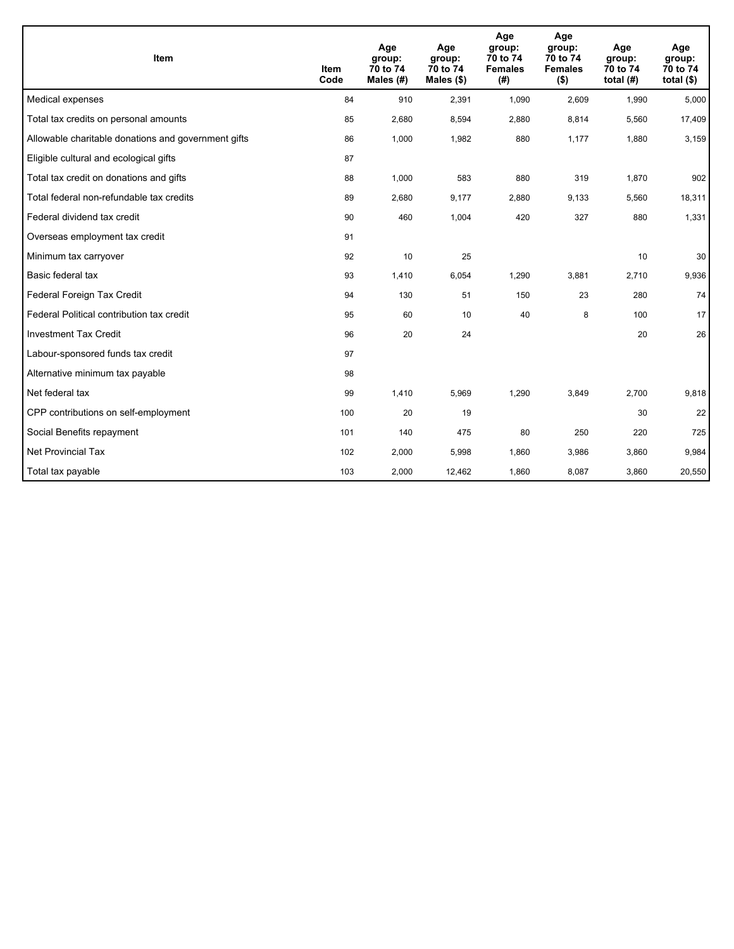| Item                                                | <b>Item</b><br>Code | Age<br>group:<br>70 to 74<br>Males (#) | Age<br>group:<br>70 to 74<br>Males $(\$)$ | Age<br>group:<br>70 to 74<br><b>Females</b><br>(#) | Age<br>group:<br>70 to 74<br><b>Females</b><br>$($ \$) | Age<br>group:<br>70 to 74<br>total $(H)$ | Age<br>group:<br>70 to 74<br>total $($)$ |
|-----------------------------------------------------|---------------------|----------------------------------------|-------------------------------------------|----------------------------------------------------|--------------------------------------------------------|------------------------------------------|------------------------------------------|
| Medical expenses                                    | 84                  | 910                                    | 2,391                                     | 1,090                                              | 2,609                                                  | 1,990                                    | 5,000                                    |
| Total tax credits on personal amounts               | 85                  | 2,680                                  | 8,594                                     | 2,880                                              | 8,814                                                  | 5,560                                    | 17,409                                   |
| Allowable charitable donations and government gifts | 86                  | 1,000                                  | 1,982                                     | 880                                                | 1,177                                                  | 1,880                                    | 3,159                                    |
| Eligible cultural and ecological gifts              | 87                  |                                        |                                           |                                                    |                                                        |                                          |                                          |
| Total tax credit on donations and gifts             | 88                  | 1,000                                  | 583                                       | 880                                                | 319                                                    | 1,870                                    | 902                                      |
| Total federal non-refundable tax credits            | 89                  | 2,680                                  | 9,177                                     | 2,880                                              | 9,133                                                  | 5,560                                    | 18,311                                   |
| Federal dividend tax credit                         | 90                  | 460                                    | 1,004                                     | 420                                                | 327                                                    | 880                                      | 1,331                                    |
| Overseas employment tax credit                      | 91                  |                                        |                                           |                                                    |                                                        |                                          |                                          |
| Minimum tax carryover                               | 92                  | 10                                     | 25                                        |                                                    |                                                        | 10                                       | 30                                       |
| Basic federal tax                                   | 93                  | 1,410                                  | 6,054                                     | 1,290                                              | 3,881                                                  | 2,710                                    | 9,936                                    |
| Federal Foreign Tax Credit                          | 94                  | 130                                    | 51                                        | 150                                                | 23                                                     | 280                                      | 74                                       |
| Federal Political contribution tax credit           | 95                  | 60                                     | 10                                        | 40                                                 | 8                                                      | 100                                      | 17                                       |
| <b>Investment Tax Credit</b>                        | 96                  | 20                                     | 24                                        |                                                    |                                                        | 20                                       | 26                                       |
| Labour-sponsored funds tax credit                   | 97                  |                                        |                                           |                                                    |                                                        |                                          |                                          |
| Alternative minimum tax payable                     | 98                  |                                        |                                           |                                                    |                                                        |                                          |                                          |
| Net federal tax                                     | 99                  | 1,410                                  | 5,969                                     | 1,290                                              | 3,849                                                  | 2,700                                    | 9,818                                    |
| CPP contributions on self-employment                | 100                 | 20                                     | 19                                        |                                                    |                                                        | 30                                       | 22                                       |
| Social Benefits repayment                           | 101                 | 140                                    | 475                                       | 80                                                 | 250                                                    | 220                                      | 725                                      |
| Net Provincial Tax                                  | 102                 | 2,000                                  | 5,998                                     | 1,860                                              | 3,986                                                  | 3,860                                    | 9,984                                    |
| Total tax payable                                   | 103                 | 2,000                                  | 12,462                                    | 1,860                                              | 8,087                                                  | 3,860                                    | 20,550                                   |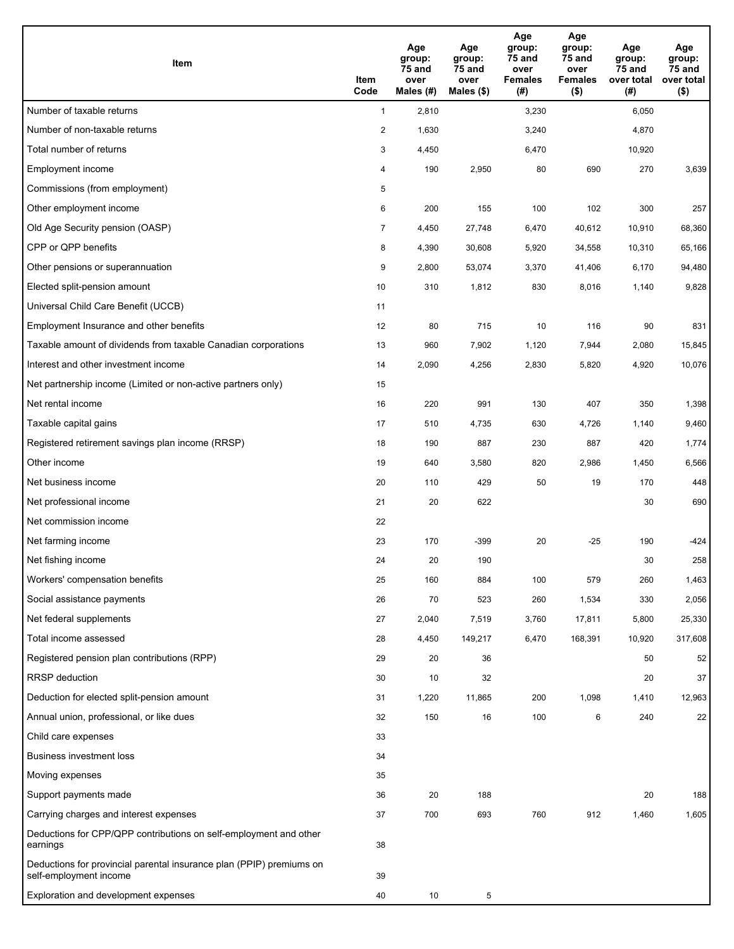| Item                                                                                           | Item<br>Code   | Age<br>group:<br>75 and<br>over<br>Males $(H)$ | Age<br>group:<br>75 and<br>over<br>Males $($)$ | Age<br>group:<br>75 and<br>over<br><b>Females</b><br>(#) | Age<br>group:<br>75 and<br>over<br><b>Females</b><br>$($ \$) | Age<br>group:<br>75 and<br>over total<br>(#) | Age<br>group:<br>75 and<br>over total<br>$($ \$) |
|------------------------------------------------------------------------------------------------|----------------|------------------------------------------------|------------------------------------------------|----------------------------------------------------------|--------------------------------------------------------------|----------------------------------------------|--------------------------------------------------|
| Number of taxable returns                                                                      | $\mathbf{1}$   | 2,810                                          |                                                | 3,230                                                    |                                                              | 6,050                                        |                                                  |
| Number of non-taxable returns                                                                  | $\overline{2}$ | 1,630                                          |                                                | 3,240                                                    |                                                              | 4,870                                        |                                                  |
| Total number of returns                                                                        | 3              | 4,450                                          |                                                | 6,470                                                    |                                                              | 10,920                                       |                                                  |
| Employment income                                                                              | 4              | 190                                            | 2,950                                          | 80                                                       | 690                                                          | 270                                          | 3,639                                            |
| Commissions (from employment)                                                                  | 5              |                                                |                                                |                                                          |                                                              |                                              |                                                  |
| Other employment income                                                                        | 6              | 200                                            | 155                                            | 100                                                      | 102                                                          | 300                                          | 257                                              |
| Old Age Security pension (OASP)                                                                | $\overline{7}$ | 4,450                                          | 27,748                                         | 6,470                                                    | 40,612                                                       | 10,910                                       | 68,360                                           |
| CPP or QPP benefits                                                                            | 8              | 4,390                                          | 30,608                                         | 5,920                                                    | 34,558                                                       | 10,310                                       | 65,166                                           |
| Other pensions or superannuation                                                               | 9              | 2,800                                          | 53,074                                         | 3,370                                                    | 41,406                                                       | 6,170                                        | 94,480                                           |
| Elected split-pension amount                                                                   | 10             | 310                                            | 1,812                                          | 830                                                      | 8,016                                                        | 1,140                                        | 9,828                                            |
| Universal Child Care Benefit (UCCB)                                                            | 11             |                                                |                                                |                                                          |                                                              |                                              |                                                  |
| Employment Insurance and other benefits                                                        | 12             | 80                                             | 715                                            | 10                                                       | 116                                                          | 90                                           | 831                                              |
| Taxable amount of dividends from taxable Canadian corporations                                 | 13             | 960                                            | 7,902                                          | 1,120                                                    | 7,944                                                        | 2,080                                        | 15,845                                           |
| Interest and other investment income                                                           | 14             | 2,090                                          | 4,256                                          | 2,830                                                    | 5,820                                                        | 4,920                                        | 10,076                                           |
| Net partnership income (Limited or non-active partners only)                                   | 15             |                                                |                                                |                                                          |                                                              |                                              |                                                  |
| Net rental income                                                                              | 16             | 220                                            | 991                                            | 130                                                      | 407                                                          | 350                                          | 1,398                                            |
| Taxable capital gains                                                                          | 17             | 510                                            | 4,735                                          | 630                                                      | 4,726                                                        | 1,140                                        | 9,460                                            |
| Registered retirement savings plan income (RRSP)                                               | 18             | 190                                            | 887                                            | 230                                                      | 887                                                          | 420                                          | 1,774                                            |
| Other income                                                                                   | 19             | 640                                            | 3,580                                          | 820                                                      | 2,986                                                        | 1,450                                        | 6,566                                            |
| Net business income                                                                            | 20             | 110                                            | 429                                            | 50                                                       | 19                                                           | 170                                          | 448                                              |
| Net professional income                                                                        | 21             | 20                                             | 622                                            |                                                          |                                                              | 30                                           | 690                                              |
| Net commission income                                                                          | 22             |                                                |                                                |                                                          |                                                              |                                              |                                                  |
| Net farming income                                                                             | 23             | 170                                            | $-399$                                         | 20                                                       | $-25$                                                        | 190                                          | $-424$                                           |
| Net fishing income                                                                             | 24             | 20                                             | 190                                            |                                                          |                                                              | 30                                           | 258                                              |
| Workers' compensation benefits                                                                 | 25             | 160                                            | 884                                            | 100                                                      | 579                                                          | 260                                          | 1,463                                            |
| Social assistance payments                                                                     | 26             | 70                                             | 523                                            | 260                                                      | 1,534                                                        | 330                                          | 2,056                                            |
| Net federal supplements                                                                        | 27             | 2,040                                          | 7,519                                          | 3,760                                                    | 17,811                                                       | 5,800                                        | 25,330                                           |
| Total income assessed                                                                          | 28             | 4,450                                          | 149,217                                        | 6,470                                                    | 168,391                                                      | 10,920                                       | 317,608                                          |
| Registered pension plan contributions (RPP)                                                    | 29             | 20                                             | 36                                             |                                                          |                                                              | 50                                           | 52                                               |
| <b>RRSP</b> deduction                                                                          | 30             | 10                                             | 32                                             |                                                          |                                                              | 20                                           | 37                                               |
| Deduction for elected split-pension amount                                                     | 31             | 1,220                                          | 11,865                                         | 200                                                      | 1,098                                                        | 1,410                                        | 12,963                                           |
| Annual union, professional, or like dues                                                       | 32             | 150                                            | 16                                             | 100                                                      | 6                                                            | 240                                          | 22                                               |
| Child care expenses                                                                            | 33             |                                                |                                                |                                                          |                                                              |                                              |                                                  |
| <b>Business investment loss</b>                                                                | 34             |                                                |                                                |                                                          |                                                              |                                              |                                                  |
| Moving expenses                                                                                | 35             |                                                |                                                |                                                          |                                                              |                                              |                                                  |
| Support payments made                                                                          | 36             | 20                                             | 188                                            |                                                          |                                                              | 20                                           | 188                                              |
| Carrying charges and interest expenses                                                         | 37             | 700                                            | 693                                            | 760                                                      | 912                                                          | 1,460                                        | 1,605                                            |
| Deductions for CPP/QPP contributions on self-employment and other<br>earnings                  | 38             |                                                |                                                |                                                          |                                                              |                                              |                                                  |
| Deductions for provincial parental insurance plan (PPIP) premiums on<br>self-employment income | 39             |                                                |                                                |                                                          |                                                              |                                              |                                                  |
| Exploration and development expenses                                                           | 40             | 10                                             | 5                                              |                                                          |                                                              |                                              |                                                  |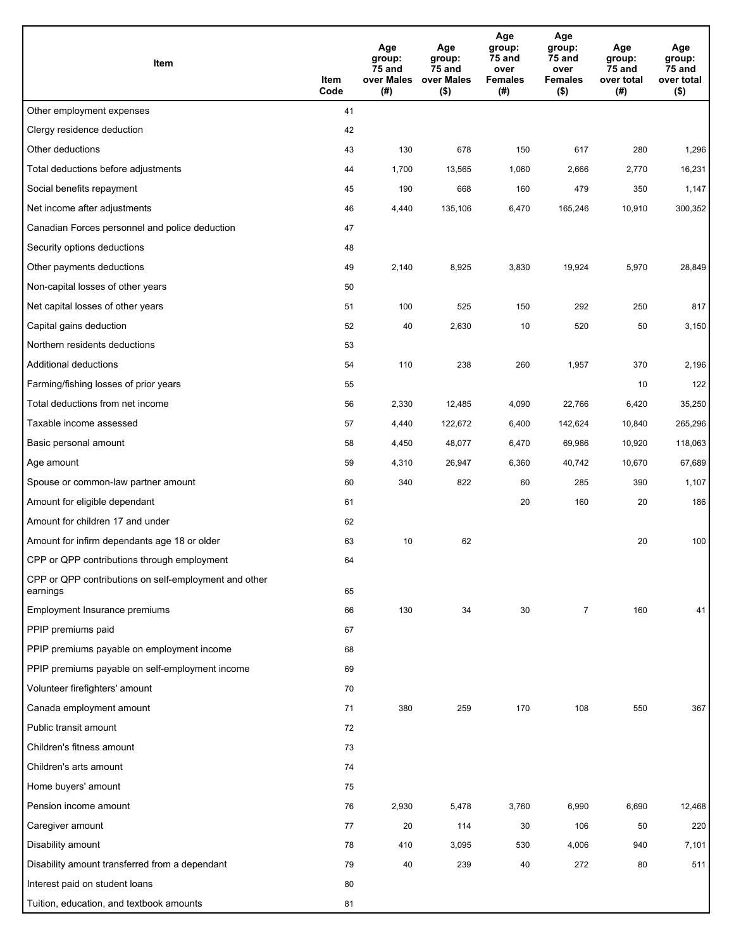| Item                                                              | Item<br>Code | Age<br>group:<br>75 and<br>over Males<br>(#) | Age<br>group:<br>75 and<br>over Males<br>$($ \$) | Age<br>group:<br>75 and<br>over<br><b>Females</b><br>(#) | Age<br>group:<br>75 and<br>over<br><b>Females</b><br>$($ \$) | Age<br>group:<br>75 and<br>over total<br>(#) | Age<br>group:<br>75 and<br>over total<br>$($ \$) |
|-------------------------------------------------------------------|--------------|----------------------------------------------|--------------------------------------------------|----------------------------------------------------------|--------------------------------------------------------------|----------------------------------------------|--------------------------------------------------|
| Other employment expenses                                         | 41           |                                              |                                                  |                                                          |                                                              |                                              |                                                  |
| Clergy residence deduction                                        | 42           |                                              |                                                  |                                                          |                                                              |                                              |                                                  |
| Other deductions                                                  | 43           | 130                                          | 678                                              | 150                                                      | 617                                                          | 280                                          | 1,296                                            |
| Total deductions before adjustments                               | 44           | 1,700                                        | 13,565                                           | 1,060                                                    | 2,666                                                        | 2,770                                        | 16,231                                           |
| Social benefits repayment                                         | 45           | 190                                          | 668                                              | 160                                                      | 479                                                          | 350                                          | 1,147                                            |
| Net income after adjustments                                      | 46           | 4,440                                        | 135,106                                          | 6,470                                                    | 165,246                                                      | 10,910                                       | 300,352                                          |
| Canadian Forces personnel and police deduction                    | 47           |                                              |                                                  |                                                          |                                                              |                                              |                                                  |
| Security options deductions                                       | 48           |                                              |                                                  |                                                          |                                                              |                                              |                                                  |
| Other payments deductions                                         | 49           | 2,140                                        | 8,925                                            | 3,830                                                    | 19,924                                                       | 5,970                                        | 28,849                                           |
| Non-capital losses of other years                                 | 50           |                                              |                                                  |                                                          |                                                              |                                              |                                                  |
| Net capital losses of other years                                 | 51           | 100                                          | 525                                              | 150                                                      | 292                                                          | 250                                          | 817                                              |
| Capital gains deduction                                           | 52           | 40                                           | 2,630                                            | 10                                                       | 520                                                          | 50                                           | 3,150                                            |
| Northern residents deductions                                     | 53           |                                              |                                                  |                                                          |                                                              |                                              |                                                  |
| Additional deductions                                             | 54           | 110                                          | 238                                              | 260                                                      | 1,957                                                        | 370                                          | 2,196                                            |
| Farming/fishing losses of prior years                             | 55           |                                              |                                                  |                                                          |                                                              | 10                                           | 122                                              |
| Total deductions from net income                                  | 56           | 2,330                                        | 12,485                                           | 4,090                                                    | 22,766                                                       | 6,420                                        | 35,250                                           |
| Taxable income assessed                                           | 57           | 4,440                                        | 122,672                                          | 6,400                                                    | 142,624                                                      | 10,840                                       | 265,296                                          |
| Basic personal amount                                             | 58           | 4,450                                        | 48,077                                           | 6,470                                                    | 69,986                                                       | 10,920                                       | 118,063                                          |
| Age amount                                                        | 59           | 4,310                                        | 26,947                                           | 6,360                                                    | 40,742                                                       | 10,670                                       | 67,689                                           |
| Spouse or common-law partner amount                               | 60           | 340                                          | 822                                              | 60                                                       | 285                                                          | 390                                          | 1,107                                            |
| Amount for eligible dependant                                     | 61           |                                              |                                                  | 20                                                       | 160                                                          | 20                                           | 186                                              |
| Amount for children 17 and under                                  | 62           |                                              |                                                  |                                                          |                                                              |                                              |                                                  |
| Amount for infirm dependants age 18 or older                      | 63           | 10                                           | 62                                               |                                                          |                                                              | 20                                           | 100                                              |
| CPP or QPP contributions through employment                       | 64           |                                              |                                                  |                                                          |                                                              |                                              |                                                  |
| CPP or QPP contributions on self-employment and other<br>earnings | 65           |                                              |                                                  |                                                          |                                                              |                                              |                                                  |
| Employment Insurance premiums                                     | 66           | 130                                          | 34                                               | 30                                                       | $\overline{7}$                                               | 160                                          | 41                                               |
| PPIP premiums paid                                                | 67           |                                              |                                                  |                                                          |                                                              |                                              |                                                  |
| PPIP premiums payable on employment income                        | 68           |                                              |                                                  |                                                          |                                                              |                                              |                                                  |
| PPIP premiums payable on self-employment income                   | 69           |                                              |                                                  |                                                          |                                                              |                                              |                                                  |
| Volunteer firefighters' amount                                    | 70           |                                              |                                                  |                                                          |                                                              |                                              |                                                  |
| Canada employment amount                                          | 71           | 380                                          | 259                                              | 170                                                      | 108                                                          | 550                                          | 367                                              |
| Public transit amount                                             | 72           |                                              |                                                  |                                                          |                                                              |                                              |                                                  |
| Children's fitness amount                                         | 73           |                                              |                                                  |                                                          |                                                              |                                              |                                                  |
| Children's arts amount                                            | 74           |                                              |                                                  |                                                          |                                                              |                                              |                                                  |
| Home buyers' amount                                               | 75           |                                              |                                                  |                                                          |                                                              |                                              |                                                  |
| Pension income amount                                             | 76           | 2,930                                        | 5,478                                            | 3,760                                                    | 6,990                                                        | 6,690                                        | 12,468                                           |
| Caregiver amount                                                  | 77           | 20                                           | 114                                              | 30                                                       | 106                                                          | 50                                           | 220                                              |
| Disability amount                                                 | 78           | 410                                          | 3,095                                            | 530                                                      | 4,006                                                        | 940                                          | 7,101                                            |
| Disability amount transferred from a dependant                    | 79           | 40                                           | 239                                              | 40                                                       | 272                                                          | 80                                           | 511                                              |
| Interest paid on student loans                                    | 80           |                                              |                                                  |                                                          |                                                              |                                              |                                                  |
| Tuition, education, and textbook amounts                          | 81           |                                              |                                                  |                                                          |                                                              |                                              |                                                  |